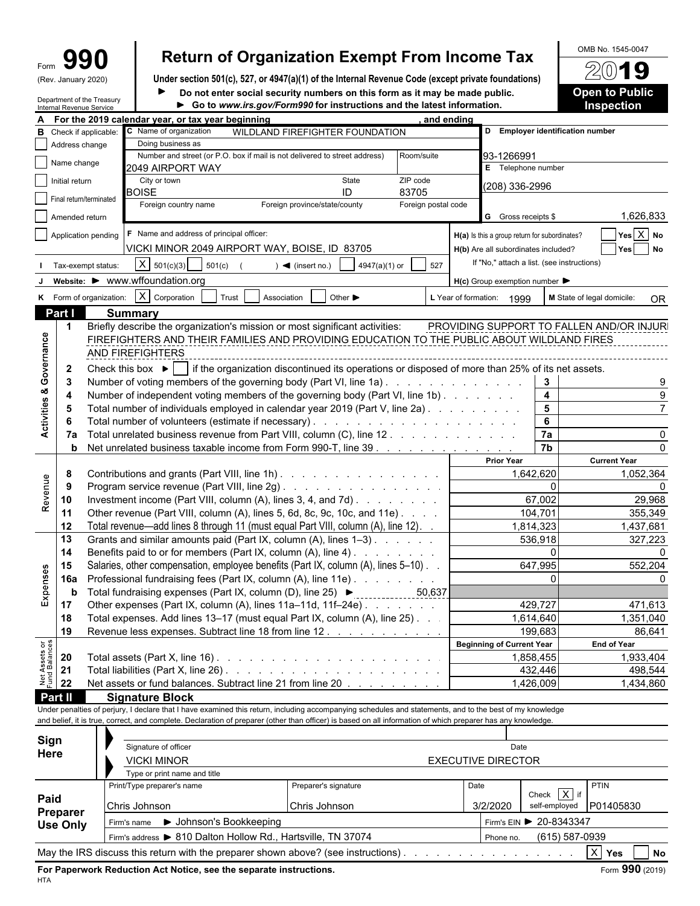| m |               |
|---|---------------|
| w | January 2020) |

Department of the Treasury

# Form **990 Return of Organization Exempt From Income Tax**  $\frac{60 \text{dB No. }1545-0047}{200}$

(Rev. January 2020) **Under section 501(c), 527, or 4947(a)(1) of the Internal Revenue Code (except private foundations) Do not enter social security numbers on this form as it may be made public. <br>
<b>Open to Public**  $\blacktriangleright$ 

| • Go to www.irs.gov/Form990.for.instructions.and the latest information |  |
|-------------------------------------------------------------------------|--|

|                                | Internal Revenue Service | Department of the Treasury                   | Go to www.irs.gov/Form990 for instructions and the latest information.                                                                                       |                                                    |                     |      |                                                     |                                            | <b>Inspection</b>                         |
|--------------------------------|--------------------------|----------------------------------------------|--------------------------------------------------------------------------------------------------------------------------------------------------------------|----------------------------------------------------|---------------------|------|-----------------------------------------------------|--------------------------------------------|-------------------------------------------|
|                                |                          |                                              | For the 2019 calendar year, or tax year beginning                                                                                                            |                                                    | and ending          |      |                                                     |                                            |                                           |
|                                |                          | <b>B</b> Check if applicable:                | C Name of organization                                                                                                                                       | WILDLAND FIREFIGHTER FOUNDATION                    |                     |      |                                                     | D Employer identification number           |                                           |
|                                | Address change           |                                              | Doing business as                                                                                                                                            |                                                    |                     |      |                                                     |                                            |                                           |
|                                |                          |                                              | Number and street (or P.O. box if mail is not delivered to street address)                                                                                   |                                                    | Room/suite          |      | 93-1266991                                          |                                            |                                           |
|                                | Name change              |                                              | 2049 AIRPORT WAY                                                                                                                                             |                                                    |                     |      | E Telephone number                                  |                                            |                                           |
|                                | Initial return           |                                              | City or town                                                                                                                                                 | State                                              | ZIP code            |      | (208) 336-2996                                      |                                            |                                           |
|                                | Final return/terminated  |                                              | <b>BOISE</b>                                                                                                                                                 | ID                                                 | 83705               |      |                                                     |                                            |                                           |
|                                |                          |                                              | Foreign country name                                                                                                                                         | Foreign province/state/county                      | Foreign postal code |      |                                                     |                                            |                                           |
|                                | Amended return           |                                              |                                                                                                                                                              |                                                    |                     |      | G Gross receipts \$                                 |                                            | 1,626,833                                 |
|                                |                          | Application pending                          | F Name and address of principal officer:                                                                                                                     |                                                    |                     |      | H(a) Is this a group return for subordinates?       |                                            | Yes X No                                  |
|                                |                          |                                              |                                                                                                                                                              |                                                    |                     |      |                                                     |                                            |                                           |
|                                |                          |                                              | VICKI MINOR 2049 AIRPORT WAY, BOISE, ID 83705                                                                                                                |                                                    |                     |      | H(b) Are all subordinates included?                 |                                            | Yes<br><b>No</b>                          |
|                                |                          | Tax-exempt status:                           | $X \mid 501(c)(3)$<br>501(c)                                                                                                                                 | 4947(a)(1) or<br>$\blacktriangleleft$ (insert no.) | 527                 |      |                                                     | If "No," attach a list. (see instructions) |                                           |
|                                |                          |                                              | website: ▶ www.wffoundation.org                                                                                                                              |                                                    |                     |      | $H(c)$ Group exemption number $\blacktriangleright$ |                                            |                                           |
|                                |                          |                                              | $X$ Corporation                                                                                                                                              |                                                    |                     |      |                                                     |                                            |                                           |
|                                |                          | K Form of organization:                      | Trust<br>Association                                                                                                                                         | Other $\blacktriangleright$                        |                     |      | L Year of formation: 1999                           |                                            | M State of legal domicile:<br><b>OR</b>   |
|                                | Part I                   |                                              | <b>Summary</b>                                                                                                                                               |                                                    |                     |      |                                                     |                                            |                                           |
|                                | $\mathbf 1$              |                                              | Briefly describe the organization's mission or most significant activities:                                                                                  |                                                    |                     |      |                                                     |                                            | PROVIDING SUPPORT TO FALLEN AND/OR INJURI |
| Governance                     |                          |                                              | FIREFIGHTERS AND THEIR FAMILIES AND PROVIDING EDUCATION TO THE PUBLIC ABOUT WILDLAND FIRES                                                                   |                                                    |                     |      |                                                     |                                            |                                           |
|                                |                          |                                              | AND FIREFIGHTERS                                                                                                                                             |                                                    |                     |      |                                                     |                                            |                                           |
|                                | $\mathbf{2}$             |                                              | Check this box $\blacktriangleright$   if the organization discontinued its operations or disposed of more than 25% of its net assets.                       |                                                    |                     |      |                                                     |                                            |                                           |
|                                | -3                       |                                              | Number of voting members of the governing body (Part VI, line 1a)                                                                                            |                                                    |                     |      |                                                     | 3                                          |                                           |
|                                |                          |                                              | Number of independent voting members of the governing body (Part VI, line 1b).                                                                               |                                                    |                     |      |                                                     | $\overline{\mathbf{4}}$                    |                                           |
|                                | 4                        |                                              |                                                                                                                                                              |                                                    |                     |      |                                                     | $5\phantom{a}$                             |                                           |
| Activities &                   | 5                        |                                              | Total number of individuals employed in calendar year 2019 (Part V, line 2a).                                                                                |                                                    |                     |      |                                                     |                                            |                                           |
|                                |                          |                                              |                                                                                                                                                              |                                                    |                     |      |                                                     | 6                                          |                                           |
|                                | 7а                       |                                              | Total unrelated business revenue from Part VIII, column (C), line 12                                                                                         |                                                    |                     |      |                                                     | 7a                                         |                                           |
|                                | b                        |                                              | Net unrelated business taxable income from Form 990-T, line 39                                                                                               |                                                    |                     |      |                                                     | $\overline{7b}$                            |                                           |
|                                |                          |                                              |                                                                                                                                                              |                                                    |                     |      | <b>Prior Year</b>                                   |                                            | <b>Current Year</b>                       |
|                                | 8                        |                                              | Contributions and grants (Part VIII, line 1h)                                                                                                                |                                                    |                     |      | 1,642,620                                           |                                            | 1,052,364                                 |
| Revenue                        | -9                       | Program service revenue (Part VIII, line 2g) |                                                                                                                                                              |                                                    |                     |      | $\Omega$                                            |                                            |                                           |
|                                | 10                       |                                              | Investment income (Part VIII, column (A), lines 3, 4, and 7d).                                                                                               |                                                    |                     |      |                                                     | 67,002                                     | 29,968                                    |
|                                | 11                       |                                              | Other revenue (Part VIII, column (A), lines 5, 6d, 8c, 9c, 10c, and 11e)                                                                                     |                                                    |                     |      |                                                     | 104,701                                    | 355,349                                   |
|                                |                          |                                              |                                                                                                                                                              |                                                    |                     |      |                                                     |                                            |                                           |
|                                | 12                       |                                              | Total revenue—add lines 8 through 11 (must equal Part VIII, column (A), line 12). .                                                                          |                                                    |                     |      | 1,814,323                                           |                                            | 1,437,681                                 |
|                                | 13                       |                                              | Grants and similar amounts paid (Part IX, column (A), lines 1-3).                                                                                            |                                                    |                     |      |                                                     | 536,918                                    | 327,223                                   |
|                                | 14                       |                                              | Benefits paid to or for members (Part IX, column (A), line 4)                                                                                                |                                                    |                     |      |                                                     | $\mathbf{0}$                               |                                           |
|                                | 15                       |                                              | Salaries, other compensation, employee benefits (Part IX, column (A), lines 5-10).                                                                           |                                                    |                     |      |                                                     | 647,995                                    | 552,204                                   |
|                                | 16a                      |                                              | Professional fundraising fees (Part IX, column (A), line 11e)                                                                                                |                                                    |                     |      |                                                     | $\Omega$                                   |                                           |
| Expenses                       | b                        |                                              | Total fundraising expenses (Part IX, column (D), line 25) ▶                                                                                                  |                                                    | 50,637              |      |                                                     |                                            |                                           |
|                                | 17                       |                                              | Other expenses (Part IX, column (A), lines 11a-11d, 11f-24e)                                                                                                 |                                                    |                     |      |                                                     | 429,727                                    | 471,613                                   |
|                                | 18                       |                                              | Total expenses. Add lines 13-17 (must equal Part IX, column (A), line 25). .                                                                                 |                                                    |                     |      |                                                     | 1,614,640                                  | 1,351,040                                 |
|                                | 19                       |                                              | Revenue less expenses. Subtract line 18 from line 12.                                                                                                        |                                                    |                     |      |                                                     | 199,683                                    | 86,641                                    |
|                                |                          |                                              |                                                                                                                                                              |                                                    |                     |      | <b>Beginning of Current Year</b>                    |                                            | <b>End of Year</b>                        |
| Net Assets or<br>Fund Balances | 20                       |                                              |                                                                                                                                                              |                                                    |                     |      | 1,858,455                                           |                                            | 1,933,404                                 |
|                                |                          |                                              |                                                                                                                                                              |                                                    |                     |      |                                                     |                                            |                                           |
|                                | 21                       |                                              |                                                                                                                                                              |                                                    |                     |      |                                                     | 432,446                                    | 498,544                                   |
|                                | 22                       |                                              | Net assets or fund balances. Subtract line 21 from line 20                                                                                                   |                                                    |                     |      |                                                     | 1,426,009                                  | 1,434,860                                 |
|                                | Part II                  |                                              | <b>Signature Block</b>                                                                                                                                       |                                                    |                     |      |                                                     |                                            |                                           |
|                                |                          |                                              | Under penalties of perjury, I declare that I have examined this return, including accompanying schedules and statements, and to the best of my knowledge     |                                                    |                     |      |                                                     |                                            |                                           |
|                                |                          |                                              | and belief, it is true, correct, and complete. Declaration of preparer (other than officer) is based on all information of which preparer has any knowledge. |                                                    |                     |      |                                                     |                                            |                                           |
|                                |                          |                                              |                                                                                                                                                              |                                                    |                     |      |                                                     |                                            |                                           |
| Sign                           |                          |                                              | Signature of officer                                                                                                                                         |                                                    |                     |      | Date                                                |                                            |                                           |
| Here                           |                          |                                              | <b>VICKI MINOR</b>                                                                                                                                           |                                                    |                     |      | <b>EXECUTIVE DIRECTOR</b>                           |                                            |                                           |
|                                |                          |                                              | Type or print name and title                                                                                                                                 |                                                    |                     |      |                                                     |                                            |                                           |
|                                |                          |                                              | Print/Type preparer's name                                                                                                                                   | Preparer's signature                               |                     | Date |                                                     |                                            | <b>PTIN</b>                               |
| Paid                           |                          |                                              |                                                                                                                                                              |                                                    |                     |      |                                                     | Check $\overline{X}$ if                    |                                           |
|                                |                          |                                              | Chris Johnson                                                                                                                                                | Chris Johnson                                      |                     |      | 3/2/2020                                            | self-employed                              | P01405830                                 |
|                                | Preparer                 |                                              | ▶ Johnson's Bookkeeping<br>Firm's name                                                                                                                       |                                                    |                     |      |                                                     | Firm's EIN ▶ 20-8343347                    |                                           |
|                                | <b>Use Only</b>          |                                              |                                                                                                                                                              |                                                    |                     |      |                                                     |                                            |                                           |
|                                |                          |                                              | Firm's address > 810 Dalton Hollow Rd., Hartsville, TN 37074                                                                                                 |                                                    |                     |      | Phone no.                                           | (615) 587-0939                             |                                           |
|                                |                          |                                              | May the IRS discuss this return with the preparer shown above? (see instructions).                                                                           |                                                    |                     |      |                                                     |                                            | $ X $ Yes<br><b>No</b>                    |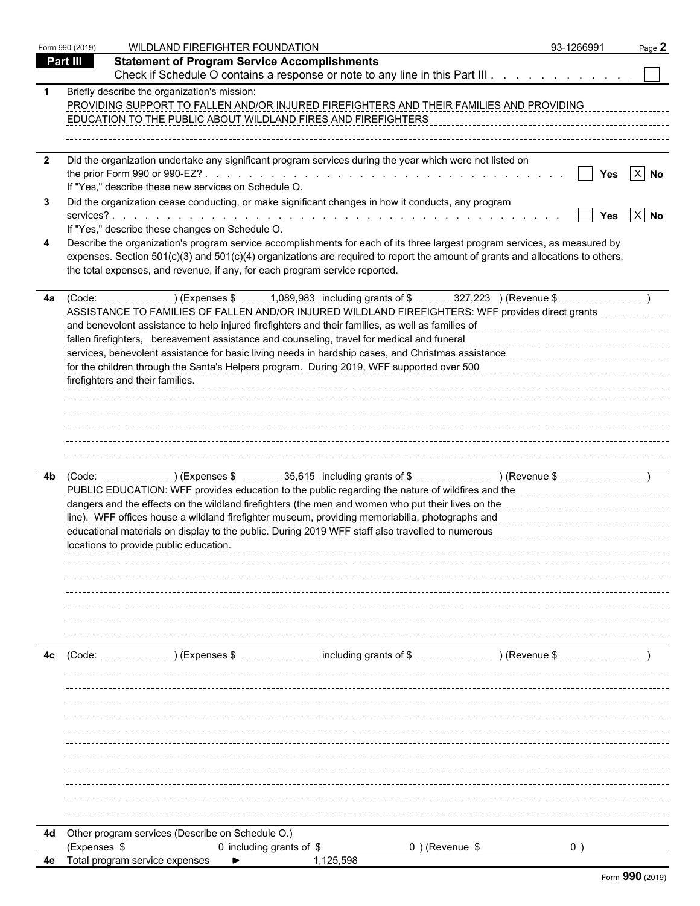|                         | Form 990 (2019) | WILDLAND FIREFIGHTER FOUNDATION                                                                                                                                                                                                                                                                                                                                                                | 93-1266991                        | Page 2       |
|-------------------------|-----------------|------------------------------------------------------------------------------------------------------------------------------------------------------------------------------------------------------------------------------------------------------------------------------------------------------------------------------------------------------------------------------------------------|-----------------------------------|--------------|
|                         | <b>Part III</b> | <b>Statement of Program Service Accomplishments</b>                                                                                                                                                                                                                                                                                                                                            |                                   |              |
|                         |                 | Check if Schedule O contains a response or note to any line in this Part III                                                                                                                                                                                                                                                                                                                   |                                   |              |
|                         |                 | Briefly describe the organization's mission:<br>PROVIDING SUPPORT TO FALLEN AND/OR INJURED FIREFIGHTERS AND THEIR FAMILIES AND PROVIDING<br>EDUCATION TO THE PUBLIC ABOUT WILDLAND FIRES AND FIREFIGHTERS                                                                                                                                                                                      |                                   |              |
| $\overline{\mathbf{2}}$ |                 | Did the organization undertake any significant program services during the year which were not listed on                                                                                                                                                                                                                                                                                       |                                   |              |
|                         |                 | If "Yes," describe these new services on Schedule O.                                                                                                                                                                                                                                                                                                                                           |                                   | Yes $ X $ No |
|                         |                 | Did the organization cease conducting, or make significant changes in how it conducts, any program                                                                                                                                                                                                                                                                                             |                                   | Yes $X$ No   |
|                         |                 | If "Yes," describe these changes on Schedule O.<br>Describe the organization's program service accomplishments for each of its three largest program services, as measured by<br>expenses. Section 501(c)(3) and 501(c)(4) organizations are required to report the amount of grants and allocations to others,<br>the total expenses, and revenue, if any, for each program service reported. |                                   |              |
| 4a                      |                 | (Code: ) (Expenses \$1,089,983 including grants of \$1,089,983 including transformation of \$1,089,983 including grants of \$2,223 (Revenue \$1,089,983 including grants of \$1,089,983 including grants of \$1,000 including \$1,000                                                                                                                                                          |                                   |              |
|                         |                 | ASSISTANCE TO FAMILIES OF FALLEN AND/OR INJURED WILDLAND FIREFIGHTERS: WFF provides direct grants                                                                                                                                                                                                                                                                                              |                                   |              |
|                         |                 | and benevolent assistance to help injured firefighters and their families, as well as families of<br>and benevolent assistance to help injured firefighters and their families, as well as families of                                                                                                                                                                                         |                                   |              |
|                         |                 | fallen firefighters, bereavement assistance and counseling, travel for medical and funeral                                                                                                                                                                                                                                                                                                     |                                   |              |
|                         |                 | services, benevolent assistance for basic living needs in hardship cases, and Christmas assistance<br>for the children through the Santa's Helpers program. During 2019, WFF supported over 500                                                                                                                                                                                                |                                   |              |
|                         |                 | firefighters and their families.                                                                                                                                                                                                                                                                                                                                                               |                                   |              |
|                         |                 |                                                                                                                                                                                                                                                                                                                                                                                                |                                   |              |
|                         |                 |                                                                                                                                                                                                                                                                                                                                                                                                |                                   |              |
|                         |                 |                                                                                                                                                                                                                                                                                                                                                                                                |                                   |              |
|                         |                 |                                                                                                                                                                                                                                                                                                                                                                                                |                                   |              |
|                         |                 |                                                                                                                                                                                                                                                                                                                                                                                                |                                   |              |
|                         |                 |                                                                                                                                                                                                                                                                                                                                                                                                |                                   |              |
|                         |                 | PUBLIC EDUCATION: WFF provides education to the public regarding the nature of wildfires and the                                                                                                                                                                                                                                                                                               |                                   |              |
|                         |                 | dangers and the effects on the wildland firefighters (the men and women who put their lives on the                                                                                                                                                                                                                                                                                             |                                   |              |
|                         |                 | line). WFF offices house a wildland firefighter museum, providing memoriabilia, photographs and                                                                                                                                                                                                                                                                                                | _________________________________ |              |
|                         |                 | educational materials on display to the public. During 2019 WFF staff also travelled to numerous                                                                                                                                                                                                                                                                                               |                                   |              |
|                         |                 | locations to provide public education.                                                                                                                                                                                                                                                                                                                                                         |                                   |              |
|                         |                 |                                                                                                                                                                                                                                                                                                                                                                                                |                                   |              |
|                         |                 |                                                                                                                                                                                                                                                                                                                                                                                                |                                   |              |
|                         |                 |                                                                                                                                                                                                                                                                                                                                                                                                |                                   |              |
|                         |                 |                                                                                                                                                                                                                                                                                                                                                                                                |                                   |              |
|                         |                 |                                                                                                                                                                                                                                                                                                                                                                                                |                                   |              |
|                         | 4c (Code:       | ) (Expenses \$ including grants of \$ ) (Revenue \$                                                                                                                                                                                                                                                                                                                                            |                                   |              |
|                         |                 |                                                                                                                                                                                                                                                                                                                                                                                                |                                   |              |
|                         |                 |                                                                                                                                                                                                                                                                                                                                                                                                |                                   |              |
|                         |                 |                                                                                                                                                                                                                                                                                                                                                                                                |                                   |              |
|                         |                 |                                                                                                                                                                                                                                                                                                                                                                                                |                                   |              |
|                         |                 |                                                                                                                                                                                                                                                                                                                                                                                                |                                   |              |
|                         |                 |                                                                                                                                                                                                                                                                                                                                                                                                |                                   |              |
|                         |                 |                                                                                                                                                                                                                                                                                                                                                                                                |                                   |              |
|                         |                 |                                                                                                                                                                                                                                                                                                                                                                                                |                                   |              |
|                         |                 |                                                                                                                                                                                                                                                                                                                                                                                                |                                   |              |
|                         |                 |                                                                                                                                                                                                                                                                                                                                                                                                |                                   |              |
|                         |                 | 4d Other program services (Describe on Schedule O.)                                                                                                                                                                                                                                                                                                                                            |                                   |              |
|                         | (Expenses \$    | 0) (Revenue \$<br>0 including grants of \$                                                                                                                                                                                                                                                                                                                                                     |                                   |              |
|                         |                 | 1,125,598<br><b>4e</b> Total program service expenses                                                                                                                                                                                                                                                                                                                                          |                                   |              |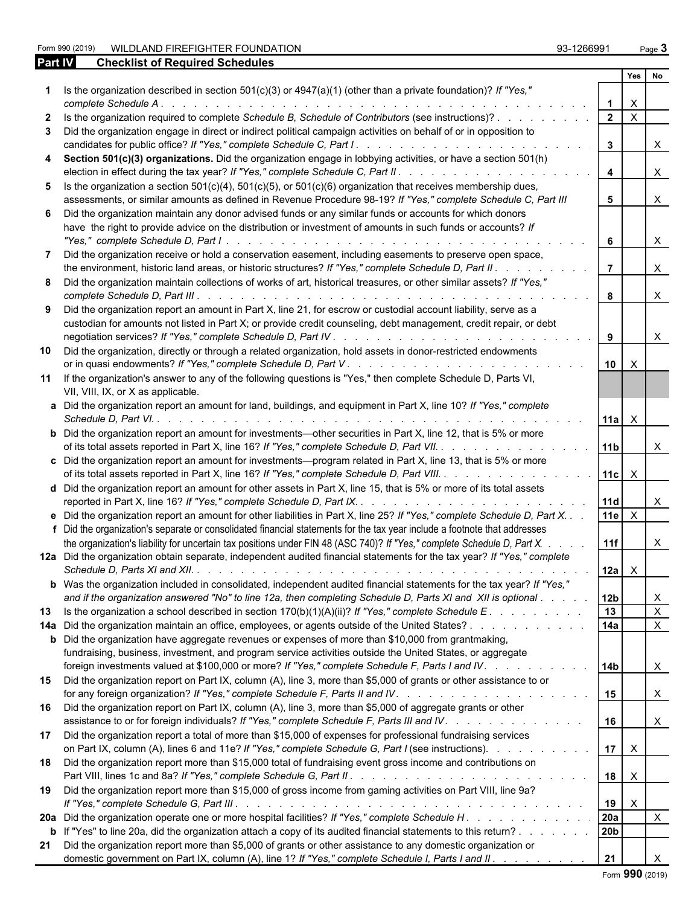| WILDLAND FIREFIGHTER FOUNDATION<br>Form 990 (2019)                                                              | 93-1266991 |     | Page $3$ |
|-----------------------------------------------------------------------------------------------------------------|------------|-----|----------|
| <b>Part IV</b><br><b>Checklist of Required Schedules</b>                                                        |            |     |          |
|                                                                                                                 |            | Yes | No       |
| Is the organization described in section 501(c)(3) or $4947(a)(1)$ (other than a private foundation)? If "Yes," |            |     |          |

|                | Is the organization described in section 501(c)(3) or $4947(a)(1)$ (other than a private foundation)? If "Yes,"<br>complete Schedule A.                                                                                                                                                                                                                                                                                      | $\mathbf{1}$         | $\boldsymbol{\mathsf{X}}$ |                              |  |
|----------------|------------------------------------------------------------------------------------------------------------------------------------------------------------------------------------------------------------------------------------------------------------------------------------------------------------------------------------------------------------------------------------------------------------------------------|----------------------|---------------------------|------------------------------|--|
|                | 2 Is the organization required to complete Schedule B, Schedule of Contributors (see instructions)?                                                                                                                                                                                                                                                                                                                          | $\overline{2}$       | $\mathsf{X}$              |                              |  |
|                | 3 Did the organization engage in direct or indirect political campaign activities on behalf of or in opposition to                                                                                                                                                                                                                                                                                                           | $3^{\circ}$          |                           | $\times$                     |  |
|                | 4 Section 501(c)(3) organizations. Did the organization engage in lobbying activities, or have a section 501(h)                                                                                                                                                                                                                                                                                                              | $\overline{4}$       |                           | $\times$                     |  |
|                | 5 Is the organization a section $501(c)(4)$ , $501(c)(5)$ , or $501(c)(6)$ organization that receives membership dues,<br>assessments, or similar amounts as defined in Revenue Procedure 98-19? If "Yes," complete Schedule C, Part III                                                                                                                                                                                     | 5                    |                           | X                            |  |
|                | 6 Did the organization maintain any donor advised funds or any similar funds or accounts for which donors<br>have the right to provide advice on the distribution or investment of amounts in such funds or accounts? If                                                                                                                                                                                                     | 6                    |                           | X                            |  |
| $\overline{7}$ | Did the organization receive or hold a conservation easement, including easements to preserve open space,<br>the environment, historic land areas, or historic structures? If "Yes," complete Schedule D, Part II.                                                                                                                                                                                                           | $\overline{7}$       |                           | $\times$                     |  |
|                | 8 Did the organization maintain collections of works of art, historical treasures, or other similar assets? If "Yes,"                                                                                                                                                                                                                                                                                                        | 8                    |                           | $\mathsf{X}$                 |  |
|                | 9 Did the organization report an amount in Part X, line 21, for escrow or custodial account liability, serve as a<br>custodian for amounts not listed in Part X; or provide credit counseling, debt management, credit repair, or debt                                                                                                                                                                                       | 9                    |                           | $\times$                     |  |
| 10             | Did the organization, directly or through a related organization, hold assets in donor-restricted endowments                                                                                                                                                                                                                                                                                                                 | 10 I                 | $\mathsf{X}$              |                              |  |
|                | 11 If the organization's answer to any of the following questions is "Yes," then complete Schedule D, Parts VI,<br>VII, VIII, IX, or X as applicable.                                                                                                                                                                                                                                                                        |                      |                           |                              |  |
|                | a Did the organization report an amount for land, buildings, and equipment in Part X, line 10? If "Yes," complete                                                                                                                                                                                                                                                                                                            | $11a$ $\times$       |                           |                              |  |
|                | <b>b</b> Did the organization report an amount for investments—other securities in Part X, line 12, that is 5% or more<br>of its total assets reported in Part X, line 16? If "Yes," complete Schedule D, Part VII.                                                                                                                                                                                                          | 11 <sub>b</sub>      |                           | X                            |  |
|                | c Did the organization report an amount for investments—program related in Part X, line 13, that is 5% or more<br>of its total assets reported in Part X, line 16? If "Yes," complete Schedule D, Part VIII.                                                                                                                                                                                                                 | $11c$ $\times$       |                           |                              |  |
|                | d Did the organization report an amount for other assets in Part X, line 15, that is 5% or more of its total assets<br>reported in Part X, line 16? If "Yes," complete Schedule D, Part IX.                                                                                                                                                                                                                                  | 11d                  |                           | X                            |  |
|                | e Did the organization report an amount for other liabilities in Part X, line 25? If "Yes," complete Schedule D, Part X. .<br>f Did the organization's separate or consolidated financial statements for the tax year include a footnote that addresses                                                                                                                                                                      | 11e                  | $\mathsf{X}$              |                              |  |
|                | the organization's liability for uncertain tax positions under FIN 48 (ASC 740)? If "Yes," complete Schedule D, Part X.<br>12a Did the organization obtain separate, independent audited financial statements for the tax year? If "Yes," complete                                                                                                                                                                           | 11f<br>$12a \quad X$ |                           | X                            |  |
|                | <b>b</b> Was the organization included in consolidated, independent audited financial statements for the tax year? If "Yes,"<br>and if the organization answered "No" to line 12a, then completing Schedule D, Parts XI and XII is optional                                                                                                                                                                                  | l 12b                |                           | X                            |  |
| 13             | Is the organization a school described in section $170(b)(1)(A)(ii)?$ If "Yes," complete Schedule E                                                                                                                                                                                                                                                                                                                          | 13                   |                           | $\mathsf{X}$                 |  |
|                | 14a Did the organization maintain an office, employees, or agents outside of the United States?<br><b>b</b> Did the organization have aggregate revenues or expenses of more than \$10,000 from grantmaking,<br>fundraising, business, investment, and program service activities outside the United States, or aggregate<br>foreign investments valued at \$100,000 or more? If "Yes," complete Schedule F, Parts I and IV. | 14a<br>l 14b         |                           | $\mathsf{X}$<br>$\mathsf{X}$ |  |
| 15             | Did the organization report on Part IX, column (A), line 3, more than \$5,000 of grants or other assistance to or                                                                                                                                                                                                                                                                                                            | 15                   |                           | $\mathsf{X}$                 |  |
|                | 16 Did the organization report on Part IX, column (A), line 3, more than \$5,000 of aggregate grants or other<br>assistance to or for foreign individuals? If "Yes," complete Schedule F, Parts III and IV.                                                                                                                                                                                                                  | 16                   |                           | $\mathsf{X}$                 |  |
|                | 17 Did the organization report a total of more than \$15,000 of expenses for professional fundraising services<br>on Part IX, column (A), lines 6 and 11e? If "Yes," complete Schedule G, Part I (see instructions).                                                                                                                                                                                                         | 17 <sup>1</sup>      | $\mathsf{X}$              |                              |  |
|                | 18 Did the organization report more than \$15,000 total of fundraising event gross income and contributions on                                                                                                                                                                                                                                                                                                               | 18                   | $\mathsf{X}$              |                              |  |
| 19             | Did the organization report more than \$15,000 of gross income from gaming activities on Part VIII, line 9a?                                                                                                                                                                                                                                                                                                                 | 19                   | $\mathsf{X}$              |                              |  |
|                | 20a Did the organization operate one or more hospital facilities? If "Yes," complete Schedule H                                                                                                                                                                                                                                                                                                                              | 20a                  |                           | $\mathsf{X}$                 |  |
|                | b If "Yes" to line 20a, did the organization attach a copy of its audited financial statements to this return?                                                                                                                                                                                                                                                                                                               | 20b                  |                           |                              |  |
| 21             | Did the organization report more than \$5,000 of grants or other assistance to any domestic organization or<br>domestic government on Part IX, column (A), line 1? If "Yes," complete Schedule I, Parts I and II.                                                                                                                                                                                                            | 21                   |                           |                              |  |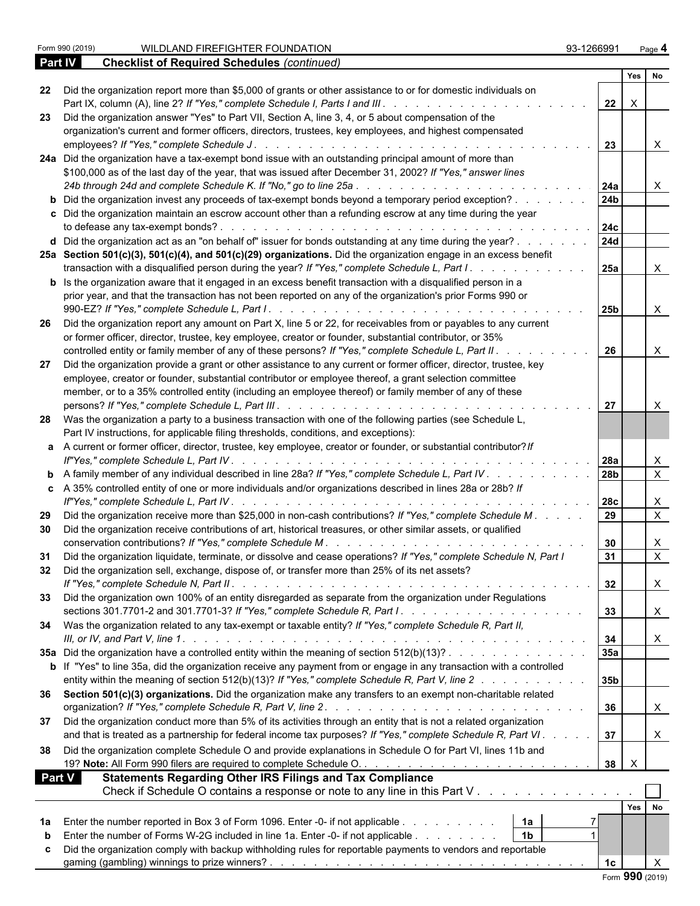|               |                                                                                                                             |                 | Yes             | l No         |  |
|---------------|-----------------------------------------------------------------------------------------------------------------------------|-----------------|-----------------|--------------|--|
|               | 22 Did the organization report more than \$5,000 of grants or other assistance to or for domestic individuals on            |                 |                 |              |  |
|               |                                                                                                                             | 22              | $\mathsf{X}$    |              |  |
| 23            | Did the organization answer "Yes" to Part VII, Section A, line 3, 4, or 5 about compensation of the                         |                 |                 |              |  |
|               | organization's current and former officers, directors, trustees, key employees, and highest compensated                     |                 |                 |              |  |
|               |                                                                                                                             | 23              |                 | $\times$     |  |
|               | 24a Did the organization have a tax-exempt bond issue with an outstanding principal amount of more than                     |                 |                 |              |  |
|               | \$100,000 as of the last day of the year, that was issued after December 31, 2002? If "Yes," answer lines                   |                 |                 |              |  |
|               |                                                                                                                             | 24a             |                 |              |  |
|               | <b>b</b> Did the organization invest any proceeds of tax-exempt bonds beyond a temporary period exception?                  | 24 <sub>b</sub> |                 |              |  |
|               | c Did the organization maintain an escrow account other than a refunding escrow at any time during the year                 |                 |                 |              |  |
|               |                                                                                                                             | 24с             |                 |              |  |
|               | d Did the organization act as an "on behalf of" issuer for bonds outstanding at any time during the year?                   | <b>24d</b>      |                 |              |  |
|               | 25a Section 501(c)(3), 501(c)(4), and 501(c)(29) organizations. Did the organization engage in an excess benefit            |                 |                 |              |  |
|               | transaction with a disqualified person during the year? If "Yes," complete Schedule L, Part I.                              | <b>25a</b>      |                 |              |  |
|               | <b>b</b> Is the organization aware that it engaged in an excess benefit transaction with a disqualified person in a         |                 |                 |              |  |
|               | prior year, and that the transaction has not been reported on any of the organization's prior Forms 990 or                  |                 |                 |              |  |
|               |                                                                                                                             |                 |                 |              |  |
|               |                                                                                                                             | 25 <sub>b</sub> |                 | X            |  |
|               | 26 Did the organization report any amount on Part X, line 5 or 22, for receivables from or payables to any current          |                 |                 |              |  |
|               | or former officer, director, trustee, key employee, creator or founder, substantial contributor, or 35%                     |                 |                 |              |  |
|               | controlled entity or family member of any of these persons? If "Yes," complete Schedule L, Part II.                         | 26              |                 |              |  |
| 27            | Did the organization provide a grant or other assistance to any current or former officer, director, trustee, key           |                 |                 |              |  |
|               | employee, creator or founder, substantial contributor or employee thereof, a grant selection committee                      |                 |                 |              |  |
|               | member, or to a 35% controlled entity (including an employee thereof) or family member of any of these                      |                 |                 |              |  |
|               |                                                                                                                             | 27              |                 |              |  |
|               | 28 Was the organization a party to a business transaction with one of the following parties (see Schedule L,                |                 |                 |              |  |
|               | Part IV instructions, for applicable filing thresholds, conditions, and exceptions):                                        |                 |                 |              |  |
|               | a A current or former officer, director, trustee, key employee, creator or founder, or substantial contributor? If          |                 |                 |              |  |
|               |                                                                                                                             | 28a             |                 | X            |  |
|               | <b>b</b> A family member of any individual described in line 28a? If "Yes," complete Schedule L, Part IV                    | 28 <sub>b</sub> |                 | $\mathsf{X}$ |  |
|               | c A 35% controlled entity of one or more individuals and/or organizations described in lines 28a or 28b? If                 |                 |                 |              |  |
|               |                                                                                                                             | 28c             |                 | Х            |  |
| 29            | Did the organization receive more than \$25,000 in non-cash contributions? If "Yes," complete Schedule M.                   |                 |                 | $\mathsf{X}$ |  |
| 30            | Did the organization receive contributions of art, historical treasures, or other similar assets, or qualified              |                 |                 |              |  |
|               |                                                                                                                             | 30              |                 | X            |  |
| 31            | Did the organization liquidate, terminate, or dissolve and cease operations? If "Yes," complete Schedule N, Part I          | 31              |                 | X            |  |
| 32            | Did the organization sell, exchange, dispose of, or transfer more than 25% of its net assets?                               |                 |                 |              |  |
|               |                                                                                                                             | 32              |                 | $\mathsf{X}$ |  |
| 33            | Did the organization own 100% of an entity disregarded as separate from the organization under Regulations                  |                 |                 |              |  |
|               |                                                                                                                             | 33              |                 |              |  |
|               |                                                                                                                             |                 |                 | $\mathsf{X}$ |  |
|               | 34 Was the organization related to any tax-exempt or taxable entity? If "Yes," complete Schedule R, Part II,                |                 |                 |              |  |
|               |                                                                                                                             | 34              |                 | X            |  |
|               | 35a Did the organization have a controlled entity within the meaning of section 512(b)(13)?                                 | 35a             |                 |              |  |
|               | <b>b</b> If "Yes" to line 35a, did the organization receive any payment from or engage in any transaction with a controlled |                 |                 |              |  |
|               | entity within the meaning of section 512(b)(13)? If "Yes," complete Schedule R, Part V, line 2                              | 35b             |                 |              |  |
|               | 36 Section 501(c)(3) organizations. Did the organization make any transfers to an exempt non-charitable related             |                 |                 |              |  |
|               |                                                                                                                             | 36              |                 | X            |  |
|               | 37 Did the organization conduct more than 5% of its activities through an entity that is not a related organization         |                 |                 |              |  |
|               | and that is treated as a partnership for federal income tax purposes? If "Yes," complete Schedule R, Part VI.               | 37              |                 | X            |  |
| 38            | Did the organization complete Schedule O and provide explanations in Schedule O for Part VI, lines 11b and                  |                 |                 |              |  |
|               |                                                                                                                             | $38$ $\times$   |                 |              |  |
| <b>Part V</b> | <b>Statements Regarding Other IRS Filings and Tax Compliance</b>                                                            |                 |                 |              |  |
|               | Check if Schedule O contains a response or note to any line in this Part V                                                  |                 |                 |              |  |
|               |                                                                                                                             |                 |                 |              |  |
|               |                                                                                                                             |                 | $Yes$ No        |              |  |
| 1a            | Enter the number reported in Box 3 of Form 1096. Enter -0- if not applicable   1a                                           |                 |                 |              |  |
|               | $\vert$ 1b<br>Enter the number of Forms W-2G included in line 1a. Enter -0- if not applicable                               |                 |                 |              |  |
|               | Did the organization comply with backup withholding rules for reportable payments to vendors and reportable                 |                 |                 |              |  |
|               |                                                                                                                             | 1 <sub>c</sub>  |                 | $\mathsf{X}$ |  |
|               |                                                                                                                             |                 | Form 990 (2019) |              |  |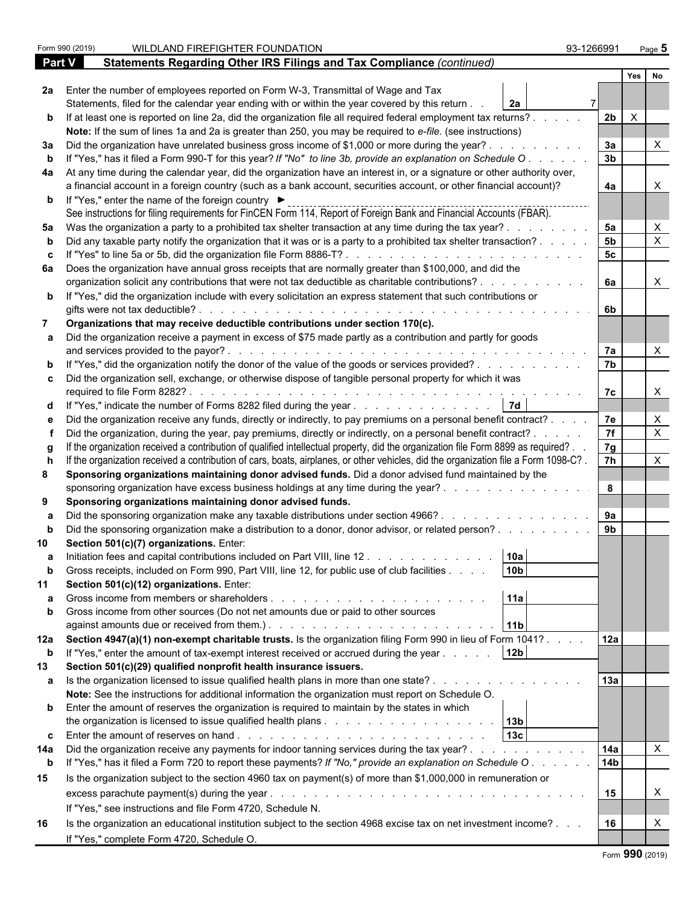|             | Form 990 (2019) | WILDLAND FIREFIGHTER FOUNDATION                                                                                                                                                                   | 93-1266991      |              | Page 5                    |  |
|-------------|-----------------|---------------------------------------------------------------------------------------------------------------------------------------------------------------------------------------------------|-----------------|--------------|---------------------------|--|
| Part V      |                 | Statements Regarding Other IRS Filings and Tax Compliance (continued)                                                                                                                             |                 |              |                           |  |
|             |                 |                                                                                                                                                                                                   |                 | Yes          | No                        |  |
|             |                 | 2a Enter the number of employees reported on Form W-3, Transmittal of Wage and Tax                                                                                                                |                 |              |                           |  |
|             |                 | Statements, filed for the calendar year ending with or within the year covered by this return.<br><b>2a</b>                                                                                       |                 |              |                           |  |
|             |                 | b If at least one is reported on line 2a, did the organization file all required federal employment tax returns?.                                                                                 | 2 <sub>b</sub>  | $\mathsf{X}$ |                           |  |
|             |                 | Note: If the sum of lines 1a and 2a is greater than 250, you may be required to e-file. (see instructions)                                                                                        |                 |              |                           |  |
|             |                 | 3a Did the organization have unrelated business gross income of \$1,000 or more during the year?.                                                                                                 | 3a              |              |                           |  |
| b           |                 | If "Yes," has it filed a Form 990-T for this year? If "No" to line 3b, provide an explanation on Schedule O                                                                                       | 3 <sub>b</sub>  |              |                           |  |
|             |                 | 4a At any time during the calendar year, did the organization have an interest in, or a signature or other authority over,                                                                        |                 |              |                           |  |
|             |                 | a financial account in a foreign country (such as a bank account, securities account, or other financial account)?                                                                                | 4a              |              |                           |  |
|             |                 | <b>b</b> If "Yes," enter the name of the foreign country ▶<br>See instructions for filing requirements for FinCEN Form 114, Report of Foreign Bank and Financial Accounts (FBAR).                 |                 |              |                           |  |
|             |                 | 5a Was the organization a party to a prohibited tax shelter transaction at any time during the tax year?.                                                                                         | 5a              |              | X                         |  |
|             |                 | Did any taxable party notify the organization that it was or is a party to a prohibited tax shelter transaction?.                                                                                 | 5 <sub>b</sub>  |              | $\times$                  |  |
| c.          |                 |                                                                                                                                                                                                   | 5c              |              |                           |  |
|             |                 | 6a Does the organization have annual gross receipts that are normally greater than \$100,000, and did the                                                                                         |                 |              |                           |  |
|             |                 | organization solicit any contributions that were not tax deductible as charitable contributions?.                                                                                                 | 6a              |              | X                         |  |
|             |                 | b If "Yes," did the organization include with every solicitation an express statement that such contributions or                                                                                  |                 |              |                           |  |
|             |                 | gifts were not tax deductible?.                                                                                                                                                                   | 6b              |              |                           |  |
|             |                 | Organizations that may receive deductible contributions under section 170(c).                                                                                                                     |                 |              |                           |  |
|             |                 | a Did the organization receive a payment in excess of \$75 made partly as a contribution and partly for goods                                                                                     |                 |              |                           |  |
|             |                 | and services provided to the payor?.<br>de la caractería de la caractería de la caractería de la caractería                                                                                       | 7a              |              |                           |  |
|             |                 | <b>b</b> If "Yes," did the organization notify the donor of the value of the goods or services provided?                                                                                          | 7 <sub>b</sub>  |              |                           |  |
|             |                 | c Did the organization sell, exchange, or otherwise dispose of tangible personal property for which it was                                                                                        |                 |              |                           |  |
|             |                 | required to file Form 8282?<br>de la caractería de la caractería de la caractería de la caractería                                                                                                | 7c              |              | X                         |  |
|             |                 | d If "Yes," indicate the number of Forms 8282 filed during the year                                                                                                                               |                 |              |                           |  |
|             |                 | Did the organization receive any funds, directly or indirectly, to pay premiums on a personal benefit contract?.                                                                                  | 7e              |              | X                         |  |
|             |                 | Did the organization, during the year, pay premiums, directly or indirectly, on a personal benefit contract? .                                                                                    | 7f              |              | $\mathsf{X}$              |  |
|             |                 | If the organization received a contribution of qualified intellectual property, did the organization file Form 8899 as required?.                                                                 | 7g              |              |                           |  |
|             |                 | If the organization received a contribution of cars, boats, airplanes, or other vehicles, did the organization file a Form 1098-C?.                                                               | $\overline{7h}$ |              | X                         |  |
| 8           |                 | Sponsoring organizations maintaining donor advised funds. Did a donor advised fund maintained by the                                                                                              |                 |              |                           |  |
|             |                 | sponsoring organization have excess business holdings at any time during the year?.                                                                                                               | 8               |              |                           |  |
| 9           |                 | Sponsoring organizations maintaining donor advised funds.                                                                                                                                         | 9a              |              |                           |  |
|             |                 | Did the sponsoring organization make any taxable distributions under section 4966?.                                                                                                               | 9 <sub>b</sub>  |              |                           |  |
|             |                 | Did the sponsoring organization make a distribution to a donor, donor advisor, or related person?                                                                                                 |                 |              |                           |  |
|             |                 | Section 501(c)(7) organizations. Enter:                                                                                                                                                           |                 |              |                           |  |
| a           |                 | Initiation fees and capital contributions included on Part VIII, line 12<br>10a<br>10 <sub>b</sub><br>Gross receipts, included on Form 990, Part VIII, line 12, for public use of club facilities |                 |              |                           |  |
|             |                 | Section 501(c)(12) organizations. Enter:                                                                                                                                                          |                 |              |                           |  |
|             |                 | 11a                                                                                                                                                                                               |                 |              |                           |  |
| b           |                 | Gross income from other sources (Do not net amounts due or paid to other sources                                                                                                                  |                 |              |                           |  |
|             |                 | 11 <sub>b</sub>                                                                                                                                                                                   |                 |              |                           |  |
|             |                 | 12a Section 4947(a)(1) non-exempt charitable trusts. Is the organization filing Form 990 in lieu of Form 1041?.                                                                                   | 12a             |              |                           |  |
| $\mathbf b$ |                 | 12 <sub>b</sub><br>If "Yes," enter the amount of tax-exempt interest received or accrued during the year                                                                                          |                 |              |                           |  |
| 13          |                 | Section 501(c)(29) qualified nonprofit health insurance issuers.                                                                                                                                  |                 |              |                           |  |
|             |                 | a Is the organization licensed to issue qualified health plans in more than one state?.                                                                                                           | 13a             |              |                           |  |
|             |                 | Note: See the instructions for additional information the organization must report on Schedule O.                                                                                                 |                 |              |                           |  |
|             |                 | <b>b</b> Enter the amount of reserves the organization is required to maintain by the states in which                                                                                             |                 |              |                           |  |
|             |                 |                                                                                                                                                                                                   |                 |              |                           |  |
|             |                 | 13c                                                                                                                                                                                               |                 |              |                           |  |
| 14a         |                 | Did the organization receive any payments for indoor tanning services during the tax year?                                                                                                        | 14a             |              | $\boldsymbol{\mathsf{X}}$ |  |
| $\mathbf b$ |                 | If "Yes," has it filed a Form 720 to report these payments? If "No," provide an explanation on Schedule O.                                                                                        | 14 <sub>b</sub> |              |                           |  |
| 15          |                 | Is the organization subject to the section 4960 tax on payment(s) of more than \$1,000,000 in remuneration or                                                                                     |                 |              |                           |  |
|             |                 | excess parachute payment(s) during the year.<br>and a complete that the complete the complete the complete the complete the complete the complete the complete                                    | 15              |              | X                         |  |
|             |                 | If "Yes," see instructions and file Form 4720, Schedule N.                                                                                                                                        |                 |              |                           |  |
| 16          |                 | Is the organization an educational institution subject to the section 4968 excise tax on net investment income?                                                                                   | 16              |              | Χ                         |  |
|             |                 | If "Yes," complete Form 4720, Schedule O.                                                                                                                                                         |                 |              |                           |  |
|             |                 |                                                                                                                                                                                                   |                 |              |                           |  |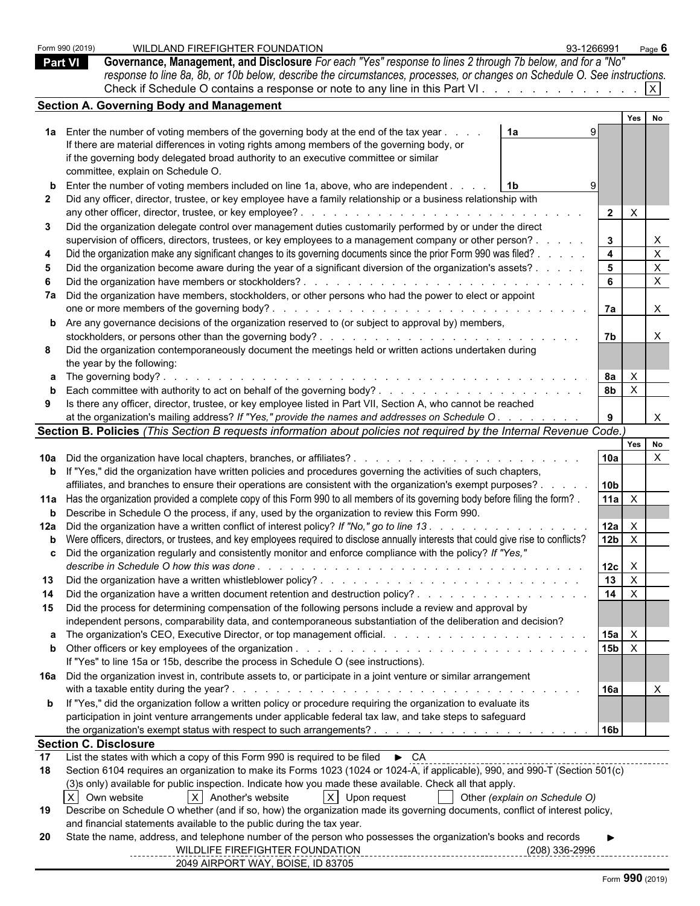Form 990 (2019) WILDLAND FIREFIGHTER FOUNDATION 93-1266991 Page **6 Part VI Governance, Management, and Disclosure** *For each "Yes" response to lines 2 through 7b below, and for a "No" response to line 8a, 8b, or 10b below, describe the circumstances, processes, or changes on Schedule O. See instructions.* Check if Schedule O contains a response or note to any line in this Part VI.  $\ldots$  . . . . . . . . . . . .  $\boxed{X}$ **Section A. Governing Body and Management Yes No 1a** Enter the number of voting members of the governing body at the end of the tax year . . . . . . . . . . . . . . . . . . . . . . . . . . . . . . . . . . . . . . . . . . . . . . . **1a** 9 If there are material differences in voting rights among members of the governing body, or if the governing body delegated broad authority to an executive committee or similar committee, explain on Schedule O. **b** Enter the number of voting members included on line 1a, above, who are independent . . . . . . . . . . . . . . . . . . . . . . . . . . . . . . . . . . . . . . . . . . . . . . . . **1b** 9 **2** Did any officer, director, trustee, or key employee have a family relationship or a business relationship with any other officer, director, trustee, or key employee? . . . . . . . . . . . . . . . . . . . . . . . . . . . . . . . . . . . . . . . . . . . . . . . . **2** X **3** Did the organization delegate control over management duties customarily performed by or under the direct supervision of officers, directors, trustees, or key employees to a management company or other person? . . . . . . | 3 | | X **4** Did the organization make any significant changes to its governing documents since the prior Form 990 was filed? . . . . . . . . . . . . . . . . . . . . . . . . . . . . . . . . **4** X **5** Did the organization become aware during the year of a significant diversion of the organization's assets? . . . . . . . . . . . . . . . . . . . . . . . . . . . . . . . . . . . . **5** X **6** Did the organization have members or stockholders? . . . . . . . . . . . . . . . . . . . . . . . . . . . . . . . . . . . . . . . . . . . . . . . . . **6** X **7a** Did the organization have members, stockholders, or other persons who had the power to elect or appoint one or more members of the governing body? . . . . . . . . . . . . . . . . . . . . . . . . . . . . . . . . . . . . . . . . . . . . . . . . . . . **7a** X **b** Are any governance decisions of the organization reserved to (or subject to approval by) members, stockholders, or persons other than the governing body? . . . . . . . . . . . . . . . . . . . . . . . . . . . . . . . . . . . . . . . . . . . . . . . . **7b** X **8** Did the organization contemporaneously document the meetings held or written actions undertaken during the year by the following: **a** The governing body? . . . . . . . . . . . . . . . . . . . . . . . . . . . . . . . . . . . . . . . . . . . . . . . . . . . . . . . . . **8a** X **b** Each committee with authority to act on behalf of the governing body? . . . . . . . . . . . . . . . . . . . . . . . . . . . . . . . . . . . . . . . . . . . . **8b** X **9** Is there any officer, director, trustee, or key employee listed in Part VII, Section A, who cannot be reached at the organization's mailing address? If "Yes," provide the names and addresses on Schedule O . . . . . . . . . . **9** | X **Section B. Policies** *(This Section B requests information about policies not required by the Internal Revenue Code.)* **Yes No 10a** Did the organization have local chapters, branches, or affiliates? . . . . . . . . . . . . . . . . . . . . . . . . . . . . . . . . . . . . . . . . . . . . . **10a** X **b** If "Yes," did the organization have written policies and procedures governing the activities of such chapters, affiliates, and branches to ensure their operations are consistent with the organization's exempt purposes? . . . . . . . . . . . . . . . . . . . . . . . . . . . . . . . . . . . **10b** 11a Has the organization provided a complete copy of this Form 990 to all members of its governing body before filing the form? [11a | X **b** Describe in Schedule O the process, if any, used by the organization to review this Form 990. **12a** Did the organization have a written conflict of interest policy? *If "No," go to line 13 . . . . . . . . . . . . . . . . . . . . . . . . . . . . . . . . . . . . . . . . . . .* **12a** X **b** Were officers, directors, or trustees, and key employees required to disclose annually interests that could give rise to conflicts?  $\vert$  12b  $\vert$  X **c** Did the organization regularly and consistently monitor and enforce compliance with the policy? *If "Yes," describe in Schedule O how this was done . . . . . . . . . . . . . . . . . . . . . . . . . . . . . . . . . . . . . . . . . . . . . . . . . . . .* **12c** X **13** Did the organization have a written whistleblower policy? . . . . . . . . . . . . . . . . . . . . . . . . . . . . . . . . . . . . . . . . . . . . . . . **13** X **14** Did the organization have a written document retention and destruction policy? . . . . . . . . . . . . . . . . . . . . . . . . . . . . . . . . . . . . . . . . . . **14** X **15** Did the process for determining compensation of the following persons include a review and approval by independent persons, comparability data, and contemporaneous substantiation of the deliberation and decision? **a** The organization's CEO, Executive Director, or top management official. . . . . . . . . . . . . . . . . . . . . . . . . . . . . . . . . . . . . . . . . . . . **15a** X **b** Other officers or key employees of the organization . . . . . . . . . . . . . . . . . . . . . . . . . . . . . . . . . . . . . . . . . . . . . . . . **15b** X If "Yes" to line 15a or 15b, describe the process in Schedule O (see instructions). **16a** Did the organization invest in, contribute assets to, or participate in a joint venture or similar arrangement with a taxable entity during the year? . . . . . . . . . . . . . . . . . . . . . . . . . . . . . . . . . . . . . . . . . . . . . . . . . . . . **16a** X **b** If "Yes," did the organization follow a written policy or procedure requiring the organization to evaluate its participation in joint venture arrangements under applicable federal tax law, and take steps to safeguard the organization's exempt status with respect to such arrangements? . . . . . . . . . . . . . . . . . . . . . . . . . . . . . . . . . . . . . . . . . . . . . **16b Section C. Disclosure** 17 List the states with which a copy of this Form 990 is required to be filed  $\triangleright$  CA **18** Section 6104 requires an organization to make its Forms 1023 (1024 or 1024-A, if applicable), 990, and 990-T (Section 501(c) (3)s only) available for public inspection. Indicate how you made these available. Check all that apply. X Own website  $|X|$  Another's website  $|X|$  Upon request  $|X|$  Other *(explain on Schedule O)* **19** Describe on Schedule O whether (and if so, how) the organization made its governing documents, conflict of interest policy, and financial statements available to the public during the tax year. **20** State the name, address, and telephone number of the person who possesses the organization's books and records **Name:** WILDLIFE FIREFIGHTER FOUNDATION **Phone Number:** (208) 336-2996 **Physical Address:** 2049 AIRPORT WAY, BOISE, ID 83705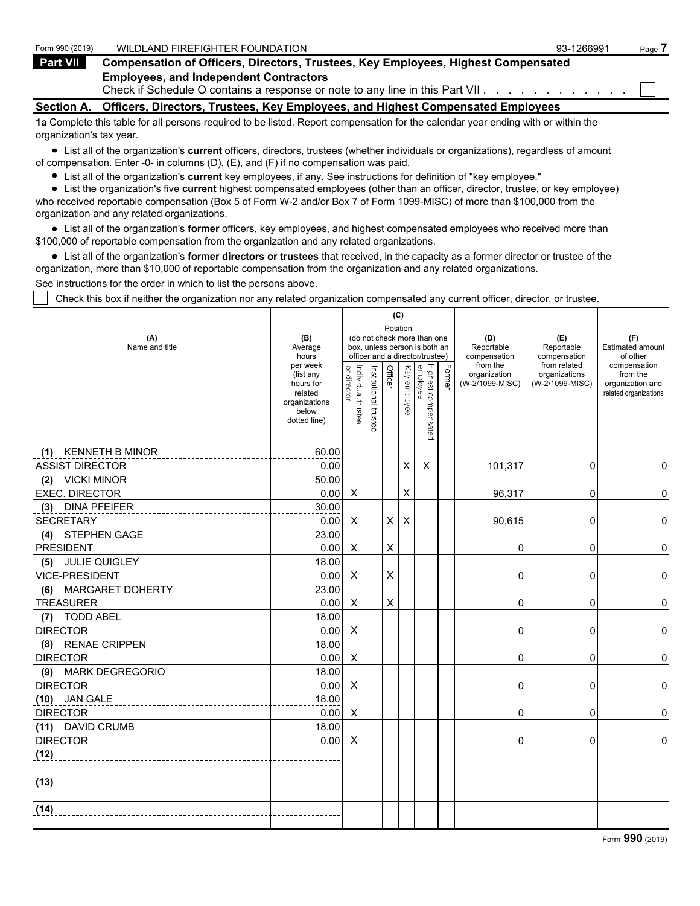| Form 990 (2019)          | WILDLAND FIREFIGHTER FOUNDATION                                                                                                                               | 93-1266991 | Page i |
|--------------------------|---------------------------------------------------------------------------------------------------------------------------------------------------------------|------------|--------|
| <b>Part VII</b>          | <b>Compensation of Officers, Directors, Trustees, Key Employees, Highest Compensated</b>                                                                      |            |        |
|                          | <b>Employees, and Independent Contractors</b><br>Check if Schedule O contains a response or note to any line in this Part VII. $\ldots$ , $\ldots$ , $\ldots$ |            |        |
| <b>Section A.</b>        | Officers, Directors, Trustees, Key Employees, and Highest Compensated Employees                                                                               |            |        |
| organization's tax year. | 1a Complete this table for all persons required to be listed. Report compensation for the calendar year ending with or within the                             |            |        |

List all of the organization's **current** officers, directors, trustees (whether individuals or organizations), regardless of amount of compensation. Enter -0- in columns (D), (E), and (F) if no compensation was paid.

- List all of the organization's **current** key employees, if any. See instructions for definition of "key employee."
- List the organization's five **current** highest compensated employees (other than an officer, director, trustee, or key employee)

who received reportable compensation (Box 5 of Form W-2 and/or Box 7 of Form 1099-MISC) of more than \$100,000 from the organization and any related organizations.

List all of the organization's **former** officers, key employees, and highest compensated employees who received more than \$100,000 of reportable compensation from the organization and any related organizations.

List all of the organization's **former directors or trustees** that received, in the capacity as a former director or trustee of the organization, more than \$10,000 of reportable compensation from the organization and any related organizations.

See instructions for the order in which to list the persons above.

Check this box if neither the organization nor any related organization compensated any current officer, director, or trustee.

|                               |                                                                                         |                                   |                       |          | (C)             |                                                                                                 |        |                                             |                                                  |                                                                       |
|-------------------------------|-----------------------------------------------------------------------------------------|-----------------------------------|-----------------------|----------|-----------------|-------------------------------------------------------------------------------------------------|--------|---------------------------------------------|--------------------------------------------------|-----------------------------------------------------------------------|
| (A)<br>Name and title         | (B)<br>Average<br>hours                                                                 |                                   |                       | Position |                 | (do not check more than one<br>box, unless person is both an<br>officer and a director/trustee) |        | (D)<br>Reportable<br>compensation           | (E)<br>Reportable<br>compensation                | (F)<br>Estimated amount<br>of other                                   |
|                               | per week<br>(list any<br>hours for<br>related<br>organizations<br>below<br>dotted line) | Individual trustee<br>or director | Institutional trustee | Officer  | Key<br>employee | Highest compensated<br>employee                                                                 | Former | from the<br>organization<br>(W-2/1099-MISC) | from related<br>organizations<br>(W-2/1099-MISC) | compensation<br>from the<br>organization and<br>related organizations |
| <b>KENNETH B MINOR</b><br>(1) | 60.00                                                                                   |                                   |                       |          |                 |                                                                                                 |        |                                             |                                                  |                                                                       |
| <b>ASSIST DIRECTOR</b>        | 0.00                                                                                    |                                   |                       |          | X               | X                                                                                               |        | 101,317                                     | 0                                                | 0                                                                     |
| <b>VICKI MINOR</b><br>(2)     | 50.00                                                                                   |                                   |                       |          |                 |                                                                                                 |        |                                             |                                                  |                                                                       |
| <b>EXEC. DIRECTOR</b>         | 0.00                                                                                    | Χ                                 |                       |          | X               |                                                                                                 |        | 96,317                                      | 0                                                | 0                                                                     |
| <b>DINA PFEIFER</b><br>(3)    | 30.00                                                                                   |                                   |                       |          |                 |                                                                                                 |        |                                             |                                                  |                                                                       |
| <b>SECRETARY</b>              | 0.00                                                                                    | X                                 |                       | X        | $\times$        |                                                                                                 |        | 90,615                                      | $\mathbf 0$                                      | 0                                                                     |
| STEPHEN GAGE<br>(4)           | 23.00                                                                                   |                                   |                       |          |                 |                                                                                                 |        |                                             |                                                  |                                                                       |
| <b>PRESIDENT</b>              | 0.00                                                                                    | Χ                                 |                       | X        |                 |                                                                                                 |        | 0                                           | 0                                                | 0                                                                     |
| (5) JULIE QUIGLEY             | 18.00                                                                                   |                                   |                       |          |                 |                                                                                                 |        |                                             |                                                  |                                                                       |
| VICE-PRESIDENT                | 0.00                                                                                    | X                                 |                       | X        |                 |                                                                                                 |        | $\Omega$                                    | 0                                                | 0                                                                     |
| MARGARET DOHERTY<br>(6)       | 23.00                                                                                   |                                   |                       |          |                 |                                                                                                 |        |                                             |                                                  |                                                                       |
| <b>TREASURER</b>              | 0.00                                                                                    | Χ                                 |                       | X        |                 |                                                                                                 |        | $\Omega$                                    | 0                                                | 0                                                                     |
| (7) TODD ABEL                 | 18.00                                                                                   |                                   |                       |          |                 |                                                                                                 |        |                                             |                                                  |                                                                       |
| <b>DIRECTOR</b>               | 0.00                                                                                    | X                                 |                       |          |                 |                                                                                                 |        | 0                                           | 0                                                | 0                                                                     |
| (8) RENAE CRIPPEN             | 18.00                                                                                   |                                   |                       |          |                 |                                                                                                 |        |                                             |                                                  |                                                                       |
| <b>DIRECTOR</b>               | 0.00                                                                                    | X                                 |                       |          |                 |                                                                                                 |        | 0                                           | 0                                                | 0                                                                     |
| (9) MARK DEGREGORIO           | 18.00                                                                                   |                                   |                       |          |                 |                                                                                                 |        |                                             |                                                  |                                                                       |
| <b>DIRECTOR</b>               | 0.00                                                                                    | X                                 |                       |          |                 |                                                                                                 |        | $\Omega$                                    | $\Omega$                                         | 0                                                                     |
| (10) JAN GALE                 | 18.00                                                                                   |                                   |                       |          |                 |                                                                                                 |        |                                             |                                                  |                                                                       |
| <b>DIRECTOR</b>               | 0.00                                                                                    | X                                 |                       |          |                 |                                                                                                 |        | 0                                           | 0                                                | 0                                                                     |
| (11) DAVID CRUMB              | 18.00                                                                                   |                                   |                       |          |                 |                                                                                                 |        |                                             |                                                  |                                                                       |
| <b>DIRECTOR</b>               | 0.00                                                                                    | Χ                                 |                       |          |                 |                                                                                                 |        | 0                                           | 0                                                | 0                                                                     |
| (12)                          |                                                                                         |                                   |                       |          |                 |                                                                                                 |        |                                             |                                                  |                                                                       |
| (13)                          |                                                                                         |                                   |                       |          |                 |                                                                                                 |        |                                             |                                                  |                                                                       |
| (14)                          |                                                                                         |                                   |                       |          |                 |                                                                                                 |        |                                             |                                                  |                                                                       |
|                               |                                                                                         |                                   |                       |          |                 |                                                                                                 |        |                                             |                                                  |                                                                       |

Form **990** (2019)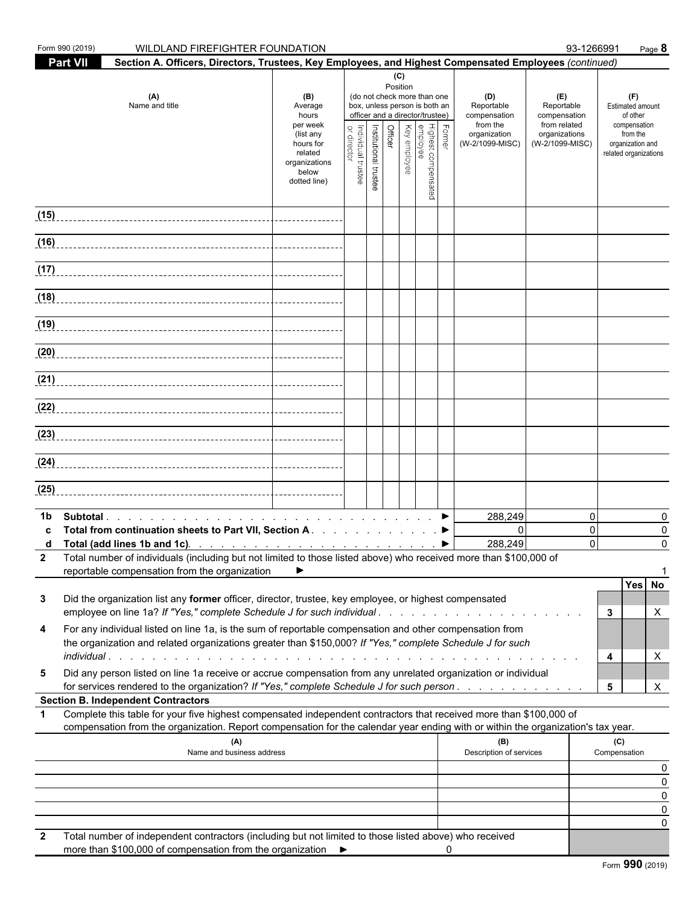|                          | Form 990 (2019)<br>WILDLAND FIREFIGHTER FOUNDATION                                                                                                                                                                                                                                                                              |                                                                                                                    |                                   |                       |                |                 |                                                                                                                                                    |        |                                                                                  | 93-1266991                                                                            | Page 8                                                                                                              |
|--------------------------|---------------------------------------------------------------------------------------------------------------------------------------------------------------------------------------------------------------------------------------------------------------------------------------------------------------------------------|--------------------------------------------------------------------------------------------------------------------|-----------------------------------|-----------------------|----------------|-----------------|----------------------------------------------------------------------------------------------------------------------------------------------------|--------|----------------------------------------------------------------------------------|---------------------------------------------------------------------------------------|---------------------------------------------------------------------------------------------------------------------|
|                          | <b>Part VII</b><br>Section A. Officers, Directors, Trustees, Key Employees, and Highest Compensated Employees (continued)                                                                                                                                                                                                       |                                                                                                                    |                                   |                       |                |                 |                                                                                                                                                    |        |                                                                                  |                                                                                       |                                                                                                                     |
|                          | (A)<br>Name and title                                                                                                                                                                                                                                                                                                           | (B)<br>Average<br>hours<br>per week<br>(list any<br>hours for<br>related<br>organizations<br>below<br>dotted line) | Individual trustee<br>or director | Institutional trustee | <b>Officer</b> | (C)<br>Position | (do not check more than one<br>box, unless person is both an<br>officer and a director/trustee)<br>Highest compensated<br>employee<br>Key employee | Former | (D)<br>Reportable<br>compensation<br>from the<br>organization<br>(W-2/1099-MISC) | (E)<br>Reportable<br>compensation<br>from related<br>organizations<br>(W-2/1099-MISC) | (F)<br><b>Estimated amount</b><br>of other<br>compensation<br>from the<br>organization and<br>related organizations |
|                          |                                                                                                                                                                                                                                                                                                                                 |                                                                                                                    |                                   |                       |                |                 |                                                                                                                                                    |        |                                                                                  |                                                                                       |                                                                                                                     |
|                          |                                                                                                                                                                                                                                                                                                                                 |                                                                                                                    |                                   |                       |                |                 |                                                                                                                                                    |        |                                                                                  |                                                                                       |                                                                                                                     |
|                          |                                                                                                                                                                                                                                                                                                                                 |                                                                                                                    |                                   |                       |                |                 |                                                                                                                                                    |        |                                                                                  |                                                                                       |                                                                                                                     |
|                          |                                                                                                                                                                                                                                                                                                                                 |                                                                                                                    |                                   |                       |                |                 |                                                                                                                                                    |        |                                                                                  |                                                                                       |                                                                                                                     |
|                          |                                                                                                                                                                                                                                                                                                                                 |                                                                                                                    |                                   |                       |                |                 |                                                                                                                                                    |        |                                                                                  |                                                                                       |                                                                                                                     |
|                          |                                                                                                                                                                                                                                                                                                                                 |                                                                                                                    |                                   |                       |                |                 |                                                                                                                                                    |        |                                                                                  |                                                                                       |                                                                                                                     |
|                          |                                                                                                                                                                                                                                                                                                                                 |                                                                                                                    |                                   |                       |                |                 |                                                                                                                                                    |        |                                                                                  |                                                                                       |                                                                                                                     |
|                          |                                                                                                                                                                                                                                                                                                                                 |                                                                                                                    |                                   |                       |                |                 |                                                                                                                                                    |        |                                                                                  |                                                                                       |                                                                                                                     |
|                          |                                                                                                                                                                                                                                                                                                                                 |                                                                                                                    |                                   |                       |                |                 |                                                                                                                                                    |        |                                                                                  |                                                                                       |                                                                                                                     |
|                          |                                                                                                                                                                                                                                                                                                                                 |                                                                                                                    |                                   |                       |                |                 |                                                                                                                                                    |        |                                                                                  |                                                                                       |                                                                                                                     |
|                          |                                                                                                                                                                                                                                                                                                                                 |                                                                                                                    |                                   |                       |                |                 |                                                                                                                                                    |        |                                                                                  |                                                                                       |                                                                                                                     |
| (25)                     |                                                                                                                                                                                                                                                                                                                                 |                                                                                                                    |                                   |                       |                |                 |                                                                                                                                                    |        |                                                                                  |                                                                                       |                                                                                                                     |
|                          |                                                                                                                                                                                                                                                                                                                                 |                                                                                                                    |                                   |                       |                |                 |                                                                                                                                                    |        |                                                                                  |                                                                                       |                                                                                                                     |
| 1b.<br>c<br>$\mathbf{2}$ | Total from continuation sheets to Part VII, Section A. ▶<br>d Total (add lines 1b and 1c). $\ldots$ $\ldots$ $\ldots$ $\ldots$ $\ldots$ $\ldots$ $\ldots$<br>Total number of individuals (including but not limited to those listed above) who received more than \$100,000 of<br>reportable compensation from the organization |                                                                                                                    |                                   |                       |                |                 |                                                                                                                                                    |        | 288,249<br>$\Omega$<br>288,249                                                   | 0<br>$\mathbf 0$<br>$\Omega$                                                          | 0<br>0<br>$\Omega$                                                                                                  |
| 3                        | Did the organization list any former officer, director, trustee, key employee, or highest compensated                                                                                                                                                                                                                           |                                                                                                                    |                                   |                       |                |                 |                                                                                                                                                    |        |                                                                                  |                                                                                       | Yes No                                                                                                              |
| 4                        | employee on line 1a? If "Yes," complete Schedule J for such individual<br>For any individual listed on line 1a, is the sum of reportable compensation and other compensation from<br>the organization and related organizations greater than \$150,000? If "Yes," complete Schedule J for such                                  |                                                                                                                    |                                   |                       |                |                 |                                                                                                                                                    |        |                                                                                  |                                                                                       | 3<br>Х<br>X<br>4                                                                                                    |
| 5                        | Did any person listed on line 1a receive or accrue compensation from any unrelated organization or individual<br>for services rendered to the organization? If "Yes," complete Schedule J for such person                                                                                                                       |                                                                                                                    |                                   |                       |                |                 |                                                                                                                                                    |        |                                                                                  |                                                                                       | X<br>5                                                                                                              |
|                          | <b>Section B. Independent Contractors</b>                                                                                                                                                                                                                                                                                       |                                                                                                                    |                                   |                       |                |                 |                                                                                                                                                    |        |                                                                                  |                                                                                       |                                                                                                                     |
| $\mathbf 1$              | Complete this table for your five highest compensated independent contractors that received more than \$100,000 of<br>compensation from the organization. Report compensation for the calendar year ending with or within the organization's tax year.                                                                          |                                                                                                                    |                                   |                       |                |                 |                                                                                                                                                    |        |                                                                                  |                                                                                       |                                                                                                                     |
|                          | (A)<br>Name and business address                                                                                                                                                                                                                                                                                                |                                                                                                                    |                                   |                       |                |                 |                                                                                                                                                    |        | (B)<br>Description of services                                                   |                                                                                       | (C)<br>Compensation                                                                                                 |
|                          |                                                                                                                                                                                                                                                                                                                                 |                                                                                                                    |                                   |                       |                |                 |                                                                                                                                                    |        |                                                                                  |                                                                                       | O                                                                                                                   |
|                          |                                                                                                                                                                                                                                                                                                                                 |                                                                                                                    |                                   |                       |                |                 |                                                                                                                                                    |        |                                                                                  |                                                                                       | 0<br>0                                                                                                              |
|                          |                                                                                                                                                                                                                                                                                                                                 |                                                                                                                    |                                   |                       |                |                 |                                                                                                                                                    |        |                                                                                  |                                                                                       | O                                                                                                                   |
| $\mathbf{2}$             | Total number of independent contractors (including but not limited to those listed above) who received<br>more than \$100,000 of compensation from the organization ▶                                                                                                                                                           |                                                                                                                    |                                   |                       |                |                 |                                                                                                                                                    | 0      |                                                                                  |                                                                                       |                                                                                                                     |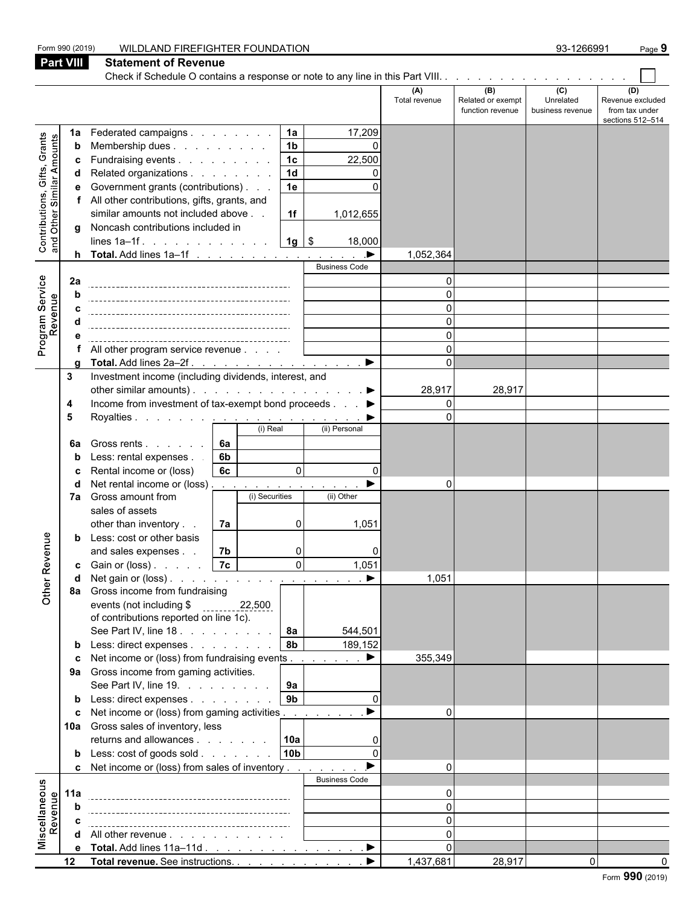|                                                           | Form 990 (2019)  | WILDLAND FIREFIGHTER FOUNDATION                                                  |                      |                                              | 93-1266991                           | Page 9                                                        |
|-----------------------------------------------------------|------------------|----------------------------------------------------------------------------------|----------------------|----------------------------------------------|--------------------------------------|---------------------------------------------------------------|
|                                                           | <b>Part VIII</b> | <b>Statement of Revenue</b>                                                      |                      |                                              |                                      |                                                               |
|                                                           |                  |                                                                                  |                      |                                              |                                      |                                                               |
|                                                           |                  |                                                                                  | (A)<br>Total revenue | (B)<br>Related or exempt<br>function revenue | (C)<br>Unrelated<br>business revenue | (D)<br>Revenue excluded<br>from tax under<br>sections 512-514 |
|                                                           | 1a               | Federated campaigns<br>1a<br>17,209                                              |                      |                                              |                                      |                                                               |
|                                                           | b                | 1 <sub>b</sub><br>Membership dues<br>$\Omega$                                    |                      |                                              |                                      |                                                               |
|                                                           | c                | 1 <sub>c</sub><br>Fundraising events<br>22,500                                   |                      |                                              |                                      |                                                               |
|                                                           | d                | 1 <sub>d</sub><br>Related organizations                                          |                      |                                              |                                      |                                                               |
|                                                           |                  | Government grants (contributions)<br>1e                                          |                      |                                              |                                      |                                                               |
|                                                           |                  | f All other contributions, gifts, grants, and                                    |                      |                                              |                                      |                                                               |
|                                                           |                  | similar amounts not included above<br>1f<br>1,012,655                            |                      |                                              |                                      |                                                               |
| Contributions, Gifts, Grants<br>and Other Similar Amounts | q                | Noncash contributions included in<br>$1g$ \$<br>lines $1a-1f$ .<br>18,000        |                      |                                              |                                      |                                                               |
|                                                           |                  |                                                                                  | 1,052,364            |                                              |                                      |                                                               |
|                                                           |                  | <b>Business Code</b>                                                             |                      |                                              |                                      |                                                               |
|                                                           | 2a               |                                                                                  | $\Omega$             |                                              |                                      |                                                               |
| Program Service                                           | b                |                                                                                  |                      |                                              |                                      |                                                               |
| Revenue                                                   |                  |                                                                                  |                      |                                              |                                      |                                                               |
|                                                           |                  |                                                                                  |                      |                                              |                                      |                                                               |
|                                                           |                  |                                                                                  |                      |                                              |                                      |                                                               |
|                                                           |                  | All other program service revenue<br>$\blacktriangleright$                       | $\Omega$             |                                              |                                      |                                                               |
|                                                           | 3                | Total. Add lines 2a-2f.<br>Investment income (including dividends, interest, and | U                    |                                              |                                      |                                                               |
|                                                           |                  | other similar amounts). $\ldots$ $\ldots$ $\ldots$ $\ldots$ $\ldots$ $\ldots$    | 28,917               | 28,917                                       |                                      |                                                               |
|                                                           | 4                | Income from investment of tax-exempt bond proceeds ▶                             | 0                    |                                              |                                      |                                                               |
|                                                           | 5                |                                                                                  | $\Omega$             |                                              |                                      |                                                               |
|                                                           |                  | (i) Real<br>(ii) Personal                                                        |                      |                                              |                                      |                                                               |
|                                                           | 6a               | 6а<br>Gross rents                                                                |                      |                                              |                                      |                                                               |
|                                                           | b                | Less: rental expenses.<br>6b                                                     |                      |                                              |                                      |                                                               |
|                                                           | с                | 6c<br>Rental income or (loss)<br>$\mathbf{0}$<br>0                               |                      |                                              |                                      |                                                               |
|                                                           | d                | Net rental income or (loss)<br>the contract of the                               | O                    |                                              |                                      |                                                               |
|                                                           |                  | 7a Gross amount from<br>(i) Securities<br>(ii) Other<br>sales of assets          |                      |                                              |                                      |                                                               |
|                                                           |                  | other than inventory<br>7a<br>1,051<br>0                                         |                      |                                              |                                      |                                                               |
|                                                           | b                | Less: cost or other basis                                                        |                      |                                              |                                      |                                                               |
| enue                                                      |                  | 7b<br>and sales expenses.<br>$\Omega$                                            |                      |                                              |                                      |                                                               |
|                                                           |                  | 1,051<br>0I                                                                      |                      |                                              |                                      |                                                               |
|                                                           | d                | Net gain or (loss). $\ldots$ $\ldots$ $\ldots$ $\ldots$ $\ldots$ $\ldots$        | 1,051                |                                              |                                      |                                                               |
| Other Rev                                                 |                  | 8a Gross income from fundraising                                                 |                      |                                              |                                      |                                                               |
|                                                           |                  | events (not including \$<br>22,500                                               |                      |                                              |                                      |                                                               |
|                                                           |                  | of contributions reported on line 1c).<br>8a<br>See Part IV, line 18.<br>544,501 |                      |                                              |                                      |                                                               |
|                                                           |                  | 8b<br><b>b</b> Less: direct expenses<br>189,152                                  |                      |                                              |                                      |                                                               |
|                                                           |                  | $\blacktriangleright$<br>c Net income or (loss) from fundraising events          | 355,349              |                                              |                                      |                                                               |
|                                                           |                  | 9a Gross income from gaming activities.                                          |                      |                                              |                                      |                                                               |
|                                                           |                  | 9a<br>See Part IV, line 19.                                                      |                      |                                              |                                      |                                                               |
|                                                           |                  | 9 <sub>b</sub><br><b>b</b> Less: direct expenses<br>$\Omega$                     |                      |                                              |                                      |                                                               |
|                                                           |                  | <b>c</b> Net income or (loss) from gaming activities                             | $\Omega$             |                                              |                                      |                                                               |
|                                                           |                  | 10a Gross sales of inventory, less                                               |                      |                                              |                                      |                                                               |
|                                                           |                  | returns and allowances 10a                                                       |                      |                                              |                                      |                                                               |
|                                                           |                  | 10 <sub>b</sub><br><b>b</b> Less: $\cosh$ of goods $\sinh$<br>$\Omega$           |                      |                                              |                                      |                                                               |
|                                                           |                  | c Net income or (loss) from sales of inventory                                   | $\Omega$             |                                              |                                      |                                                               |
|                                                           | 11a              | <b>Business Code</b>                                                             | ŋ                    |                                              |                                      |                                                               |
|                                                           | b                |                                                                                  | U                    |                                              |                                      |                                                               |
| Miscellaneous<br>Revenue                                  | C                |                                                                                  | U                    |                                              |                                      |                                                               |
|                                                           |                  | d All other revenue                                                              | $\Omega$             |                                              |                                      |                                                               |
|                                                           |                  | e Total. Add lines 11a-11d ▶                                                     | 0                    |                                              |                                      |                                                               |
|                                                           | 12               | Total revenue. See instructions.<br>▶                                            | 1,437,681            | 28,917                                       | $\Omega$                             |                                                               |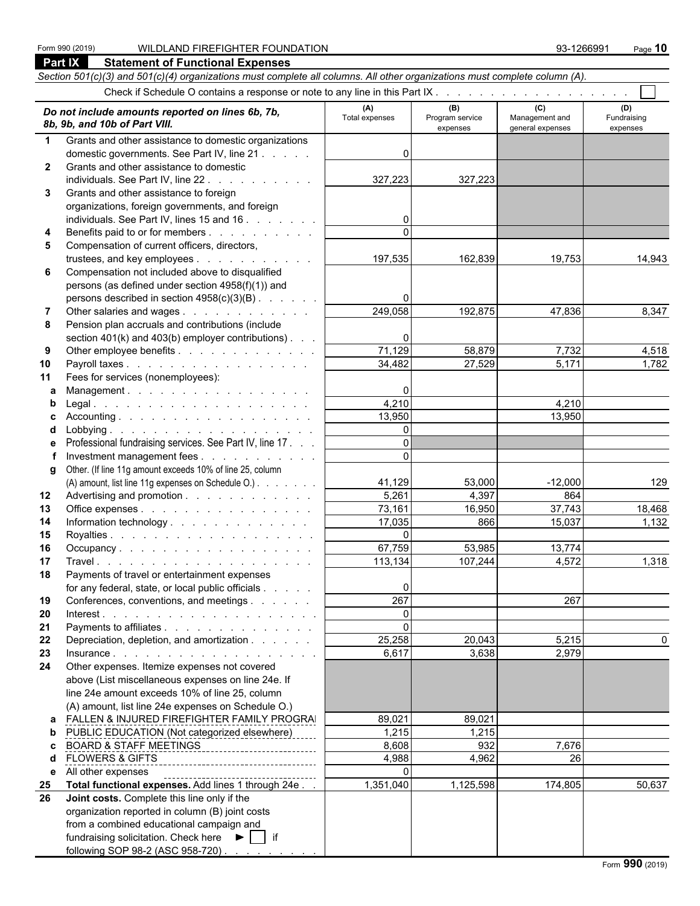#### Form 990 (2019) WILDLAND FIREFIGHTER FOUNDATION 93-1266991 Page **10 Part IX Statement of Functional Expenses**

following SOP 98-2 (ASC 958-720)

|              | Section 501(c)(3) and 501(c)(4) organizations must complete all columns. All other organizations must complete column (A). |                       |                                    |                                           |                                |
|--------------|----------------------------------------------------------------------------------------------------------------------------|-----------------------|------------------------------------|-------------------------------------------|--------------------------------|
|              | Check if Schedule O contains a response or note to any line in this Part IX.                                               |                       |                                    |                                           |                                |
|              | Do not include amounts reported on lines 6b, 7b,<br>8b, 9b, and 10b of Part VIII.                                          | (A)<br>Total expenses | (B)<br>Program service<br>expenses | (C)<br>Management and<br>general expenses | (D)<br>Fundraising<br>expenses |
| $\mathbf 1$  | Grants and other assistance to domestic organizations                                                                      |                       |                                    |                                           |                                |
|              | domestic governments. See Part IV, line 21                                                                                 | 0                     |                                    |                                           |                                |
| $\mathbf{2}$ | Grants and other assistance to domestic                                                                                    |                       |                                    |                                           |                                |
|              | individuals. See Part IV, line 22.<br>and the state of the state of the                                                    | 327,223               | 327,223                            |                                           |                                |
| 3            | Grants and other assistance to foreign                                                                                     |                       |                                    |                                           |                                |
|              | organizations, foreign governments, and foreign                                                                            |                       |                                    |                                           |                                |
|              | individuals. See Part IV, lines 15 and 16                                                                                  | $\overline{0}$        |                                    |                                           |                                |
| 4            | Benefits paid to or for members                                                                                            | $\Omega$              |                                    |                                           |                                |
| 5            | Compensation of current officers, directors,                                                                               |                       |                                    |                                           |                                |
|              | trustees, and key employees                                                                                                | 197,535               | 162,839                            | 19,753                                    | 14,943                         |
| 6            | Compensation not included above to disqualified                                                                            |                       |                                    |                                           |                                |
|              | persons (as defined under section 4958(f)(1)) and                                                                          |                       |                                    |                                           |                                |
|              | persons described in section 4958(c)(3)(B)                                                                                 | 0                     |                                    |                                           |                                |
| 7            | Other salaries and wages                                                                                                   | 249,058               | 192,875                            | 47,836                                    | 8,347                          |
| 8            | Pension plan accruals and contributions (include                                                                           |                       |                                    |                                           |                                |
|              | section $401(k)$ and $403(b)$ employer contributions).                                                                     | 0<br>71,129           |                                    |                                           |                                |
| 9            | Other employee benefits                                                                                                    |                       | 58,879<br>27,529                   | 7,732<br>5,171                            | 4,518                          |
| 10           | Payroll taxes<br>Fees for services (nonemployees):                                                                         | 34,482                |                                    |                                           | 1,782                          |
| 11<br>a      | Management.                                                                                                                | 0                     |                                    |                                           |                                |
| b            |                                                                                                                            | 4,210                 |                                    | 4,210                                     |                                |
| с            |                                                                                                                            | 13,950                |                                    | 13,950                                    |                                |
| d            |                                                                                                                            | $\overline{0}$        |                                    |                                           |                                |
| е            | Professional fundraising services. See Part IV, line 17.                                                                   | $\Omega$              |                                    |                                           |                                |
|              | Investment management fees                                                                                                 | $\Omega$              |                                    |                                           |                                |
|              | g Other. (If line 11g amount exceeds 10% of line 25, column                                                                |                       |                                    |                                           |                                |
|              | (A) amount, list line 11g expenses on Schedule O.)                                                                         | 41,129                | 53,000                             | $-12,000$                                 | 129                            |
| 12           | Advertising and promotion                                                                                                  | 5,261                 | 4,397                              | 864                                       |                                |
| 13           | Office expenses                                                                                                            | 73,161                | 16,950                             | 37,743                                    | 18,468                         |
| 14           | Information technology                                                                                                     | 17,035                | 866                                | 15,037                                    | 1,132                          |
| 15           |                                                                                                                            | $\mathbf{0}$          |                                    |                                           |                                |
| 16           | Occupancy.                                                                                                                 | 67,759                | 53,985                             | 13,774                                    |                                |
| 17           |                                                                                                                            | 113,134               | 107,244                            | 4,572                                     | 1,318                          |
| 18           | Payments of travel or entertainment expenses                                                                               |                       |                                    |                                           |                                |
|              | for any federal, state, or local public officials                                                                          | $\overline{0}$        |                                    |                                           |                                |
| 19           | Conferences, conventions, and meetings                                                                                     | 267                   |                                    | 267                                       |                                |
| 20           |                                                                                                                            | $\mathbf 0$           |                                    |                                           |                                |
| 21           | Payments to affiliates                                                                                                     | $\mathbf 0$           |                                    |                                           |                                |
| 22           | Depreciation, depletion, and amortization                                                                                  | 25,258                | 20,043                             | 5,215                                     | 0                              |
| 23           |                                                                                                                            | 6,617                 | 3,638                              | 2,979                                     |                                |
| 24           | Other expenses. Itemize expenses not covered                                                                               |                       |                                    |                                           |                                |
|              | above (List miscellaneous expenses on line 24e. If                                                                         |                       |                                    |                                           |                                |
|              | line 24e amount exceeds 10% of line 25, column                                                                             |                       |                                    |                                           |                                |
|              | (A) amount, list line 24e expenses on Schedule O.)                                                                         |                       |                                    |                                           |                                |
| a            | FALLEN & INJURED FIREFIGHTER FAMILY PROGRAI                                                                                | 89,021                | 89,021                             |                                           |                                |
| b            | PUBLIC EDUCATION (Not categorized elsewhere)                                                                               | 1,215                 | 1,215                              |                                           |                                |
| c            | <b>BOARD &amp; STAFF MEETINGS</b>                                                                                          | 8,608                 | 932                                | 7,676                                     |                                |
| d            | <b>FLOWERS &amp; GIFTS</b><br>--------------------------------                                                             | 4,988<br>0            | 4,962                              | 26                                        |                                |
| 25           | e All other expenses<br>Total functional expenses. Add lines 1 through 24e.                                                | 1,351,040             | 1,125,598                          | 174,805                                   | 50,637                         |
| 26           | Joint costs. Complete this line only if the                                                                                |                       |                                    |                                           |                                |
|              | organization reported in column (B) joint costs                                                                            |                       |                                    |                                           |                                |
|              | from a combined educational campaign and                                                                                   |                       |                                    |                                           |                                |
|              | fundraising solicitation. Check here ▶   if                                                                                |                       |                                    |                                           |                                |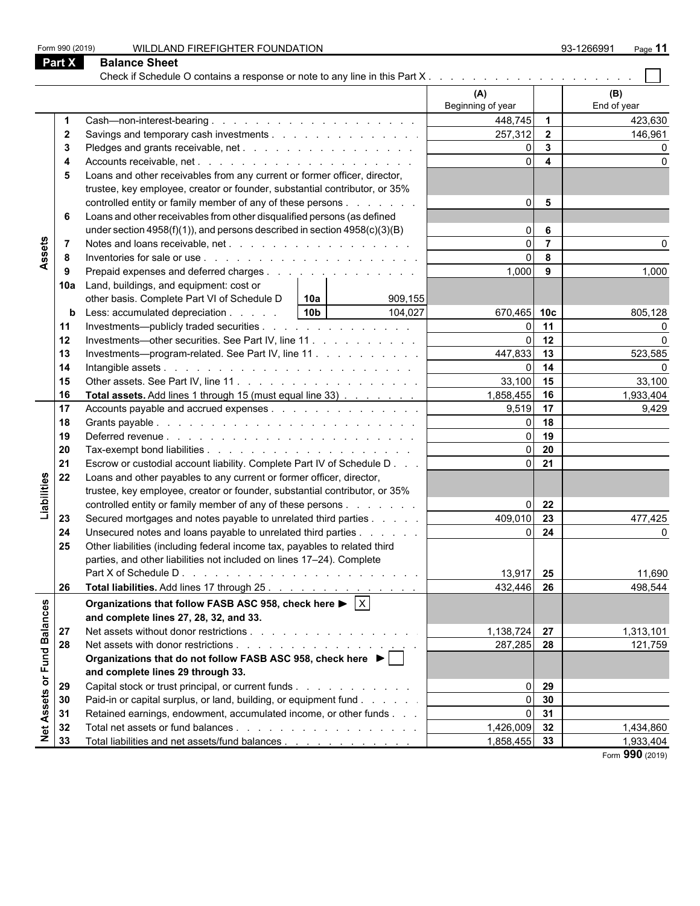Check if Schedule O contains a response or note to any line in this Part X . . . . . . . . . . . . . . . **(A) (B)** Beginning of year **End of year 1** Cash—non-interest-bearing . . . . . . . . . . . . . . . . . . . . . . . . . . . . . . . . . . . . . . . . . . . . . . . . . . . . . . . 448,745 **1** 423,630 **2 2 2 2 2 2 146,961 146,961 146,961 146,961 146,961 146,961 146,961 146,961 146,961 146,961 3** Pledges and grants receivable, net . . . . . . . . . . . . . . . . . . . . . . . . . . . . . . . . . . . . . . . . . . . . . . . . . . . . . 0 **3** 0 **4** Accounts receivable, net . . . . . . . . . . . . . . . . . . . . . . . . . . . . . . . . . . . . . . . . . . . . . . . . . . . . . . . 0 **4** 0 **5** Loans and other receivables from any current or former officer, director, trustee, key employee, creator or founder, substantial contributor, or 35% controlled entity or family member of any of these persons . . . . . . . . . . . 0 **5 6** Loans and other receivables from other disqualified persons (as defined under section 4958(f)(1)), and persons described in section 4958(c)(3)(B)  $\qquad \qquad \qquad$  0 **6** Assets **7** Notes and loans receivable, net . . . . . . . . . . . . . . . . . . . . . . . . . . . . . . . . . . . . . . . . . . . . . . . . . . . . . . 0 **7** 0 **8** Inventories for sale or use . . . . . . . . . . . . . . . . . . . . . . . . . . . . . . . . . . . . . . . . . . . . . . . . . . . . . . . 0 **8 9** Prepaid expenses and deferred charges . . . . . . . . . . . . . . . . 1,000 **9** 1,000 **9** 1,000 **10a** Land, buildings, and equipment: cost or other basis. Complete Part VI of Schedule D **10a** 909,155 **b** Less: accumulated depreciation . . . . . 10b | 104,027 | 670,465 | 10c | 805,128 **11** Investments—publicly traded securities . . . . . . . . . . . . . . . . . . . . . . . . . . . . . . . . . . . . . . . . . . . . . . . . . . . . 0 **11** 0 **12** Investments—other securities. See Part IV, line 11 . . . . . . . . . . . . . 0 **12 0** 13 Investments—program-related. See Part IV, line 11 . . . . . . . . . . . . . 447,833 13 13 523,585 **14** Intangible assets . . . . . . . . . . . . . . . . . . . . . . . . . . . . . . . . . . . . . . . . . . . . . . . . . . . . . . . . . 0 **14** 0 **15** Other assets. See Part IV, line 11 . . . . . . . . . . . . . . . . . . . . . . . . . . . . . . . . . . . . . . . . . . . . . . . . . . . . . 33,100 **15** 33,100 **16 Total assets.** Add lines 1 through 15 (must equal line 33)  $\ldots$  . . . . . . . . . . 1,858,455 **16** 16 1,933,404 **17** Accounts payable and accrued expenses . . . . . . . . . . . . . . . . 9,519 **17 17 17 18 18** Grants payable . . . . . . . . . . . . . . . . . . . . . . . . . . . . . . . . . . . . . . . . . . . . . . . . . . . . . . . . . . 0 **18 19** Deferred revenue . . . . . . . . . . . . . . . . . . . . . . . . . . . . . . . . . . . . . . . . . . . . . . . . . . . . . . . . . 0 **19 20** Tax-exempt bond liabilities . . . . . . . . . . . . . . . . . . . . . . . . . . . . . . . . . . . . . . . . . . . . . . . . . . . . . . . 0 **20 21 Escrow or custodial account liability. Complete Part IV of Schedule D. . . . | . . . . . . . . 0 21** Liabilities **22** Loans and other payables to any current or former officer, director, trustee, key employee, creator or founder, substantial contributor, or 35% controlled entity or family member of any of these persons . . . . . . . . . . . . 0 **22 23** Secured mortgages and notes payable to unrelated third parties . . . . . . . . . . 409,010 **23** 477,425 **24** Unsecured notes and loans payable to unrelated third parties . . . . . . . | **1999 10: 0 10: 10: 0 10: 0 10: 0 25** Other liabilities (including federal income tax, payables to related third parties, and other liabilities not included on lines 17–24). Complete Part X of Schedule D . . . . . . . . . . . . . . . . . . . . . . . . . . . . . . . . . . . . . . . . . . . . . . . . . . . . . . . . . . 13,917 **25** 11,690 **26 Total liabilities.** Add lines 17 through 25 . . . . . . . . . . . . . . . . . | 432,446 | **26** | 498,544 Net Assets or Fund Balances **Organizations that follow FASB ASC 958, check here ▶ X and complete lines 27, 28, 32, and 33. 27** Net assets without donor restrictions . . . . . . . . . . . . . . . . . . . . . . . . . . . . . . . . . . . . . . . . . . . . . . . . . . . . 1,138,724 **27** 1,313,101 **28** Net assets with donor restrictions . . . . . . . . . . . . . . . . . . . . . . . . . . . . . . . . . . . . . . . . . . . . . . . . . . . . . 287,285 **28** 121,759 **Organizations that do not follow FASB ASC 958, check here and complete lines 29 through 33. 29** Capital stock or trust principal, or current funds . . . . . . . . . . . . . . . 0 29 **30** Paid-in or capital surplus, or land, building, or equipment fund . . . . . . . . . . . . . . . 0 30 **31** Retained earnings, endowment, accumulated income, or other funds . . . . | **32** Total net assets or fund balances . . . . . . . . . . . . . . . . . . . . . . . . . . . . . . . . . . . . . . . . . . . . . . . . . . . . . 1,426,009 **32** 1,434,860 **33** Total liabilities and net assets/fund balances . . . . . . . . . . . . . . 1,858,455 **33** 1,933,404

Form 990 (2019) WILDLAND FIREFIGHTER FOUNDATION 93-1266991 Page **11**

**Part X Balance Sheet**

Form **990** (2019)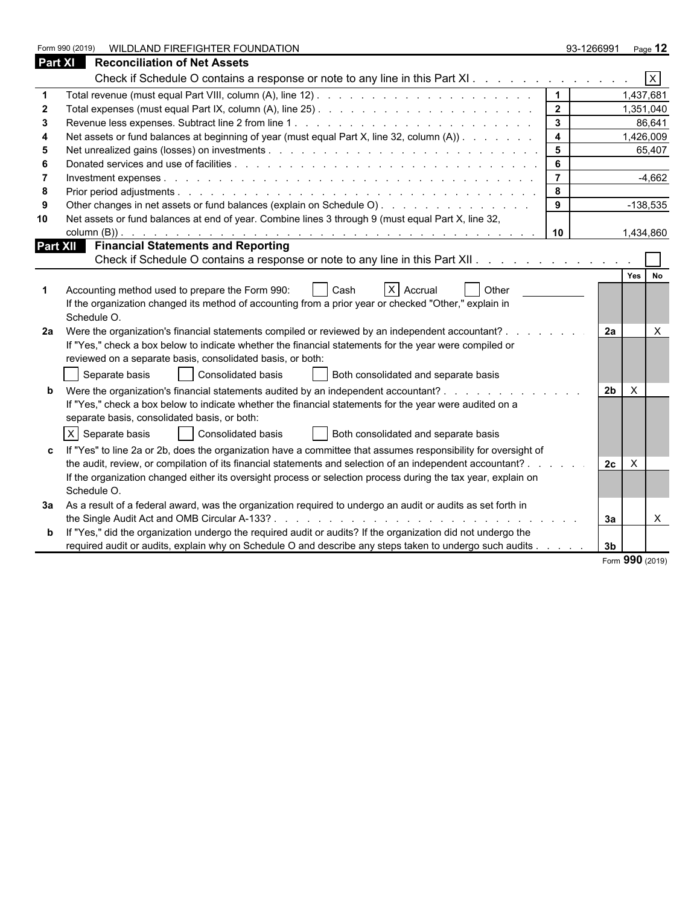|                | WILDLAND FIREFIGHTER FOUNDATION<br>Form 990 (2019)                                                                                                                                                                             |                 | 93-1266991                     | Page 12        |
|----------------|--------------------------------------------------------------------------------------------------------------------------------------------------------------------------------------------------------------------------------|-----------------|--------------------------------|----------------|
| <b>Part XI</b> | <b>Reconciliation of Net Assets</b>                                                                                                                                                                                            |                 |                                |                |
|                | Check if Schedule O contains a response or note to any line in this Part XI.                                                                                                                                                   |                 |                                | $\overline{X}$ |
|                |                                                                                                                                                                                                                                | $\mathbf{1}$    |                                | 1,437,681      |
|                |                                                                                                                                                                                                                                | $\overline{2}$  |                                | 1,351,040      |
| 3              |                                                                                                                                                                                                                                | $\mathbf{3}$    |                                | 86,641         |
|                | Net assets or fund balances at beginning of year (must equal Part X, line 32, column (A))                                                                                                                                      | $\overline{4}$  |                                | 1,426,009      |
|                |                                                                                                                                                                                                                                | $5\phantom{.0}$ |                                | 65,407         |
| 6              | Donated services and use of facilities entering to enter the contract of the contract of the contract of the contract of the contract of the contract of the contract of the contract of the contract of the contract of the c | 6               |                                |                |
|                |                                                                                                                                                                                                                                | $\overline{7}$  |                                | $-4,662$       |
| -8             |                                                                                                                                                                                                                                | 8               |                                |                |
|                | Other changes in net assets or fund balances (explain on Schedule O).                                                                                                                                                          | $9^{\circ}$     |                                | $-138,535$     |
| 10             | Net assets or fund balances at end of year. Combine lines 3 through 9 (must equal Part X, line 32,                                                                                                                             |                 |                                |                |
|                |                                                                                                                                                                                                                                | 10              |                                | 1,434,860      |
|                | Part XII Financial Statements and Reporting                                                                                                                                                                                    |                 |                                |                |
|                | Check if Schedule O contains a response or note to any line in this Part XII.                                                                                                                                                  |                 |                                |                |
|                |                                                                                                                                                                                                                                |                 |                                | Yes No         |
|                | X Accrual<br>Accounting method used to prepare the Form 990:<br><b>Other</b><br>Cash                                                                                                                                           |                 |                                |                |
|                | If the organization changed its method of accounting from a prior year or checked "Other," explain in                                                                                                                          |                 |                                |                |
|                | Schedule O.                                                                                                                                                                                                                    |                 |                                |                |
| 2a             | Were the organization's financial statements compiled or reviewed by an independent accountant?                                                                                                                                |                 | 2a                             | $\times$       |
|                | If "Yes," check a box below to indicate whether the financial statements for the year were compiled or                                                                                                                         |                 |                                |                |
|                | reviewed on a separate basis, consolidated basis, or both:                                                                                                                                                                     |                 |                                |                |
|                | Separate basis<br>  Consolidated basis<br>Both consolidated and separate basis                                                                                                                                                 |                 |                                |                |
|                | Were the organization's financial statements audited by an independent accountant?                                                                                                                                             |                 | 2 <sub>b</sub><br>$\mathsf{X}$ |                |
|                | If "Yes," check a box below to indicate whether the financial statements for the year were audited on a                                                                                                                        |                 |                                |                |
|                | separate basis, consolidated basis, or both:                                                                                                                                                                                   |                 |                                |                |
|                | $X$ Separate basis<br>Consolidated basis<br>Both consolidated and separate basis                                                                                                                                               |                 |                                |                |
|                | If "Yes" to line 2a or 2b, does the organization have a committee that assumes responsibility for oversight of                                                                                                                 |                 |                                |                |
|                | the audit, review, or compilation of its financial statements and selection of an independent accountant?.                                                                                                                     |                 | $\times$<br>2c                 |                |
|                | If the organization changed either its oversight process or selection process during the tax year, explain on                                                                                                                  |                 |                                |                |
|                | Schedule O.                                                                                                                                                                                                                    |                 |                                |                |
| За             | As a result of a federal award, was the organization required to undergo an audit or audits as set forth in                                                                                                                    |                 |                                |                |
|                |                                                                                                                                                                                                                                |                 | За                             | $\mathsf{X}$   |
|                | If "Yes," did the organization undergo the required audit or audits? If the organization did not undergo the                                                                                                                   |                 |                                |                |
|                | required audit or audits, explain why on Schedule O and describe any steps taken to undergo such audits                                                                                                                        |                 | 3 <sub>b</sub>                 |                |
|                |                                                                                                                                                                                                                                |                 |                                |                |

Form **990** (2019)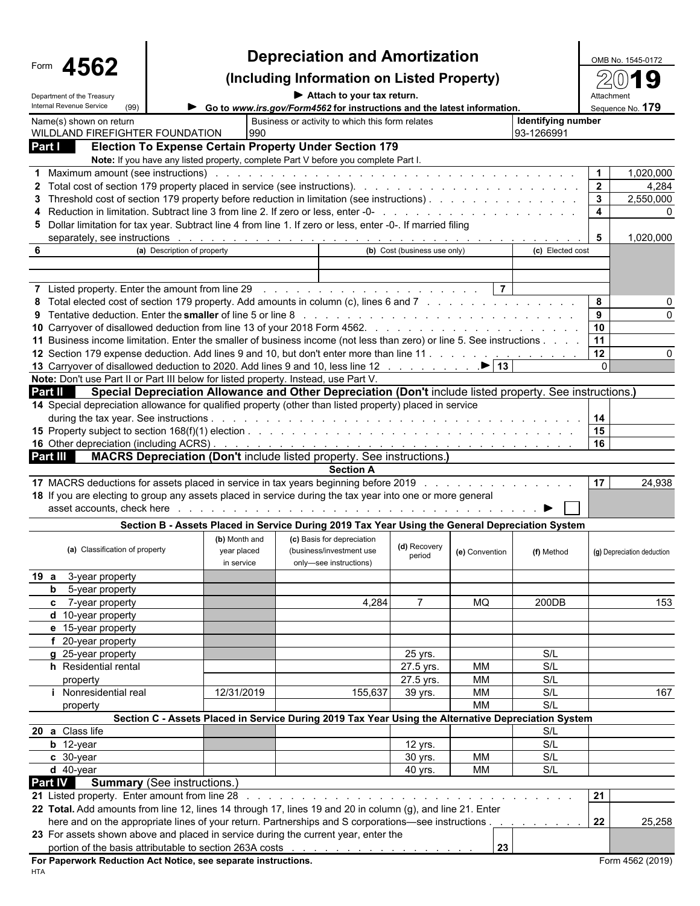|                                                                                                                                                                                                                                |                                                                                                                                                                                                                                | <b>Depreciation and Amortization</b>                                                                             |                              |                |                    | OMB No. 1545-0172          |
|--------------------------------------------------------------------------------------------------------------------------------------------------------------------------------------------------------------------------------|--------------------------------------------------------------------------------------------------------------------------------------------------------------------------------------------------------------------------------|------------------------------------------------------------------------------------------------------------------|------------------------------|----------------|--------------------|----------------------------|
| 4562                                                                                                                                                                                                                           |                                                                                                                                                                                                                                | (Including Information on Listed Property)                                                                       |                              |                |                    |                            |
| Department of the Treasury<br>Internal Revenue Service<br>(99)                                                                                                                                                                 | Attach to your tax return.<br>Go to www.irs.gov/Form4562 for instructions and the latest information.                                                                                                                          |                                                                                                                  |                              |                |                    |                            |
| Name(s) shown on return                                                                                                                                                                                                        |                                                                                                                                                                                                                                | Business or activity to which this form relates                                                                  |                              |                | Identifying number | Sequence No. 179           |
| WILDLAND FIREFIGHTER FOUNDATION                                                                                                                                                                                                | 990                                                                                                                                                                                                                            |                                                                                                                  |                              |                | 93-1266991         |                            |
| Part I                                                                                                                                                                                                                         | <b>Election To Expense Certain Property Under Section 179</b>                                                                                                                                                                  |                                                                                                                  |                              |                |                    |                            |
| 1 Maximum amount (see instructions) enterprise and contact the contact of the contact of the contact of the contact of the contact of the contact of the contact of the contact of the contact of the contact of the contact o | Note: If you have any listed property, complete Part V before you complete Part I.                                                                                                                                             |                                                                                                                  |                              |                |                    | $\mathbf{1}$<br>1,020,000  |
|                                                                                                                                                                                                                                |                                                                                                                                                                                                                                |                                                                                                                  |                              |                |                    | $\overline{2}$<br>4,284    |
| 3 Threshold cost of section 179 property before reduction in limitation (see instructions).                                                                                                                                    |                                                                                                                                                                                                                                |                                                                                                                  |                              |                |                    | $\mathbf{3}$<br>2,550,000  |
|                                                                                                                                                                                                                                |                                                                                                                                                                                                                                |                                                                                                                  |                              |                |                    | $\overline{4}$             |
| 5 Dollar limitation for tax year. Subtract line 4 from line 1. If zero or less, enter -0-. If married filing                                                                                                                   |                                                                                                                                                                                                                                |                                                                                                                  |                              |                |                    |                            |
|                                                                                                                                                                                                                                | separately, see instructions respectively and the context of the context of the context of the context of the context of the context of the context of the context of the context of the context of the context of the context |                                                                                                                  | (b) Cost (business use only) |                |                    | 5<br>1,020,000             |
| 6                                                                                                                                                                                                                              | (a) Description of property                                                                                                                                                                                                    |                                                                                                                  |                              |                | (c) Elected cost   |                            |
|                                                                                                                                                                                                                                |                                                                                                                                                                                                                                |                                                                                                                  |                              |                |                    |                            |
|                                                                                                                                                                                                                                |                                                                                                                                                                                                                                |                                                                                                                  |                              |                |                    |                            |
| 8 Total elected cost of section 179 property. Add amounts in column (c), lines 6 and 7                                                                                                                                         |                                                                                                                                                                                                                                |                                                                                                                  |                              |                |                    | 8                          |
|                                                                                                                                                                                                                                |                                                                                                                                                                                                                                |                                                                                                                  |                              |                |                    | 9                          |
| 11 Business income limitation. Enter the smaller of business income (not less than zero) or line 5. See instructions                                                                                                           |                                                                                                                                                                                                                                |                                                                                                                  |                              |                |                    | 10<br>11                   |
| 12 Section 179 expense deduction. Add lines 9 and 10, but don't enter more than line 11                                                                                                                                        |                                                                                                                                                                                                                                |                                                                                                                  |                              |                |                    | 12                         |
|                                                                                                                                                                                                                                |                                                                                                                                                                                                                                |                                                                                                                  |                              |                |                    | $\Omega$                   |
| Note: Don't use Part II or Part III below for listed property. Instead, use Part V.                                                                                                                                            |                                                                                                                                                                                                                                |                                                                                                                  |                              |                |                    |                            |
| Part II                                                                                                                                                                                                                        | Special Depreciation Allowance and Other Depreciation (Don't include listed property. See instructions.)                                                                                                                       |                                                                                                                  |                              |                |                    |                            |
| 14 Special depreciation allowance for qualified property (other than listed property) placed in service                                                                                                                        |                                                                                                                                                                                                                                |                                                                                                                  |                              |                |                    |                            |
|                                                                                                                                                                                                                                |                                                                                                                                                                                                                                |                                                                                                                  |                              |                |                    | 14                         |
|                                                                                                                                                                                                                                |                                                                                                                                                                                                                                |                                                                                                                  |                              |                |                    | 15<br>16                   |
| Part III                                                                                                                                                                                                                       | <b>MACRS Depreciation (Don't include listed property. See instructions.)</b>                                                                                                                                                   |                                                                                                                  |                              |                |                    |                            |
|                                                                                                                                                                                                                                |                                                                                                                                                                                                                                | <b>Section A</b>                                                                                                 |                              |                |                    |                            |
| 17 MACRS deductions for assets placed in service in tax years beginning before 2019                                                                                                                                            |                                                                                                                                                                                                                                |                                                                                                                  |                              |                |                    | 17<br>24,938               |
| 18 If you are electing to group any assets placed in service during the tax year into one or more general                                                                                                                      |                                                                                                                                                                                                                                |                                                                                                                  |                              |                |                    |                            |
| asset accounts, check here                                                                                                                                                                                                     |                                                                                                                                                                                                                                | فالمتابع المتابع المتابع المتابع المتابع المتابع المتابع المتابع المتابع المتابع المتابع المتابع المتابع المتابع |                              |                |                    |                            |
|                                                                                                                                                                                                                                | Section B - Assets Placed in Service During 2019 Tax Year Using the General Depreciation System                                                                                                                                |                                                                                                                  |                              |                |                    |                            |
|                                                                                                                                                                                                                                | (b) Month and                                                                                                                                                                                                                  | (c) Basis for depreciation                                                                                       | (d) Recovery                 |                |                    |                            |
|                                                                                                                                                                                                                                |                                                                                                                                                                                                                                |                                                                                                                  |                              |                |                    |                            |
| (a) Classification of property                                                                                                                                                                                                 | year placed<br>in service                                                                                                                                                                                                      | (business/investment use<br>only-see instructions)                                                               | period                       | (e) Convention | (f) Method         | (g) Depreciation deduction |
| 19 a<br>3-year property                                                                                                                                                                                                        |                                                                                                                                                                                                                                |                                                                                                                  |                              |                |                    |                            |
| 5-year property<br>b                                                                                                                                                                                                           |                                                                                                                                                                                                                                |                                                                                                                  |                              |                |                    |                            |
| c 7-year property                                                                                                                                                                                                              |                                                                                                                                                                                                                                | 4,284                                                                                                            | 7                            | MQ             | 200DB              | 153                        |
| d 10-year property                                                                                                                                                                                                             |                                                                                                                                                                                                                                |                                                                                                                  |                              |                |                    |                            |
| e 15-year property                                                                                                                                                                                                             |                                                                                                                                                                                                                                |                                                                                                                  |                              |                |                    |                            |
| f 20-year property                                                                                                                                                                                                             |                                                                                                                                                                                                                                |                                                                                                                  |                              |                |                    |                            |
| g 25-year property<br>h Residential rental                                                                                                                                                                                     |                                                                                                                                                                                                                                |                                                                                                                  | 25 yrs.                      |                | S/L<br>S/L         |                            |
| property                                                                                                                                                                                                                       |                                                                                                                                                                                                                                |                                                                                                                  | 27.5 yrs.<br>27.5 yrs.       | МM<br>MM       | S/L                |                            |
| Nonresidential real                                                                                                                                                                                                            | 12/31/2019                                                                                                                                                                                                                     | 155,637                                                                                                          | 39 yrs.                      | MM             | S/L                | 167                        |
| property                                                                                                                                                                                                                       |                                                                                                                                                                                                                                |                                                                                                                  |                              | <b>MM</b>      | S/L                |                            |
|                                                                                                                                                                                                                                | Section C - Assets Placed in Service During 2019 Tax Year Using the Alternative Depreciation System                                                                                                                            |                                                                                                                  |                              |                |                    |                            |
| 20 a Class life                                                                                                                                                                                                                |                                                                                                                                                                                                                                |                                                                                                                  |                              |                | S/L                |                            |
| $b$ 12-year                                                                                                                                                                                                                    |                                                                                                                                                                                                                                |                                                                                                                  | 12 yrs.                      |                | S/L                |                            |
| c 30-year                                                                                                                                                                                                                      |                                                                                                                                                                                                                                |                                                                                                                  | 30 yrs.                      | MM             | S/L                |                            |
| $d$ 40-year                                                                                                                                                                                                                    |                                                                                                                                                                                                                                |                                                                                                                  | 40 yrs.                      | МM             | S/L                |                            |
| <b>Part IV</b><br>21 Listed property. Enter amount from line 28                                                                                                                                                                | <b>Summary</b> (See instructions.)                                                                                                                                                                                             | .                                                                                                                |                              |                |                    | 21                         |
| 22 Total. Add amounts from line 12, lines 14 through 17, lines 19 and 20 in column (g), and line 21. Enter                                                                                                                     |                                                                                                                                                                                                                                |                                                                                                                  |                              |                |                    |                            |
|                                                                                                                                                                                                                                | here and on the appropriate lines of your return. Partnerships and S corporations—see instructions                                                                                                                             |                                                                                                                  |                              |                |                    | 22<br>25,258               |
| 23 For assets shown above and placed in service during the current year, enter the                                                                                                                                             |                                                                                                                                                                                                                                |                                                                                                                  |                              | 23             |                    |                            |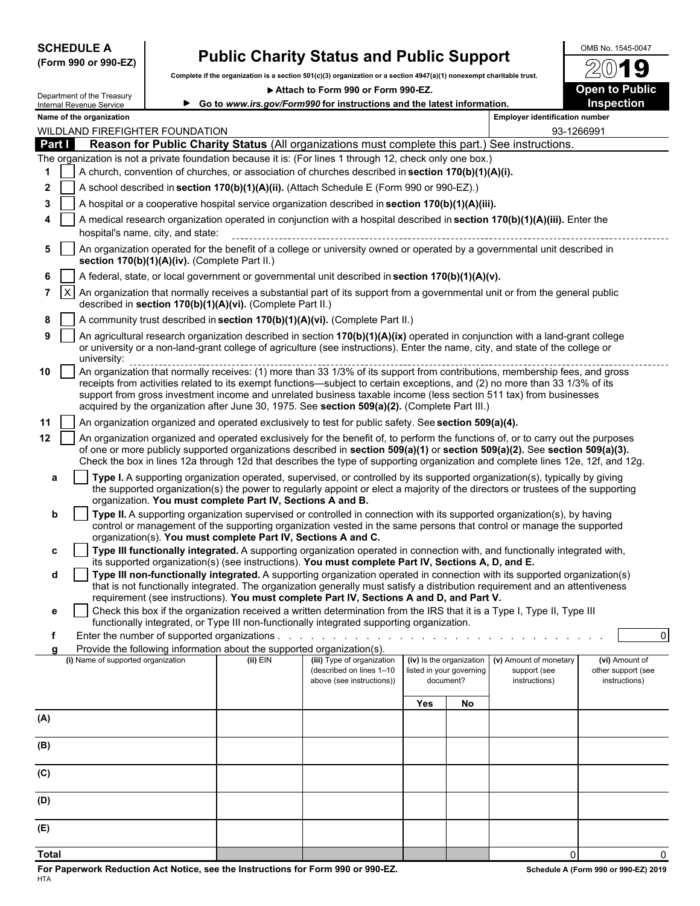| <b>SCHEDULE A</b> |  |                      |
|-------------------|--|----------------------|
|                   |  | (Form 990 or 990-EZ) |

## **Public Charity Status and Public Support**  $\frac{\text{OMB No. 1545-0047}}{20}$

**Complete if the organization is a section 501(c)(3) organization or a section 4947(a)(1) nonexempt charitable trust.**

▶ Attach to Form 990 or Form 990-EZ. **Departs** Open to Public

|        |               | Department of the Treasury<br>Internal Revenue Service |                                               |                                                                        | Go to www.irs.gov/Form990 for instructions and the latest information.                                                                                                                                                                                                                                                                                                                                                                                                              |                          |                                       |                                                         | Inspection                                            |
|--------|---------------|--------------------------------------------------------|-----------------------------------------------|------------------------------------------------------------------------|-------------------------------------------------------------------------------------------------------------------------------------------------------------------------------------------------------------------------------------------------------------------------------------------------------------------------------------------------------------------------------------------------------------------------------------------------------------------------------------|--------------------------|---------------------------------------|---------------------------------------------------------|-------------------------------------------------------|
|        |               | Name of the organization                               |                                               |                                                                        |                                                                                                                                                                                                                                                                                                                                                                                                                                                                                     |                          |                                       | <b>Employer identification number</b>                   |                                                       |
|        |               |                                                        | WILDLAND FIREFIGHTER FOUNDATION               |                                                                        |                                                                                                                                                                                                                                                                                                                                                                                                                                                                                     |                          |                                       | 93-1266991                                              |                                                       |
|        | <b>Part I</b> |                                                        |                                               |                                                                        | Reason for Public Charity Status (All organizations must complete this part.) See instructions.<br>The organization is not a private foundation because it is: (For lines 1 through 12, check only one box.)                                                                                                                                                                                                                                                                        |                          |                                       |                                                         |                                                       |
| 1      |               |                                                        |                                               |                                                                        | A church, convention of churches, or association of churches described in section 170(b)(1)(A)(i).                                                                                                                                                                                                                                                                                                                                                                                  |                          |                                       |                                                         |                                                       |
| 2      |               |                                                        |                                               |                                                                        | A school described in section 170(b)(1)(A)(ii). (Attach Schedule E (Form 990 or 990-EZ).)                                                                                                                                                                                                                                                                                                                                                                                           |                          |                                       |                                                         |                                                       |
| 3      |               |                                                        |                                               |                                                                        | A hospital or a cooperative hospital service organization described in section 170(b)(1)(A)(iii).                                                                                                                                                                                                                                                                                                                                                                                   |                          |                                       |                                                         |                                                       |
|        |               |                                                        |                                               |                                                                        | A medical research organization operated in conjunction with a hospital described in section 170(b)(1)(A)(iii). Enter the                                                                                                                                                                                                                                                                                                                                                           |                          |                                       |                                                         |                                                       |
|        |               |                                                        | hospital's name, city, and state:             |                                                                        |                                                                                                                                                                                                                                                                                                                                                                                                                                                                                     |                          |                                       |                                                         |                                                       |
| 5      |               |                                                        | section 170(b)(1)(A)(iv). (Complete Part II.) |                                                                        | An organization operated for the benefit of a college or university owned or operated by a governmental unit described in                                                                                                                                                                                                                                                                                                                                                           |                          |                                       |                                                         |                                                       |
| 6      |               |                                                        |                                               |                                                                        | A federal, state, or local government or governmental unit described in section 170(b)(1)(A)(v).                                                                                                                                                                                                                                                                                                                                                                                    |                          |                                       |                                                         |                                                       |
|        | 7 IX          |                                                        |                                               | described in section 170(b)(1)(A)(vi). (Complete Part II.)             | An organization that normally receives a substantial part of its support from a governmental unit or from the general public                                                                                                                                                                                                                                                                                                                                                        |                          |                                       |                                                         |                                                       |
| 8      |               |                                                        |                                               |                                                                        | A community trust described in section 170(b)(1)(A)(vi). (Complete Part II.)                                                                                                                                                                                                                                                                                                                                                                                                        |                          |                                       |                                                         |                                                       |
| 9      |               | university:                                            |                                               |                                                                        | An agricultural research organization described in section 170(b)(1)(A)(ix) operated in conjunction with a land-grant college<br>or university or a non-land-grant college of agriculture (see instructions). Enter the name, city, and state of the college or                                                                                                                                                                                                                     |                          |                                       |                                                         |                                                       |
| 10     |               |                                                        |                                               |                                                                        | An organization that normally receives: (1) more than 33 1/3% of its support from contributions, membership fees, and gross<br>receipts from activities related to its exempt functions—subject to certain exceptions, and (2) no more than 33 1/3% of its<br>support from gross investment income and unrelated business taxable income (less section 511 tax) from businesses<br>acquired by the organization after June 30, 1975. See section 509(a)(2). (Complete Part III.)    |                          |                                       |                                                         |                                                       |
| 11     |               |                                                        |                                               |                                                                        | An organization organized and operated exclusively to test for public safety. See section 509(a)(4).                                                                                                                                                                                                                                                                                                                                                                                |                          |                                       |                                                         |                                                       |
| 12     |               |                                                        |                                               |                                                                        | An organization organized and operated exclusively for the benefit of, to perform the functions of, or to carry out the purposes<br>of one or more publicly supported organizations described in section 509(a)(1) or section 509(a)(2). See section 509(a)(3).<br>Check the box in lines 12a through 12d that describes the type of supporting organization and complete lines 12e, 12f, and 12g.                                                                                  |                          |                                       |                                                         |                                                       |
| a      |               |                                                        |                                               | organization. You must complete Part IV, Sections A and B.             | Type I. A supporting organization operated, supervised, or controlled by its supported organization(s), typically by giving<br>the supported organization(s) the power to regularly appoint or elect a majority of the directors or trustees of the supporting                                                                                                                                                                                                                      |                          |                                       |                                                         |                                                       |
| b<br>c |               |                                                        |                                               | organization(s). You must complete Part IV, Sections A and C.          | Type II. A supporting organization supervised or controlled in connection with its supported organization(s), by having<br>control or management of the supporting organization vested in the same persons that control or manage the supported<br>Type III functionally integrated. A supporting organization operated in connection with, and functionally integrated with,<br>its supported organization(s) (see instructions). You must complete Part IV, Sections A, D, and E. |                          |                                       |                                                         |                                                       |
| d      |               |                                                        |                                               |                                                                        | Type III non-functionally integrated. A supporting organization operated in connection with its supported organization(s)                                                                                                                                                                                                                                                                                                                                                           |                          |                                       |                                                         |                                                       |
|        |               |                                                        |                                               |                                                                        | that is not functionally integrated. The organization generally must satisfy a distribution requirement and an attentiveness<br>requirement (see instructions). You must complete Part IV, Sections A and D, and Part V.                                                                                                                                                                                                                                                            |                          |                                       |                                                         |                                                       |
| е      |               |                                                        |                                               |                                                                        | Check this box if the organization received a written determination from the IRS that it is a Type I, Type II, Type III<br>functionally integrated, or Type III non-functionally integrated supporting organization.                                                                                                                                                                                                                                                                |                          |                                       |                                                         |                                                       |
| f      |               |                                                        |                                               |                                                                        |                                                                                                                                                                                                                                                                                                                                                                                                                                                                                     |                          |                                       |                                                         | $\overline{0}$                                        |
|        |               |                                                        |                                               | Provide the following information about the supported organization(s). |                                                                                                                                                                                                                                                                                                                                                                                                                                                                                     |                          |                                       |                                                         |                                                       |
|        |               | (i) Name of supported organization                     |                                               | $(ii)$ EIN                                                             | (iii) Type of organization<br>(described on lines 1-10<br>above (see instructions))                                                                                                                                                                                                                                                                                                                                                                                                 | (iv) Is the organization | listed in your governing<br>document? | (v) Amount of monetary<br>support (see<br>instructions) | (vi) Amount of<br>other support (see<br>instructions) |
|        |               |                                                        |                                               |                                                                        |                                                                                                                                                                                                                                                                                                                                                                                                                                                                                     | Yes                      | No                                    |                                                         |                                                       |
| (A)    |               |                                                        |                                               |                                                                        |                                                                                                                                                                                                                                                                                                                                                                                                                                                                                     |                          |                                       |                                                         |                                                       |
|        |               |                                                        |                                               |                                                                        |                                                                                                                                                                                                                                                                                                                                                                                                                                                                                     |                          |                                       |                                                         |                                                       |
| (B)    |               |                                                        |                                               |                                                                        |                                                                                                                                                                                                                                                                                                                                                                                                                                                                                     |                          |                                       |                                                         |                                                       |
| (C)    |               |                                                        |                                               |                                                                        |                                                                                                                                                                                                                                                                                                                                                                                                                                                                                     |                          |                                       |                                                         |                                                       |
| (D)    |               |                                                        |                                               |                                                                        |                                                                                                                                                                                                                                                                                                                                                                                                                                                                                     |                          |                                       |                                                         |                                                       |
| (E)    |               |                                                        |                                               |                                                                        |                                                                                                                                                                                                                                                                                                                                                                                                                                                                                     |                          |                                       |                                                         |                                                       |
|        |               |                                                        |                                               |                                                                        |                                                                                                                                                                                                                                                                                                                                                                                                                                                                                     |                          |                                       |                                                         |                                                       |

**Total** 0 0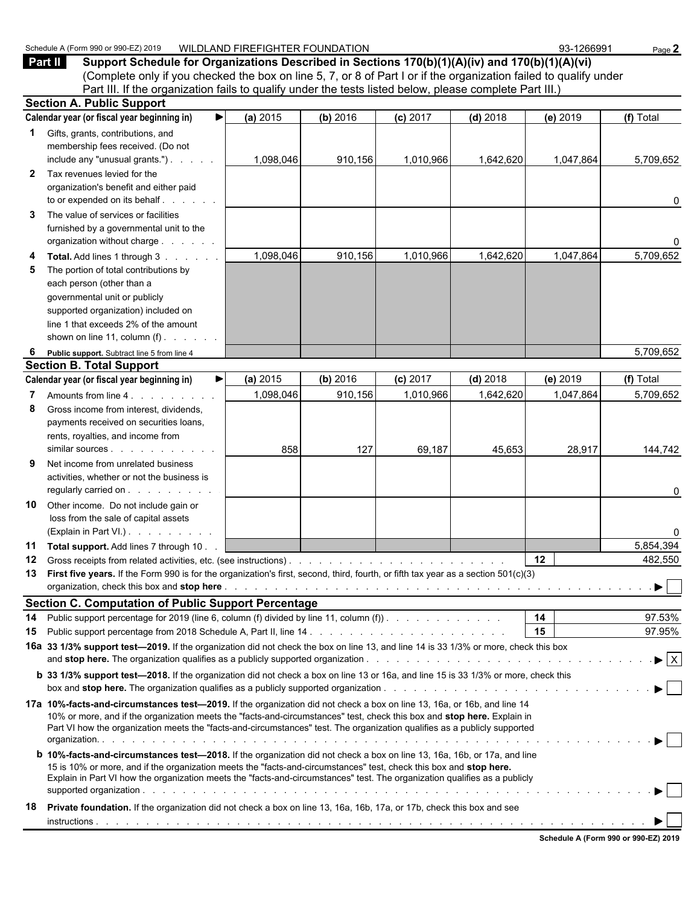|              | (Complete only if you checked the box on line 5, 7, or 8 of Part I or if the organization failed to qualify under                                                                                                                                                                                                                                                                  |           |          |            |            |           |                                |
|--------------|------------------------------------------------------------------------------------------------------------------------------------------------------------------------------------------------------------------------------------------------------------------------------------------------------------------------------------------------------------------------------------|-----------|----------|------------|------------|-----------|--------------------------------|
|              | Part III. If the organization fails to qualify under the tests listed below, please complete Part III.)<br><b>Section A. Public Support</b>                                                                                                                                                                                                                                        |           |          |            |            |           |                                |
|              | Calendar year (or fiscal year beginning in)<br>▶                                                                                                                                                                                                                                                                                                                                   | (a) 2015  | (b) 2016 | (c) 2017   | $(d)$ 2018 | (e) 2019  | (f) Total                      |
|              | 1 Gifts, grants, contributions, and<br>membership fees received. (Do not                                                                                                                                                                                                                                                                                                           |           |          |            |            |           |                                |
|              | include any "unusual grants.")                                                                                                                                                                                                                                                                                                                                                     | 1,098,046 | 910,156  | 1,010,966  | 1,642,620  | 1,047,864 | 5,709,652                      |
| $\mathbf{2}$ | Tax revenues levied for the<br>organization's benefit and either paid<br>to or expended on its behalf                                                                                                                                                                                                                                                                              |           |          |            |            |           | 0                              |
| 3            | The value of services or facilities<br>furnished by a governmental unit to the<br>organization without charge                                                                                                                                                                                                                                                                      |           |          |            |            |           | 0                              |
| 4<br>5       | Total. Add lines 1 through 3<br>The portion of total contributions by<br>each person (other than a<br>governmental unit or publicly<br>supported organization) included on<br>line 1 that exceeds 2% of the amount<br>shown on line 11, column $(f)$ .                                                                                                                             | 1,098,046 | 910,156  | 1,010,966  | 1,642,620  | 1,047,864 | 5,709,652                      |
| 6            | Public support. Subtract line 5 from line 4                                                                                                                                                                                                                                                                                                                                        |           |          |            |            |           | 5,709,652                      |
|              | <b>Section B. Total Support</b>                                                                                                                                                                                                                                                                                                                                                    |           |          |            |            |           |                                |
|              | Calendar year (or fiscal year beginning in)                                                                                                                                                                                                                                                                                                                                        | (a) 2015  | (b) 2016 | $(c)$ 2017 | $(d)$ 2018 | (e) 2019  | (f) Total                      |
| 7            | Amounts from line 4.                                                                                                                                                                                                                                                                                                                                                               | 1,098,046 | 910,156  | 1,010,966  | 1,642,620  | 1,047,864 | 5,709,652                      |
| 8            | Gross income from interest, dividends,<br>payments received on securities loans,<br>rents, royalties, and income from                                                                                                                                                                                                                                                              |           |          |            |            |           |                                |
|              | similar sources expansion of the state of the state of the state of the state of the state of the state of the                                                                                                                                                                                                                                                                     | 858       | 127      | 69,187     | 45,653     | 28,917    | 144,742                        |
| 9            | Net income from unrelated business<br>activities, whether or not the business is<br>regularly carried on                                                                                                                                                                                                                                                                           |           |          |            |            |           | 0                              |
| 10           | Other income. Do not include gain or<br>loss from the sale of capital assets<br>(Explain in Part VI.)                                                                                                                                                                                                                                                                              |           |          |            |            |           | 0                              |
| 11           | Total support. Add lines 7 through 10.                                                                                                                                                                                                                                                                                                                                             |           |          |            |            |           | 5,854,394                      |
| 12           |                                                                                                                                                                                                                                                                                                                                                                                    |           |          |            |            | 12        | 482,550                        |
|              | 13 First five years. If the Form 990 is for the organization's first, second, third, fourth, or fifth tax year as a section 501(c)(3)                                                                                                                                                                                                                                              |           |          |            |            |           |                                |
|              | <b>Section C. Computation of Public Support Percentage</b>                                                                                                                                                                                                                                                                                                                         |           |          |            |            |           |                                |
| 14           | Public support percentage for 2019 (line 6, column (f) divided by line 11, column (f)).                                                                                                                                                                                                                                                                                            |           |          |            |            | 14        | 97.53%                         |
| 15           |                                                                                                                                                                                                                                                                                                                                                                                    |           |          |            |            | 15        | 97.95%                         |
|              | 16a 33 1/3% support test-2019. If the organization did not check the box on line 13, and line 14 is 33 1/3% or more, check this box                                                                                                                                                                                                                                                |           |          |            |            |           | $\blacktriangleright$ $\mid$ X |
|              | <b>b</b> 33 1/3% support test—2018. If the organization did not check a box on line 13 or 16a, and line 15 is 33 1/3% or more, check this                                                                                                                                                                                                                                          |           |          |            |            |           |                                |
|              | 17a 10%-facts-and-circumstances test-2019. If the organization did not check a box on line 13, 16a, or 16b, and line 14<br>10% or more, and if the organization meets the "facts-and-circumstances" test, check this box and stop here. Explain in<br>Part VI how the organization meets the "facts-and-circumstances" test. The organization qualifies as a publicly supported    |           |          |            |            |           |                                |
|              | <b>b</b> 10%-facts-and-circumstances test-2018. If the organization did not check a box on line 13, 16a, 16b, or 17a, and line<br>15 is 10% or more, and if the organization meets the "facts-and-circumstances" test, check this box and stop here.<br>Explain in Part VI how the organization meets the "facts-and-circumstances" test. The organization qualifies as a publicly |           |          |            |            |           |                                |
| 18           | Private foundation. If the organization did not check a box on line 13, 16a, 16b, 17a, or 17b, check this box and see                                                                                                                                                                                                                                                              |           |          |            |            |           |                                |

Schedule A (Form 990 or 990-EZ) 2019 WILDLAND FIREFIGHTER FOUNDATION 93-1266991 Page 2

**Part II Support Schedule for Organizations Described in Sections 170(b)(1)(A)(iv) and 170(b)(1)(A)(vi)**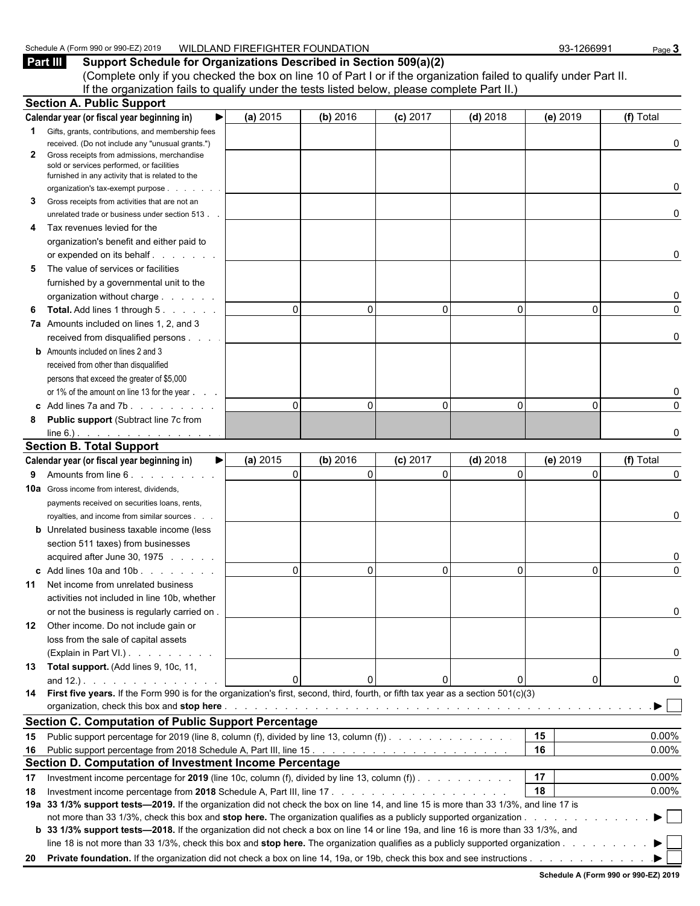#### Schedule A (Form 990 or 990-EZ) 2019 WILDLAND FIREFIGHTER FOUNDATION 93-1266991 Page 3

**Part III Support Schedule for Organizations Described in Section 509(a)(2)** (Complete only if you checked the box on line 10 of Part I or if the organization failed to qualify under Part II. If the organization fails to qualify under the tests listed below, please complete Part II.)

|              | <b>Section A. Public Support</b>                                                                                                       |                            |                      |                        |                        |                      |                |
|--------------|----------------------------------------------------------------------------------------------------------------------------------------|----------------------------|----------------------|------------------------|------------------------|----------------------|----------------|
|              | Calendar year (or fiscal year beginning in)                                                                                            | (a) 2015                   | (b) 2016             | $(c)$ 2017             | $(d)$ 2018             | (e) 2019             | (f) Total      |
|              | <b>1</b> Gifts, grants, contributions, and membership fees                                                                             |                            |                      |                        |                        |                      |                |
|              | received. (Do not include any "unusual grants.")                                                                                       |                            |                      |                        |                        |                      | 0              |
| $\mathbf{2}$ | Gross receipts from admissions, merchandise                                                                                            |                            |                      |                        |                        |                      |                |
|              | sold or services performed, or facilities<br>furnished in any activity that is related to the                                          |                            |                      |                        |                        |                      |                |
|              | organization's tax-exempt purpose                                                                                                      |                            |                      |                        |                        |                      | 0              |
| 3            | Gross receipts from activities that are not an                                                                                         |                            |                      |                        |                        |                      |                |
|              | unrelated trade or business under section 513.                                                                                         |                            |                      |                        |                        |                      | 0              |
| 4            | Tax revenues levied for the                                                                                                            |                            |                      |                        |                        |                      |                |
|              | organization's benefit and either paid to                                                                                              |                            |                      |                        |                        |                      |                |
|              | or expended on its behalf                                                                                                              |                            |                      |                        |                        |                      | 0              |
| 5            | The value of services or facilities                                                                                                    |                            |                      |                        |                        |                      |                |
|              | furnished by a governmental unit to the                                                                                                |                            |                      |                        |                        |                      |                |
|              | organization without charge                                                                                                            |                            |                      |                        |                        |                      | 0              |
| 6            | <b>Total.</b> Add lines 1 through 5.                                                                                                   | $\Omega$                   | 0                    | $\Omega$               | $\Omega$               | $\Omega$             | $\Omega$       |
|              | 7a Amounts included on lines 1, 2, and 3                                                                                               |                            |                      |                        |                        |                      |                |
|              | received from disqualified persons                                                                                                     |                            |                      |                        |                        |                      | 0              |
|              | <b>b</b> Amounts included on lines 2 and 3                                                                                             |                            |                      |                        |                        |                      |                |
|              | received from other than disqualified                                                                                                  |                            |                      |                        |                        |                      |                |
|              | persons that exceed the greater of \$5,000                                                                                             |                            |                      |                        |                        |                      |                |
|              | or 1% of the amount on line 13 for the year                                                                                            |                            |                      |                        |                        |                      |                |
|              | c Add lines $7a$ and $7b$ .                                                                                                            | $\Omega$                   | 0                    | $\Omega$               | $\Omega$               | $\Omega$             | $\Omega$       |
| 8            | <b>Public support (Subtract line 7c from</b>                                                                                           |                            |                      |                        |                        |                      |                |
|              |                                                                                                                                        |                            |                      |                        |                        |                      | 0              |
|              | <b>Section B. Total Support</b>                                                                                                        |                            |                      |                        |                        |                      |                |
|              | Calendar year (or fiscal year beginning in)                                                                                            | (a) 2015<br>▶∣<br>$\Omega$ | (b) 2016<br>$\Omega$ | $(c)$ 2017<br>$\Omega$ | $(d)$ 2018<br>$\Omega$ | (e) 2019<br>$\Omega$ | (f) Total<br>0 |
| 9            | Amounts from line 6.                                                                                                                   |                            |                      |                        |                        |                      |                |
|              | <b>10a</b> Gross income from interest, dividends,                                                                                      |                            |                      |                        |                        |                      |                |
|              | payments received on securities loans, rents,                                                                                          |                            |                      |                        |                        |                      | 0              |
|              | royalties, and income from similar sources.<br><b>b</b> Unrelated business taxable income (less                                        |                            |                      |                        |                        |                      |                |
|              | section 511 taxes) from businesses                                                                                                     |                            |                      |                        |                        |                      |                |
|              | acquired after June 30, 1975                                                                                                           |                            |                      |                        |                        |                      | 0              |
|              | c Add lines 10a and 10b                                                                                                                | $\Omega$                   | 0                    | $\Omega$               | $\Omega$               | $\Omega$             | $\Omega$       |
| 11           | Net income from unrelated business                                                                                                     |                            |                      |                        |                        |                      |                |
|              | activities not included in line 10b, whether                                                                                           |                            |                      |                        |                        |                      |                |
|              | or not the business is regularly carried on.                                                                                           |                            |                      |                        |                        |                      |                |
| 12           | Other income. Do not include gain or                                                                                                   |                            |                      |                        |                        |                      |                |
|              | loss from the sale of capital assets                                                                                                   |                            |                      |                        |                        |                      |                |
|              | (Explain in Part VI.).                                                                                                                 |                            |                      |                        |                        |                      | 0              |
|              | 13 Total support. (Add lines 9, 10c, 11,                                                                                               |                            |                      |                        |                        |                      |                |
|              | and $12.$ ). $\ldots$ $\ldots$ $\ldots$ $\ldots$                                                                                       | $\Omega$                   | 0                    |                        | 0                      | 0                    |                |
|              | 14 First five years. If the Form 990 is for the organization's first, second, third, fourth, or fifth tax year as a section 501(c)(3)  |                            |                      |                        |                        |                      |                |
|              |                                                                                                                                        |                            |                      |                        |                        |                      |                |
|              | <b>Section C. Computation of Public Support Percentage</b>                                                                             |                            |                      |                        |                        |                      |                |
| 15           | Public support percentage for 2019 (line 8, column (f), divided by line 13, column (f)).                                               |                            |                      |                        |                        | 15                   | 0.00%          |
| 16           |                                                                                                                                        |                            |                      |                        |                        | 16                   | 0.00%          |
|              | Section D. Computation of Investment Income Percentage                                                                                 |                            |                      |                        |                        |                      |                |
| 17           | Investment income percentage for 2019 (line 10c, column (f), divided by line 13, column (f)).                                          |                            |                      |                        |                        | 17                   | 0.00%          |
| 18           |                                                                                                                                        |                            |                      |                        |                        | 18                   | 0.00%          |
|              | 19a 33 1/3% support tests-2019. If the organization did not check the box on line 14, and line 15 is more than 33 1/3%, and line 17 is |                            |                      |                        |                        |                      |                |
|              |                                                                                                                                        |                            |                      |                        |                        |                      | ▶.             |
|              | b 33 1/3% support tests—2018. If the organization did not check a box on line 14 or line 19a, and line 16 is more than 33 1/3%, and    |                            |                      |                        |                        |                      |                |
|              | line 18 is not more than 33 1/3%, check this box and stop here. The organization qualifies as a publicly supported organization        |                            |                      |                        |                        |                      |                |
|              |                                                                                                                                        |                            |                      |                        |                        |                      |                |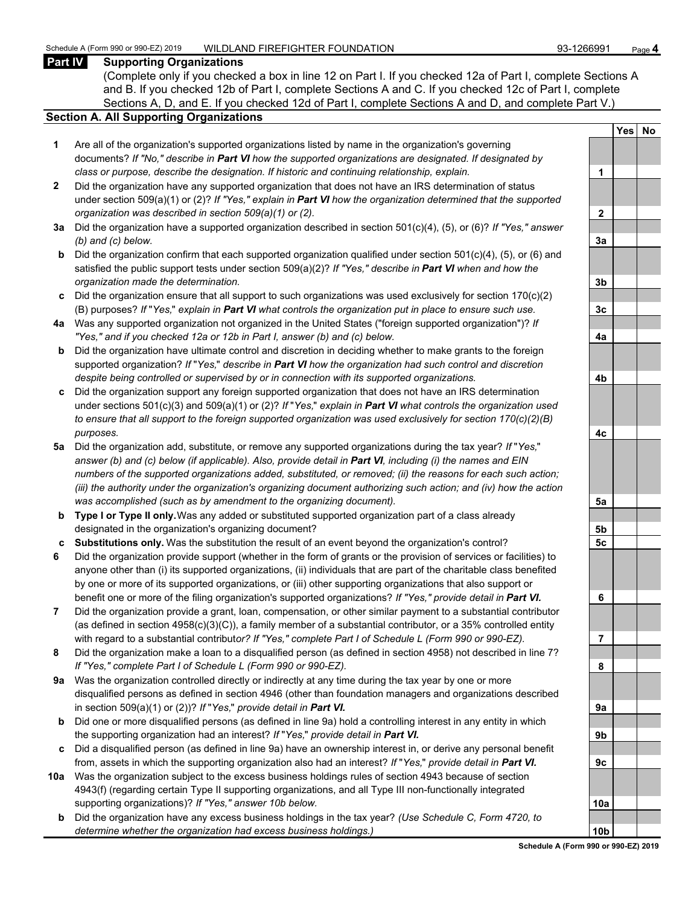#### **Part IV Supporting Organizations**

(Complete only if you checked a box in line 12 on Part I. If you checked 12a of Part I, complete Sections A and B. If you checked 12b of Part I, complete Sections A and C. If you checked 12c of Part I, complete Sections A, D, and E. If you checked 12d of Part I, complete Sections A and D, and complete Part V.)

#### **Section A. All Supporting Organizations**

- **1** Are all of the organization's supported organizations listed by name in the organization's governing documents? *If "No," describe in Part VI how the supported organizations are designated. If designated by class or purpose, describe the designation. If historic and continuing relationship, explain.* **1**
- **2** Did the organization have any supported organization that does not have an IRS determination of status under section 509(a)(1) or (2)? *If "Yes," explain in Part VI how the organization determined that the supported organization was described in section 509(a)(1) or (2).*
- **3a** Did the organization have a supported organization described in section 501(c)(4), (5), or (6)? *If "Yes," answer (b) and (c) below.* **3a**
- **b** Did the organization confirm that each supported organization qualified under section 501(c)(4), (5), or (6) and satisfied the public support tests under section 509(a)(2)? *If "Yes," describe in Part VI when and how the organization made the determination.* **3b**
- **c** Did the organization ensure that all support to such organizations was used exclusively for section 170(c)(2) (B) purposes? *If* "*Yes,*" *explain in Part VI what controls the organization put in place to ensure such use.* **3c**
- **4a** Was any supported organization not organized in the United States ("foreign supported organization")? *If "Yes," and if you checked 12a or 12b in Part I, answer (b) and (c) below.* **4a**
- **b** Did the organization have ultimate control and discretion in deciding whether to make grants to the foreign supported organization? *If* "*Yes,*" *describe in Part VI how the organization had such control and discretion despite being controlled or supervised by or in connection with its supported organizations.* **4b**
- **c** Did the organization support any foreign supported organization that does not have an IRS determination under sections 501(c)(3) and 509(a)(1) or (2)? *If* "*Yes,*" *explain in Part VI what controls the organization used to ensure that all support to the foreign supported organization was used exclusively for section 170(c)(2)(B) purposes.* **4c**
- **5a** Did the organization add, substitute, or remove any supported organizations during the tax year? *If* "*Yes,*" *answer (b) and (c) below (if applicable). Also, provide detail in Part VI, including (i) the names and EIN numbers of the supported organizations added, substituted, or removed; (ii) the reasons for each such action; (iii) the authority under the organization's organizing document authorizing such action; and (iv) how the action was accomplished (such as by amendment to the organizing document).* **5a**
- **b Type I or Type II only.** Was any added or substituted supported organization part of a class already designated in the organization's organizing document? **5b**
- **c Substitutions only.** Was the substitution the result of an event beyond the organization's control? **5c**
- **6** Did the organization provide support (whether in the form of grants or the provision of services or facilities) to anyone other than (i) its supported organizations, (ii) individuals that are part of the charitable class benefited by one or more of its supported organizations, or (iii) other supporting organizations that also support or benefit one or more of the filing organization's supported organizations? *If "Yes," provide detail in Part VI.* **6**
- **7** Did the organization provide a grant, loan, compensation, or other similar payment to a substantial contributor (as defined in section 4958(c)(3)(C)), a family member of a substantial contributor, or a 35% controlled entity with regard to a substantial contribut*or? If "Yes," complete Part I of Schedule L (Form 990 or 990-EZ).* **7**
- **8** Did the organization make a loan to a disqualified person (as defined in section 4958) not described in line 7? *If "Yes," complete Part I of Schedule L (Form 990 or 990-EZ).* **8**
- **9a** Was the organization controlled directly or indirectly at any time during the tax year by one or more disqualified persons as defined in section 4946 (other than foundation managers and organizations described in section 509(a)(1) or (2))? *If* "*Yes*," *provide detail in Part VI.*
- **b** Did one or more disqualified persons (as defined in line 9a) hold a controlling interest in any entity in which the supporting organization had an interest? *If* "*Yes,*" *provide detail in Part VI.* **9b**
- **c** Did a disqualified person (as defined in line 9a) have an ownership interest in, or derive any personal benefit from, assets in which the supporting organization also had an interest? *If* "*Yes,*" *provide detail in Part VI.* **9c**
- **10a** Was the organization subject to the excess business holdings rules of section 4943 because of section 4943(f) (regarding certain Type II supporting organizations, and all Type III non-functionally integrated supporting organizations)? If "Yes," answer 10b below.
	- **b** Did the organization have any excess business holdings in the tax year? *(Use Schedule C, Form 4720, to determine whether the organization had excess business holdings.)*

|                  | Yes<br>$\overline{\phantom{a}}$ | <u>No</u> |
|------------------|---------------------------------|-----------|
|                  |                                 |           |
| 1                |                                 |           |
|                  |                                 |           |
| $\overline{2}$   |                                 |           |
|                  |                                 |           |
| 3a               |                                 |           |
|                  |                                 |           |
| 3 <sub>b</sub>   |                                 |           |
|                  |                                 |           |
| 3 <sub>c</sub>   |                                 |           |
|                  |                                 |           |
| 4a               |                                 |           |
|                  |                                 |           |
| 4b               |                                 |           |
|                  |                                 |           |
| 4c               |                                 |           |
|                  |                                 |           |
| 5a               |                                 |           |
|                  |                                 |           |
| 5 <sub>b</sub>   |                                 |           |
| $5\underline{c}$ |                                 |           |
|                  |                                 |           |
| 6                |                                 |           |
|                  |                                 |           |
| j<br>7           |                                 |           |
|                  |                                 |           |
| 8                |                                 |           |
|                  |                                 |           |
| 9a               |                                 |           |
|                  |                                 |           |
| 9b               |                                 |           |
|                  |                                 |           |
| 9c               |                                 |           |
|                  |                                 |           |
| 10a              |                                 |           |
| ۱ŀ               |                                 |           |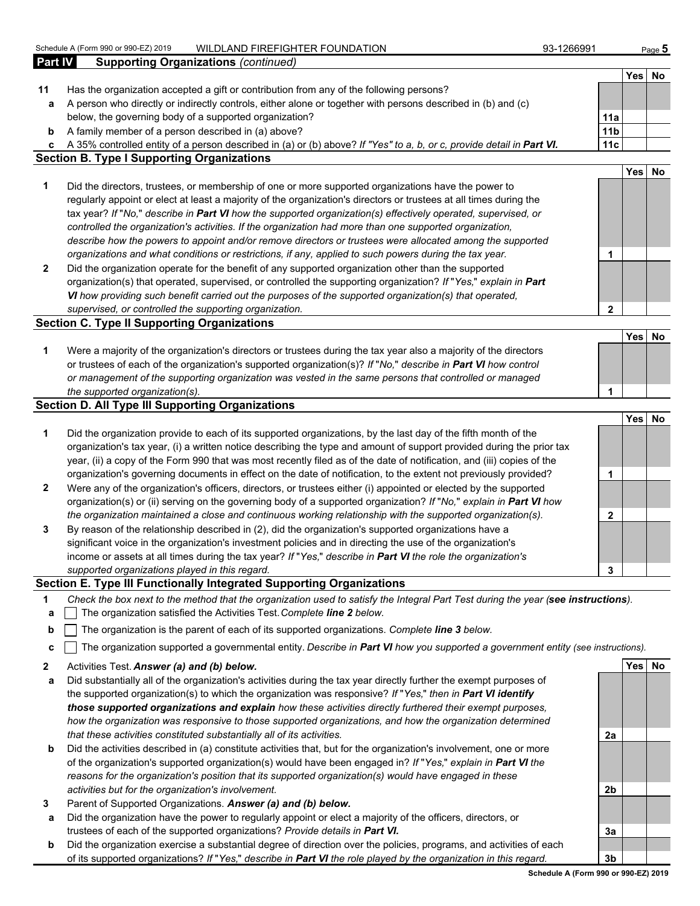|              | Schedule A (Form 990 or 990-EZ) 2019<br>WILDLAND FIREFIGHTER FOUNDATION                                                           | 93-1266991      |            | Page 5    |
|--------------|-----------------------------------------------------------------------------------------------------------------------------------|-----------------|------------|-----------|
| Part IV      | <b>Supporting Organizations (continued)</b>                                                                                       |                 |            |           |
|              |                                                                                                                                   |                 | <b>Yes</b> | No        |
| 11           | Has the organization accepted a gift or contribution from any of the following persons?                                           |                 |            |           |
| a            | A person who directly or indirectly controls, either alone or together with persons described in (b) and (c)                      |                 |            |           |
|              | below, the governing body of a supported organization?                                                                            | 11a             |            |           |
| b            | A family member of a person described in (a) above?                                                                               | 11 <sub>b</sub> |            |           |
| c            | A 35% controlled entity of a person described in (a) or (b) above? If "Yes" to a, b, or c, provide detail in Part VI.             | 11c             |            |           |
|              | <b>Section B. Type I Supporting Organizations</b>                                                                                 |                 |            |           |
|              |                                                                                                                                   |                 | Yes        | No        |
| 1            | Did the directors, trustees, or membership of one or more supported organizations have the power to                               |                 |            |           |
|              | regularly appoint or elect at least a majority of the organization's directors or trustees at all times during the                |                 |            |           |
|              | tax year? If "No," describe in Part VI how the supported organization(s) effectively operated, supervised, or                     |                 |            |           |
|              | controlled the organization's activities. If the organization had more than one supported organization,                           |                 |            |           |
|              | describe how the powers to appoint and/or remove directors or trustees were allocated among the supported                         |                 |            |           |
|              | organizations and what conditions or restrictions, if any, applied to such powers during the tax year.                            | 1               |            |           |
| $\mathbf{2}$ | Did the organization operate for the benefit of any supported organization other than the supported                               |                 |            |           |
|              | organization(s) that operated, supervised, or controlled the supporting organization? If "Yes," explain in Part                   |                 |            |           |
|              | VI how providing such benefit carried out the purposes of the supported organization(s) that operated,                            |                 |            |           |
|              | supervised, or controlled the supporting organization.                                                                            | $\overline{2}$  |            |           |
|              | <b>Section C. Type II Supporting Organizations</b>                                                                                |                 |            |           |
|              |                                                                                                                                   |                 | Yes        | <b>No</b> |
| 1            | Were a majority of the organization's directors or trustees during the tax year also a majority of the directors                  |                 |            |           |
|              | or trustees of each of the organization's supported organization(s)? If "No," describe in Part VI how control                     |                 |            |           |
|              | or management of the supporting organization was vested in the same persons that controlled or managed                            |                 |            |           |
|              | the supported organization(s).                                                                                                    | 1               |            |           |
|              | <b>Section D. All Type III Supporting Organizations</b>                                                                           |                 |            |           |
|              |                                                                                                                                   |                 | Yes        | No        |
| 1            | Did the organization provide to each of its supported organizations, by the last day of the fifth month of the                    |                 |            |           |
|              | organization's tax year, (i) a written notice describing the type and amount of support provided during the prior tax             |                 |            |           |
|              | year, (ii) a copy of the Form 990 that was most recently filed as of the date of notification, and (iii) copies of the            |                 |            |           |
|              | organization's governing documents in effect on the date of notification, to the extent not previously provided?                  | 1               |            |           |
| $\mathbf{2}$ | Were any of the organization's officers, directors, or trustees either (i) appointed or elected by the supported                  |                 |            |           |
|              | organization(s) or (ii) serving on the governing body of a supported organization? If "No," explain in Part VI how                |                 |            |           |
|              | the organization maintained a close and continuous working relationship with the supported organization(s).                       | $\mathbf{2}$    |            |           |
| 3            | By reason of the relationship described in (2), did the organization's supported organizations have a                             |                 |            |           |
|              | significant voice in the organization's investment policies and in directing the use of the organization's                        |                 |            |           |
|              | income or assets at all times during the tax year? If "Yes," describe in Part VI the role the organization's                      |                 |            |           |
|              | supported organizations played in this regard.                                                                                    | 3               |            |           |
|              | Section E. Type III Functionally Integrated Supporting Organizations                                                              |                 |            |           |
| 1            | Check the box next to the method that the organization used to satisfy the Integral Part Test during the year (see instructions). |                 |            |           |
|              | The organization satisfied the Activities Test. Complete line 2 below.                                                            |                 |            |           |
| a            |                                                                                                                                   |                 |            |           |

- **b** The organization is the parent of each of its supported organizations. *Complete line 3 below.*
- **c** The organization supported a governmental entity. *Describe in Part VI how you supported a government entity (see instructions).*
- **2** Activities Test. *Answer (a) and (b) below.* **Yes No**
- **a** Did substantially all of the organization's activities during the tax year directly further the exempt purposes of the supported organization(s) to which the organization was responsive? *If* "*Yes,*" *then in Part VI identify those supported organizations and explain how these activities directly furthered their exempt purposes, how the organization was responsive to those supported organizations, and how the organization determined that these activities constituted substantially all of its activities.* **2a**
- **b** Did the activities described in (a) constitute activities that, but for the organization's involvement, one or more of the organization's supported organization(s) would have been engaged in? *If* "*Yes,*" *explain in Part VI the reasons for the organization's position that its supported organization(s) would have engaged in these activities but for the organization's involvement.* **2b**
- **3** Parent of Supported Organizations. *Answer (a) and (b) below.*
- **a** Did the organization have the power to regularly appoint or elect a majority of the officers, directors, or trustees of each of the supported organizations? *Provide details in Part VI.* **3a**
- **b** Did the organization exercise a substantial degree of direction over the policies, programs, and activities of each of its supported organizations? *If* "*Yes,*" *describe in Part VI the role played by the organization in this regard.* **3b**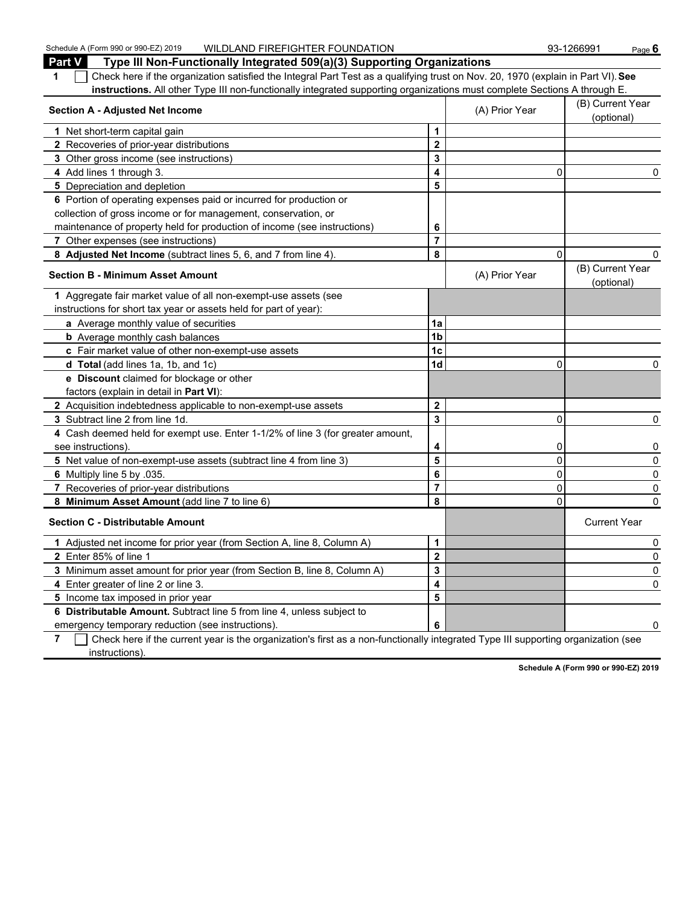Schedule A (Form 990 or 990-EZ) 2019 WILDLAND FIREFIGHTER FOUNDATION 93-1266991 Page 6

| <b>Part V</b><br>Type III Non-Functionally Integrated 509(a)(3) Supporting Organizations                                              |                         |                                |                                |
|---------------------------------------------------------------------------------------------------------------------------------------|-------------------------|--------------------------------|--------------------------------|
| Check here if the organization satisfied the Integral Part Test as a qualifying trust on Nov. 20, 1970 (explain in Part VI). See<br>1 |                         |                                |                                |
| instructions. All other Type III non-functionally integrated supporting organizations must complete Sections A through E.             |                         |                                |                                |
| <b>Section A - Adjusted Net Income</b>                                                                                                | (A) Prior Year          | (B) Current Year<br>(optional) |                                |
| 1 Net short-term capital gain                                                                                                         | 1                       |                                |                                |
| 2 Recoveries of prior-year distributions                                                                                              | $\overline{\mathbf{2}}$ |                                |                                |
| 3 Other gross income (see instructions)                                                                                               | 3                       |                                |                                |
| 4 Add lines 1 through 3.                                                                                                              | 4                       | $\mathbf{0}$                   | 0                              |
| 5 Depreciation and depletion                                                                                                          | 5                       |                                |                                |
| 6 Portion of operating expenses paid or incurred for production or                                                                    |                         |                                |                                |
| collection of gross income or for management, conservation, or                                                                        |                         |                                |                                |
| maintenance of property held for production of income (see instructions)                                                              | 6                       |                                |                                |
| 7 Other expenses (see instructions)                                                                                                   | $\overline{7}$          |                                |                                |
| 8 Adjusted Net Income (subtract lines 5, 6, and 7 from line 4).                                                                       | 8                       | 0                              | 0                              |
| <b>Section B - Minimum Asset Amount</b>                                                                                               |                         | (A) Prior Year                 | (B) Current Year<br>(optional) |
| 1 Aggregate fair market value of all non-exempt-use assets (see                                                                       |                         |                                |                                |
| instructions for short tax year or assets held for part of year):                                                                     |                         |                                |                                |
| a Average monthly value of securities                                                                                                 | 1a                      |                                |                                |
| <b>b</b> Average monthly cash balances                                                                                                | 1 <sub>b</sub>          |                                |                                |
| c Fair market value of other non-exempt-use assets                                                                                    | 1c                      |                                |                                |
| d Total (add lines 1a, 1b, and 1c)                                                                                                    | 1d                      | 0                              | 0                              |
| <b>e</b> Discount claimed for blockage or other                                                                                       |                         |                                |                                |
| factors (explain in detail in Part VI):                                                                                               |                         |                                |                                |
| 2 Acquisition indebtedness applicable to non-exempt-use assets                                                                        | $\boldsymbol{2}$        |                                |                                |
| 3 Subtract line 2 from line 1d.                                                                                                       | $\overline{\mathbf{3}}$ | $\mathbf{0}$                   | 0                              |
| 4 Cash deemed held for exempt use. Enter 1-1/2% of line 3 (for greater amount,                                                        |                         |                                |                                |
| see instructions).                                                                                                                    | 4                       | 0                              | 0                              |
| 5 Net value of non-exempt-use assets (subtract line 4 from line 3)                                                                    | 5                       | 0                              | 0                              |
| 6 Multiply line 5 by .035.                                                                                                            | 6                       | 0                              | 0                              |
| 7 Recoveries of prior-year distributions                                                                                              | $\overline{7}$          | 0                              | 0                              |
| 8 Minimum Asset Amount (add line 7 to line 6)                                                                                         | 8                       | $\Omega$                       | $\Omega$                       |
| <b>Section C - Distributable Amount</b>                                                                                               |                         |                                | <b>Current Year</b>            |
| 1 Adjusted net income for prior year (from Section A, line 8, Column A)                                                               | 1                       |                                | 0                              |
| 2 Enter 85% of line 1                                                                                                                 | $\overline{2}$          |                                | 0                              |
| 3 Minimum asset amount for prior year (from Section B, line 8, Column A)                                                              | 3                       |                                | 0                              |
| 4 Enter greater of line 2 or line 3.                                                                                                  | 4                       |                                | 0                              |
| 5 Income tax imposed in prior year                                                                                                    | 5                       |                                |                                |
| 6 Distributable Amount. Subtract line 5 from line 4, unless subject to                                                                |                         |                                |                                |
| emergency temporary reduction (see instructions).                                                                                     | 6                       |                                | 0                              |

**7** Check here if the current year is the organization's first as a non-functionally integrated Type III supporting organization (see instructions).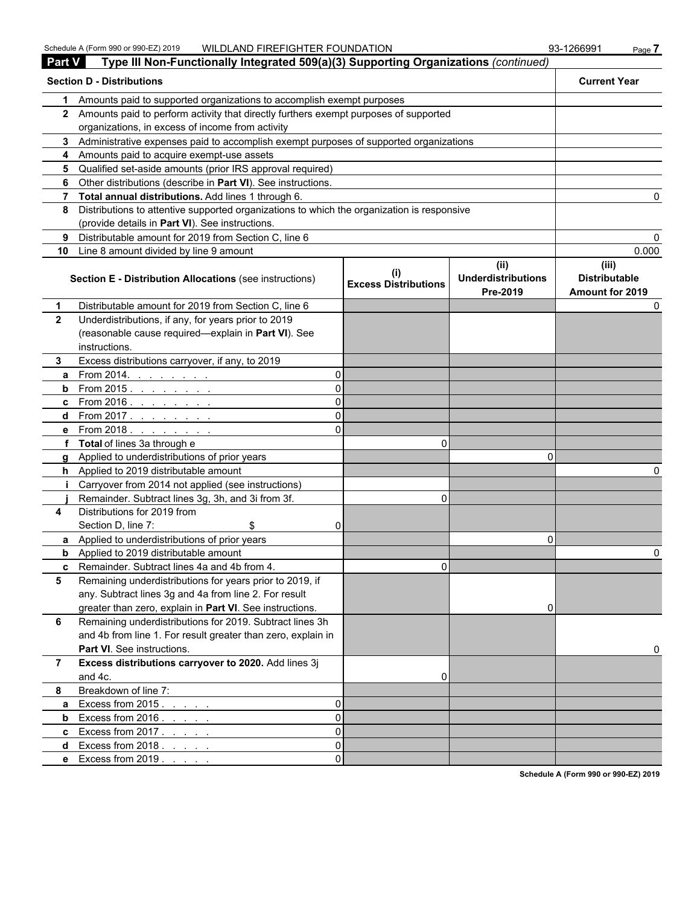| <b>Part V</b>  | Type III Non-Functionally Integrated 509(a)(3) Supporting Organizations (continued)                                                           |                             |                                       |                                         |
|----------------|-----------------------------------------------------------------------------------------------------------------------------------------------|-----------------------------|---------------------------------------|-----------------------------------------|
|                | <b>Section D - Distributions</b>                                                                                                              |                             |                                       | <b>Current Year</b>                     |
| 1              | Amounts paid to supported organizations to accomplish exempt purposes                                                                         |                             |                                       |                                         |
|                | 2 Amounts paid to perform activity that directly furthers exempt purposes of supported                                                        |                             |                                       |                                         |
|                | organizations, in excess of income from activity                                                                                              |                             |                                       |                                         |
|                | 3 Administrative expenses paid to accomplish exempt purposes of supported organizations                                                       |                             |                                       |                                         |
|                | 4 Amounts paid to acquire exempt-use assets                                                                                                   |                             |                                       |                                         |
|                | 5 Qualified set-aside amounts (prior IRS approval required)                                                                                   |                             |                                       |                                         |
|                | 6 Other distributions (describe in Part VI). See instructions.                                                                                |                             |                                       |                                         |
|                | 7 Total annual distributions. Add lines 1 through 6.                                                                                          |                             |                                       |                                         |
| 8              | Distributions to attentive supported organizations to which the organization is responsive<br>(provide details in Part VI). See instructions. |                             |                                       |                                         |
| 9              | Distributable amount for 2019 from Section C, line 6                                                                                          |                             |                                       |                                         |
|                | 10 Line 8 amount divided by line 9 amount                                                                                                     |                             |                                       | 0.000                                   |
|                |                                                                                                                                               |                             | (ii)                                  | (iii)                                   |
|                | Section E - Distribution Allocations (see instructions)                                                                                       | <b>Excess Distributions</b> | <b>Underdistributions</b><br>Pre-2019 | <b>Distributable</b><br>Amount for 2019 |
| 1              | Distributable amount for 2019 from Section C, line 6                                                                                          |                             |                                       |                                         |
| $\mathbf{2}$   | Underdistributions, if any, for years prior to 2019                                                                                           |                             |                                       |                                         |
|                | (reasonable cause required-explain in Part VI). See                                                                                           |                             |                                       |                                         |
|                | instructions.                                                                                                                                 |                             |                                       |                                         |
| 3.             | Excess distributions carryover, if any, to 2019                                                                                               |                             |                                       |                                         |
| a              | From 2014. $\ldots$ $\ldots$ $\ldots$<br>$\Omega$                                                                                             |                             |                                       |                                         |
|                | <b>b</b> From 2015. <u>.</u><br>ΩI                                                                                                            |                             |                                       |                                         |
|                | <b>c</b> From 2016. <u>.</u><br>ΩI                                                                                                            |                             |                                       |                                         |
|                | <b>d</b> From 2017. <u>.</u><br>ΩI                                                                                                            |                             |                                       |                                         |
|                | <b>e</b> From 2018.<br>ΩI                                                                                                                     |                             |                                       |                                         |
|                | f Total of lines 3a through e                                                                                                                 | 0                           |                                       |                                         |
|                | g Applied to underdistributions of prior years                                                                                                |                             | n                                     |                                         |
|                | h Applied to 2019 distributable amount                                                                                                        |                             |                                       |                                         |
|                | Carryover from 2014 not applied (see instructions)                                                                                            |                             |                                       |                                         |
|                | Remainder. Subtract lines 3g, 3h, and 3i from 3f.                                                                                             | 0                           |                                       |                                         |
| 4              | Distributions for 2019 from                                                                                                                   |                             |                                       |                                         |
|                | Section D, line 7:<br>\$<br>01                                                                                                                |                             |                                       |                                         |
|                | a Applied to underdistributions of prior years                                                                                                |                             | 0                                     |                                         |
|                | <b>b</b> Applied to 2019 distributable amount                                                                                                 |                             |                                       |                                         |
|                | <b>c</b> Remainder. Subtract lines 4a and 4b from 4                                                                                           | U.                          |                                       |                                         |
| 5              | Remaining underdistributions for years prior to 2019, if                                                                                      |                             |                                       |                                         |
|                | any. Subtract lines 3g and 4a from line 2. For result                                                                                         |                             |                                       |                                         |
| 6              | greater than zero, explain in Part VI. See instructions.<br>Remaining underdistributions for 2019. Subtract lines 3h                          |                             | 0                                     |                                         |
|                |                                                                                                                                               |                             |                                       |                                         |
|                | and 4b from line 1. For result greater than zero, explain in                                                                                  |                             |                                       |                                         |
|                | Part VI. See instructions.                                                                                                                    |                             |                                       |                                         |
| $\overline{7}$ | Excess distributions carryover to 2020. Add lines 3j                                                                                          |                             |                                       |                                         |
|                | and 4c.                                                                                                                                       | 0                           |                                       |                                         |
| 8              | Breakdown of line 7:                                                                                                                          |                             |                                       |                                         |
| a              | Excess from $2015.$<br>$\Omega$                                                                                                               |                             |                                       |                                         |
| b              | Excess from $2016. \ldots$ .<br>$\Omega$                                                                                                      |                             |                                       |                                         |
|                | <b>c</b> Excess from $2017$<br>$\Omega$                                                                                                       |                             |                                       |                                         |
|                | $\Omega$<br>d Excess from $2018.$                                                                                                             |                             |                                       |                                         |
|                | <b>e</b> Excess from 2019<br>$\Omega$                                                                                                         |                             |                                       |                                         |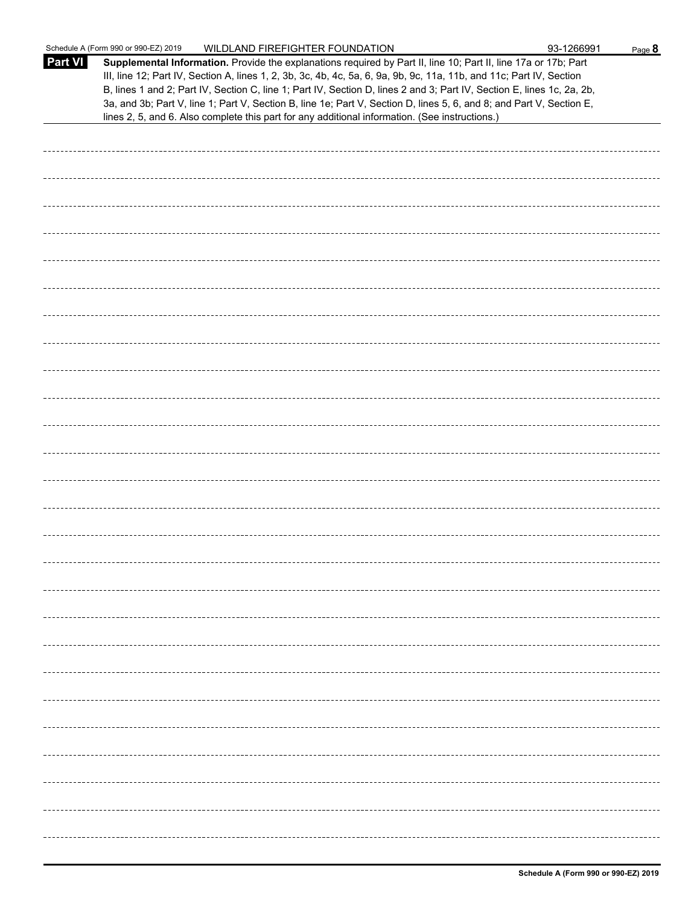|                | Schedule A (Form 990 or 990-EZ) 2019<br>WILDLAND FIREFIGHTER FOUNDATION                                                                                                                                                                                                                                                                                                                                                                                                                                                                                                                     | 93-1266991 | Page 8 |
|----------------|---------------------------------------------------------------------------------------------------------------------------------------------------------------------------------------------------------------------------------------------------------------------------------------------------------------------------------------------------------------------------------------------------------------------------------------------------------------------------------------------------------------------------------------------------------------------------------------------|------------|--------|
| <b>Part VI</b> | Supplemental Information. Provide the explanations required by Part II, line 10; Part II, line 17a or 17b; Part<br>III, line 12; Part IV, Section A, lines 1, 2, 3b, 3c, 4b, 4c, 5a, 6, 9a, 9b, 9c, 11a, 11b, and 11c; Part IV, Section<br>B, lines 1 and 2; Part IV, Section C, line 1; Part IV, Section D, lines 2 and 3; Part IV, Section E, lines 1c, 2a, 2b,<br>3a, and 3b; Part V, line 1; Part V, Section B, line 1e; Part V, Section D, lines 5, 6, and 8; and Part V, Section E,<br>lines 2, 5, and 6. Also complete this part for any additional information. (See instructions.) |            |        |
|                |                                                                                                                                                                                                                                                                                                                                                                                                                                                                                                                                                                                             |            |        |
|                |                                                                                                                                                                                                                                                                                                                                                                                                                                                                                                                                                                                             |            |        |
|                |                                                                                                                                                                                                                                                                                                                                                                                                                                                                                                                                                                                             |            |        |
|                |                                                                                                                                                                                                                                                                                                                                                                                                                                                                                                                                                                                             |            |        |
|                |                                                                                                                                                                                                                                                                                                                                                                                                                                                                                                                                                                                             |            |        |
|                |                                                                                                                                                                                                                                                                                                                                                                                                                                                                                                                                                                                             |            |        |
|                |                                                                                                                                                                                                                                                                                                                                                                                                                                                                                                                                                                                             |            |        |
|                |                                                                                                                                                                                                                                                                                                                                                                                                                                                                                                                                                                                             |            |        |
|                |                                                                                                                                                                                                                                                                                                                                                                                                                                                                                                                                                                                             |            |        |
|                |                                                                                                                                                                                                                                                                                                                                                                                                                                                                                                                                                                                             |            |        |
|                |                                                                                                                                                                                                                                                                                                                                                                                                                                                                                                                                                                                             |            |        |
|                |                                                                                                                                                                                                                                                                                                                                                                                                                                                                                                                                                                                             |            |        |
|                |                                                                                                                                                                                                                                                                                                                                                                                                                                                                                                                                                                                             |            |        |
|                |                                                                                                                                                                                                                                                                                                                                                                                                                                                                                                                                                                                             |            |        |
|                |                                                                                                                                                                                                                                                                                                                                                                                                                                                                                                                                                                                             |            |        |
|                |                                                                                                                                                                                                                                                                                                                                                                                                                                                                                                                                                                                             |            |        |
|                |                                                                                                                                                                                                                                                                                                                                                                                                                                                                                                                                                                                             |            |        |
|                |                                                                                                                                                                                                                                                                                                                                                                                                                                                                                                                                                                                             |            |        |
|                |                                                                                                                                                                                                                                                                                                                                                                                                                                                                                                                                                                                             |            |        |
|                |                                                                                                                                                                                                                                                                                                                                                                                                                                                                                                                                                                                             |            |        |
|                |                                                                                                                                                                                                                                                                                                                                                                                                                                                                                                                                                                                             |            |        |
|                |                                                                                                                                                                                                                                                                                                                                                                                                                                                                                                                                                                                             |            |        |
|                |                                                                                                                                                                                                                                                                                                                                                                                                                                                                                                                                                                                             |            |        |
|                |                                                                                                                                                                                                                                                                                                                                                                                                                                                                                                                                                                                             |            |        |
|                |                                                                                                                                                                                                                                                                                                                                                                                                                                                                                                                                                                                             |            |        |
|                |                                                                                                                                                                                                                                                                                                                                                                                                                                                                                                                                                                                             |            |        |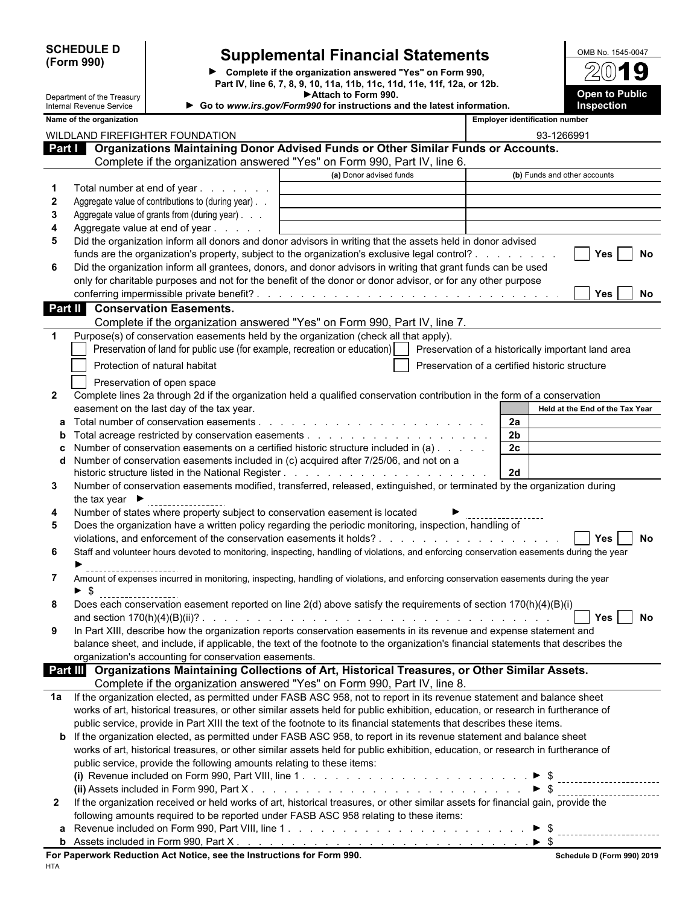| <b>SCHEDULE D</b> |  |
|-------------------|--|
| (Form 990)        |  |

Department of the Treasury

## **P** | Supplemental Financial Statements

**Complete if the organization answered "Yes" on Form 990, Part IV, line 6, 7, 8, 9, 10, 11a, 11b, 11c, 11d, 11e, 11f, 12a, or 12b. Attach to Form 990. Go to** *www.irs.gov/Form990* **for instructions and the latest information.**

| OMB No. 1545-0047                   |
|-------------------------------------|
| 2019                                |
| <b>Open to Public</b><br>Inspection |

| Internal Revenue Service |  |
|--------------------------|--|
| Name of the organization |  |

|                  | Name of the organization                                                                                                                                |                         |                | <b>Employer identification number</b>          |
|------------------|---------------------------------------------------------------------------------------------------------------------------------------------------------|-------------------------|----------------|------------------------------------------------|
|                  | WILDLAND FIREFIGHTER FOUNDATION                                                                                                                         |                         |                | 93-1266991                                     |
| Part I           | Organizations Maintaining Donor Advised Funds or Other Similar Funds or Accounts.                                                                       |                         |                |                                                |
|                  | Complete if the organization answered "Yes" on Form 990, Part IV, line 6.                                                                               |                         |                |                                                |
|                  |                                                                                                                                                         | (a) Donor advised funds |                | (b) Funds and other accounts                   |
|                  | Total number at end of year                                                                                                                             |                         |                |                                                |
| $\boldsymbol{2}$ | Aggregate value of contributions to (during year). .                                                                                                    |                         |                |                                                |
| 3                | Aggregate value of grants from (during year)                                                                                                            |                         |                |                                                |
| 4                | Aggregate value at end of year                                                                                                                          |                         |                |                                                |
| 5                | Did the organization inform all donors and donor advisors in writing that the assets held in donor advised                                              |                         |                |                                                |
|                  | funds are the organization's property, subject to the organization's exclusive legal control?                                                           |                         |                | Yes<br>No                                      |
| 6                | Did the organization inform all grantees, donors, and donor advisors in writing that grant funds can be used                                            |                         |                |                                                |
|                  | only for charitable purposes and not for the benefit of the donor or donor advisor, or for any other purpose                                            |                         |                |                                                |
|                  |                                                                                                                                                         |                         |                | <b>Yes</b><br>No                               |
|                  | <b>Part II</b> Conservation Easements.                                                                                                                  |                         |                |                                                |
|                  | Complete if the organization answered "Yes" on Form 990, Part IV, line 7.                                                                               |                         |                |                                                |
|                  | Purpose(s) of conservation easements held by the organization (check all that apply).                                                                   |                         |                |                                                |
|                  | Preservation of land for public use (for example, recreation or education)     Preservation of a historically important land area                       |                         |                |                                                |
|                  | Protection of natural habitat                                                                                                                           |                         |                | Preservation of a certified historic structure |
|                  |                                                                                                                                                         |                         |                |                                                |
| $\mathbf{2}$     | Preservation of open space<br>Complete lines 2a through 2d if the organization held a qualified conservation contribution in the form of a conservation |                         |                |                                                |
|                  | easement on the last day of the tax year.                                                                                                               |                         |                | Held at the End of the Tax Year                |
|                  |                                                                                                                                                         |                         | 2a             |                                                |
|                  |                                                                                                                                                         |                         | 2 <sub>b</sub> |                                                |
|                  | Number of conservation easements on a certified historic structure included in (a)                                                                      |                         | 2c             |                                                |
| d                | Number of conservation easements included in (c) acquired after 7/25/06, and not on a                                                                   |                         |                |                                                |
|                  |                                                                                                                                                         |                         | 2d             |                                                |
| 3                | Number of conservation easements modified, transferred, released, extinguished, or terminated by the organization during                                |                         |                |                                                |
|                  | the tax year $\blacktriangleright$                                                                                                                      |                         |                |                                                |
| 4                | Number of states where property subject to conservation easement is located                                                                             |                         |                |                                                |
| 5                | Does the organization have a written policy regarding the periodic monitoring, inspection, handling of                                                  |                         |                |                                                |
|                  |                                                                                                                                                         |                         |                | <b>No</b><br><b>Yes</b>                        |
| 6                | Staff and volunteer hours devoted to monitoring, inspecting, handling of violations, and enforcing conservation easements during the year               |                         |                |                                                |
|                  |                                                                                                                                                         |                         |                |                                                |
| 7                | Amount of expenses incurred in monitoring, inspecting, handling of violations, and enforcing conservation easements during the year                     |                         |                |                                                |
|                  | -\$                                                                                                                                                     |                         |                |                                                |
| 8                | Does each conservation easement reported on line 2(d) above satisfy the requirements of section 170(h)(4)(B)(i)                                         |                         |                |                                                |
|                  |                                                                                                                                                         |                         |                | Yes<br>No                                      |
| 9                | In Part XIII, describe how the organization reports conservation easements in its revenue and expense statement and                                     |                         |                |                                                |
|                  | balance sheet, and include, if applicable, the text of the footnote to the organization's financial statements that describes the                       |                         |                |                                                |
|                  | organization's accounting for conservation easements.                                                                                                   |                         |                |                                                |
|                  | Organizations Maintaining Collections of Art, Historical Treasures, or Other Similar Assets.<br><b>Part III</b>                                         |                         |                |                                                |
|                  | Complete if the organization answered "Yes" on Form 990, Part IV, line 8.                                                                               |                         |                |                                                |
| 1а               | If the organization elected, as permitted under FASB ASC 958, not to report in its revenue statement and balance sheet                                  |                         |                |                                                |
|                  | works of art, historical treasures, or other similar assets held for public exhibition, education, or research in furtherance of                        |                         |                |                                                |
|                  | public service, provide in Part XIII the text of the footnote to its financial statements that describes these items.                                   |                         |                |                                                |
|                  | <b>b</b> If the organization elected, as permitted under FASB ASC 958, to report in its revenue statement and balance sheet                             |                         |                |                                                |
|                  | works of art, historical treasures, or other similar assets held for public exhibition, education, or research in furtherance of                        |                         |                |                                                |
|                  | public service, provide the following amounts relating to these items:                                                                                  |                         |                |                                                |
|                  |                                                                                                                                                         |                         |                |                                                |
|                  |                                                                                                                                                         |                         |                | $\triangleright$ \$                            |
| $\mathbf{2}$     | If the organization received or held works of art, historical treasures, or other similar assets for financial gain, provide the                        |                         |                |                                                |
|                  | following amounts required to be reported under FASB ASC 958 relating to these items:                                                                   |                         |                |                                                |
|                  |                                                                                                                                                         |                         |                |                                                |
|                  |                                                                                                                                                         |                         |                |                                                |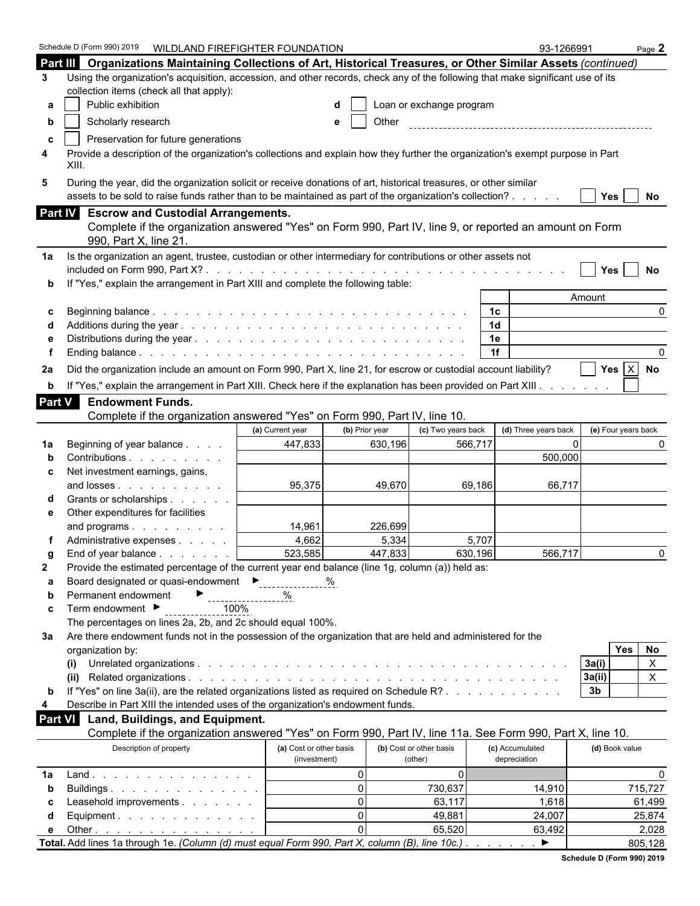|                | Schedule D (Form 990) 2019 WILDLAND FIREFIGHTER FOUNDATION                                                                              |                         |                |                          |                | 93-1266991            |                          | Page $2$     |
|----------------|-----------------------------------------------------------------------------------------------------------------------------------------|-------------------------|----------------|--------------------------|----------------|-----------------------|--------------------------|--------------|
|                | Part III Organizations Maintaining Collections of Art, Historical Treasures, or Other Similar Assets (continued)                        |                         |                |                          |                |                       |                          |              |
| 3              | Using the organization's acquisition, accession, and other records, check any of the following that make significant use of its         |                         |                |                          |                |                       |                          |              |
|                | collection items (check all that apply):                                                                                                |                         |                |                          |                |                       |                          |              |
| а              | Public exhibition                                                                                                                       |                         |                | Loan or exchange program |                |                       |                          |              |
| b              | Scholarly research                                                                                                                      |                         | Other<br>е     |                          |                |                       |                          |              |
| c              | Preservation for future generations                                                                                                     |                         |                |                          |                |                       |                          |              |
| 4              | Provide a description of the organization's collections and explain how they further the organization's exempt purpose in Part<br>XIII. |                         |                |                          |                |                       |                          |              |
| 5              | During the year, did the organization solicit or receive donations of art, historical treasures, or other similar                       |                         |                |                          |                |                       |                          |              |
|                | assets to be sold to raise funds rather than to be maintained as part of the organization's collection?                                 |                         |                |                          |                |                       | Yes $ $                  | No           |
|                | Part IV Escrow and Custodial Arrangements.                                                                                              |                         |                |                          |                |                       |                          |              |
|                | Complete if the organization answered "Yes" on Form 990, Part IV, line 9, or reported an amount on Form                                 |                         |                |                          |                |                       |                          |              |
|                | 990, Part X, line 21                                                                                                                    |                         |                |                          |                |                       |                          |              |
| 1a             | Is the organization an agent, trustee, custodian or other intermediary for contributions or other assets not                            |                         |                |                          |                |                       |                          |              |
|                |                                                                                                                                         |                         |                |                          |                |                       | $Yes \mid$               | No           |
| b              | If "Yes," explain the arrangement in Part XIII and complete the following table:                                                        |                         |                |                          |                |                       |                          |              |
|                |                                                                                                                                         |                         |                |                          |                |                       | Amount                   |              |
| c              |                                                                                                                                         |                         |                |                          | 1c             |                       |                          | <sup>0</sup> |
|                |                                                                                                                                         |                         |                |                          | 1 <sub>d</sub> |                       |                          |              |
|                |                                                                                                                                         |                         |                |                          | 1e             |                       |                          |              |
|                |                                                                                                                                         |                         |                |                          | 1f             |                       |                          |              |
| 2a             | Did the organization include an amount on Form 990, Part X, line 21, for escrow or custodial account liability?                         |                         |                |                          |                |                       | Yes $ X $                | No           |
| b              | If "Yes," explain the arrangement in Part XIII. Check here if the explanation has been provided on Part XIII.                           |                         |                |                          |                |                       |                          |              |
| Part V         | <b>Endowment Funds.</b>                                                                                                                 |                         |                |                          |                |                       |                          |              |
|                | Complete if the organization answered "Yes" on Form 990, Part IV, line 10.                                                              |                         |                |                          |                |                       |                          |              |
|                |                                                                                                                                         | (a) Current year        | (b) Prior year | (c) Two years back       |                | (d) Three years back  | (e) Four years back      |              |
| 1a             | Beginning of year balance                                                                                                               | 447,833                 | 630,196        |                          | 566,717        | $\Omega$              |                          |              |
|                | Contributions                                                                                                                           |                         |                |                          |                | 500,000               |                          |              |
| c              | Net investment earnings, gains,                                                                                                         |                         |                |                          |                |                       |                          |              |
|                | and losses                                                                                                                              | 95,375                  | 49,670         |                          | 69,186         | 66,717                |                          |              |
|                | Grants or scholarships                                                                                                                  |                         |                |                          |                |                       |                          |              |
| е              | Other expenditures for facilities                                                                                                       |                         |                |                          |                |                       |                          |              |
|                | and programs                                                                                                                            | 14,961                  | 226,699        |                          |                |                       |                          |              |
|                | Administrative expenses                                                                                                                 | 4,662                   | 5,334          |                          | 5,707          |                       |                          |              |
| g              | End of year balance                                                                                                                     | 523,585                 | 447,833        |                          | 630,196        | 566,717               |                          | <sup>0</sup> |
| $\mathbf{2}$   | Provide the estimated percentage of the current year end balance (line 1g, column (a)) held as:                                         |                         |                |                          |                |                       |                          |              |
| а              | Board designated or quasi-endowment<br>Ferricances:                                                                                     |                         | %              |                          |                |                       |                          |              |
| b              | Permanent endowment                                                                                                                     |                         |                |                          |                |                       |                          |              |
| c              | Term endowment ▶<br>100%                                                                                                                |                         |                |                          |                |                       |                          |              |
|                | The percentages on lines 2a, 2b, and 2c should equal 100%.                                                                              |                         |                |                          |                |                       |                          |              |
| За             | Are there endowment funds not in the possession of the organization that are held and administered for the                              |                         |                |                          |                |                       |                          |              |
|                | organization by:                                                                                                                        |                         |                |                          |                |                       | Yes                      | No           |
|                | (i)                                                                                                                                     |                         |                |                          |                |                       | 3a(i)                    | $\mathsf{X}$ |
|                | (ii)<br>If "Yes" on line 3a(ii), are the related organizations listed as required on Schedule R?                                        |                         |                |                          |                |                       | 3a(ii)<br>3 <sub>b</sub> | X.           |
| b<br>4         | Describe in Part XIII the intended uses of the organization's endowment funds.                                                          |                         |                |                          |                |                       |                          |              |
| <b>Part VI</b> | Land, Buildings, and Equipment.                                                                                                         |                         |                |                          |                |                       |                          |              |
|                | Complete if the organization answered "Yes" on Form 990, Part IV, line 11a. See Form 990, Part X, line 10.                              |                         |                |                          |                |                       |                          |              |
|                | Description of property                                                                                                                 | (a) Cost or other basis |                | (b) Cost or other basis  |                | (c) Accumulated       | (d) Book value           |              |
|                |                                                                                                                                         | (investment)            |                | (other)                  |                | depreciation          |                          |              |
| 1a             | $Land.$                                                                                                                                 |                         | $\mathbf{0}$   | $\Omega$                 |                |                       |                          | $\Omega$     |
| b              | Buildings                                                                                                                               |                         | $\mathbf{0}$   | 730,637                  |                | 14,910                |                          | 715,727      |
| С              | Leasehold improvements                                                                                                                  |                         | $\Omega$       | 63,117                   |                | 1,618                 |                          | 61,499       |
| d              | Equipment.                                                                                                                              |                         | $\Omega$       | 49,881                   |                | 24,007                |                          | 25,874       |
| е              | Other $\ldots$ $\ldots$ $\ldots$ $\ldots$ $\ldots$ $\ldots$                                                                             |                         | $\Omega$       | 65,520                   |                | 63,492                |                          | 2,028        |
|                | Total. Add lines 1a through 1e. (Column (d) must equal Form 990, Part X, column (B), line 10c.).                                        |                         |                |                          |                | $\blacktriangleright$ |                          | 805,128      |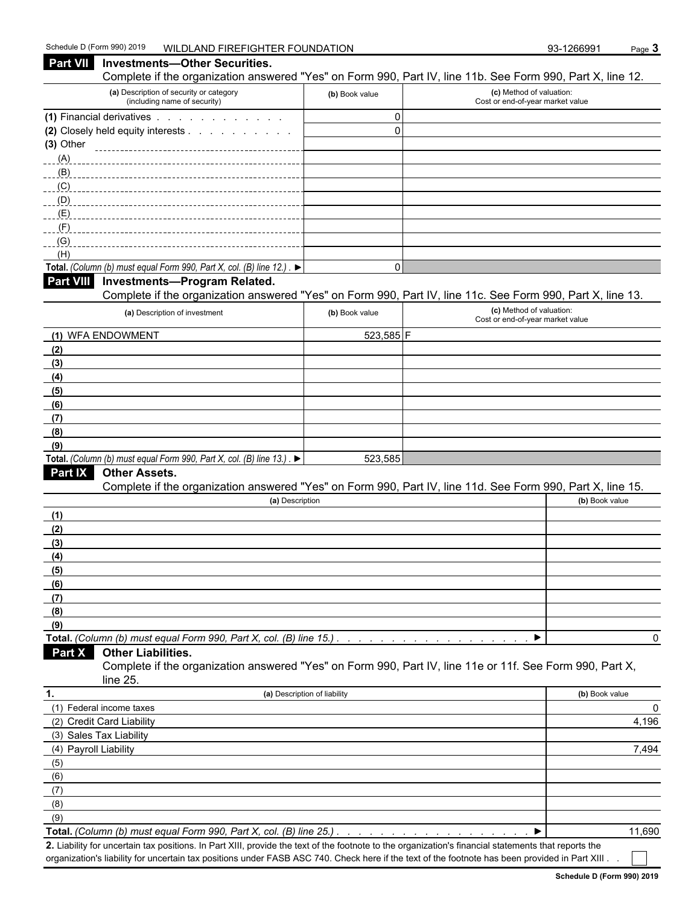**Part VII** Investments—Other Securities.

#### Complete if the organization answered "Yes" on Form 990, Part IV, line 11b. See Form 990, Part X, line 12. **(a)** Description of security or category (including name of security) **(b)** Book value **(c)** Method of valuation: Cost or end-of-year market value **(1)** Financial derivatives . . . . . . . . . . . . . . . . . 0 **(2)** Closely held equity interests . . . . . . . . . . . . . . . . . . . . . . . . . . . . . . . . . . . . . . . . . . . . . . . . . . . . . . 0 **(3)** Other (A)  $(B)$  $(C)$ (D)  $(E)$ (F)  $(G)$ <sub>\_\_\_\_\_\_\_</sub> (H) **Total.** *(Column (b) must equal Form 990, Part X, col.* (*B) line 12.*)  $\blacktriangleright$ **Part VIII Investments—Program Related.** Complete if the organization answered "Yes" on Form 990, Part IV, line 11c. See Form 990, Part X, line 13. **(a)** Description of investment **(b)** Book value **(c)** Method of valuation: Cost or end-of-year market value (1) WFA ENDOWMENT 323,585 F **(2) (3) (4) (5) (6) (7) (8) (9) Total.** *(Column (b) must equal Form 990, Part X, col. (B) line 13.)*  $\blacktriangleright$  . . . . . . . . . 523,585 **Part IX Other Assets.** Complete if the organization answered "Yes" on Form 990, Part IV, line 11d. See Form 990, Part X, line 15. **(a)** Description **(b)** Book value **(1) (2) (3) (4) (5) (6) (7) (8) (9) Total.** *(Column (b) must equal Form 990, Part X, col. (B) line 15.) . . . . . . . . . . . . . . . . . . . . . . . . . . . . . . . . . . . . . . . . . . . .* 0 **Part X Other Liabilities.** Complete if the organization answered "Yes" on Form 990, Part IV, line 11e or 11f. See Form 990, Part X, line 25. **1. (a)** Description of liability **(b)** Book value (1) Federal income taxes 0 (2) Credit Card Liability 4,196 (3) Sales Tax Liability (4) Payroll Liability 7,494 (5) (6) (7) (8) (9) **Total.** *(Column (b) must equal Form 990, Part X, col. (B) line 25.) . . . . . . . . . . . . . . . . . . . . . . . . . . . . . . . . . . . . . . . . . . . . .* 11,690

**2.** Liability for uncertain tax positions. In Part XIII, provide the text of the footnote to the organization's financial statements that reports the organization's liability for uncertain tax positions under FASB ASC 740. Check here if the text of the footnote has been provided in Part XIII.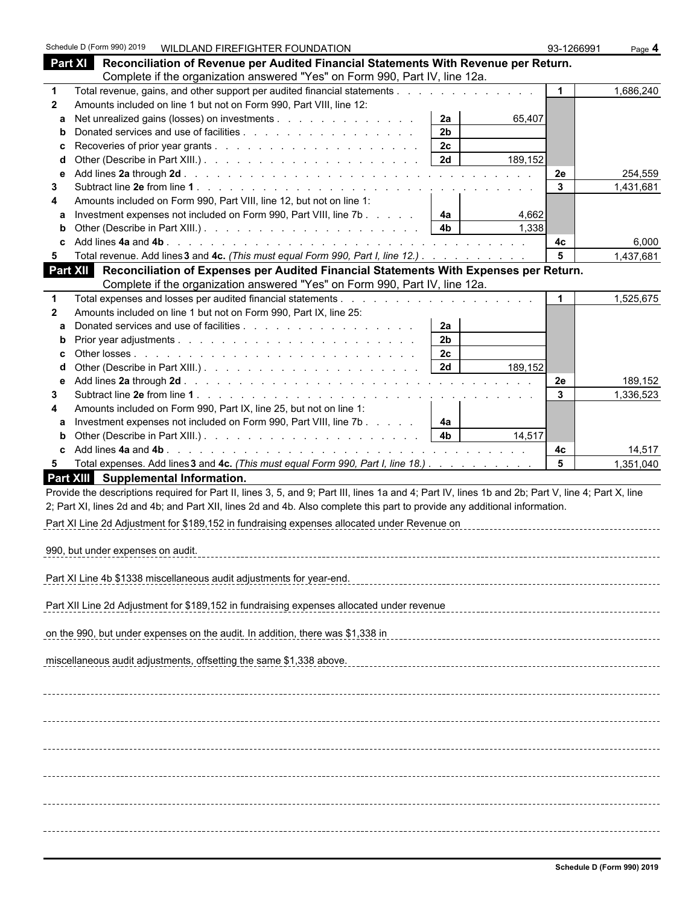|              | Schedule D (Form 990) 2019        |                                                                                                                                                    | WILDLAND FIREFIGHTER FOUNDATION |                      |         | 93-1266991           | Page 4              |
|--------------|-----------------------------------|----------------------------------------------------------------------------------------------------------------------------------------------------|---------------------------------|----------------------|---------|----------------------|---------------------|
|              |                                   | Part XI Reconciliation of Revenue per Audited Financial Statements With Revenue per Return.                                                        |                                 |                      |         |                      |                     |
|              |                                   | Complete if the organization answered "Yes" on Form 990, Part IV, line 12a.                                                                        |                                 |                      |         |                      |                     |
| 1            |                                   |                                                                                                                                                    |                                 |                      |         | $\mathbf{1}$         | 1,686,240           |
| $\mathbf{2}$ |                                   | Amounts included on line 1 but not on Form 990, Part VIII, line 12:                                                                                |                                 |                      |         |                      |                     |
| a            |                                   | Net unrealized gains (losses) on investments                                                                                                       |                                 | 2a                   | 65,407  |                      |                     |
| b            |                                   |                                                                                                                                                    |                                 | 2 <sub>b</sub>       |         |                      |                     |
| c            |                                   |                                                                                                                                                    |                                 | 2 <sub>c</sub>       |         |                      |                     |
|              |                                   |                                                                                                                                                    |                                 |                      | 189,152 |                      |                     |
| е            |                                   |                                                                                                                                                    |                                 |                      |         | 2e<br>$\mathbf{3}$   | 254,559             |
| 3<br>4       |                                   | Amounts included on Form 990, Part VIII, line 12, but not on line 1:                                                                               |                                 |                      |         |                      | 1,431,681           |
| a            |                                   | Investment expenses not included on Form 990, Part VIII, line 7b                                                                                   |                                 | 4a                   | 4,662   |                      |                     |
| b            |                                   |                                                                                                                                                    |                                 |                      | 1,338   |                      |                     |
| c            |                                   |                                                                                                                                                    |                                 |                      |         | 4с                   | 6,000               |
| 5            |                                   | Total revenue. Add lines 3 and 4c. (This must equal Form 990, Part I, line 12.)                                                                    |                                 |                      |         | 5                    | 1,437,681           |
| Part XII     |                                   | Reconciliation of Expenses per Audited Financial Statements With Expenses per Return.                                                              |                                 |                      |         |                      |                     |
|              |                                   | Complete if the organization answered "Yes" on Form 990, Part IV, line 12a.                                                                        |                                 |                      |         |                      |                     |
| $\mathbf 1$  |                                   |                                                                                                                                                    |                                 |                      |         | $\blacktriangleleft$ | 1,525,675           |
| $\mathbf{2}$ |                                   | Amounts included on line 1 but not on Form 990, Part IX, line 25:                                                                                  |                                 |                      |         |                      |                     |
| a            |                                   |                                                                                                                                                    |                                 | 2a                   |         |                      |                     |
| $\mathbf b$  |                                   |                                                                                                                                                    |                                 | 2 <sub>b</sub>       |         |                      |                     |
| c            |                                   |                                                                                                                                                    |                                 | 2c                   |         |                      |                     |
| d            |                                   |                                                                                                                                                    |                                 | 2d                   | 189,152 |                      |                     |
| е            |                                   |                                                                                                                                                    |                                 |                      |         | 2e                   | 189,152             |
| 3            |                                   |                                                                                                                                                    |                                 |                      |         | 3                    | 1,336,523           |
| 4            |                                   | Amounts included on Form 990, Part IX, line 25, but not on line 1:                                                                                 |                                 |                      |         |                      |                     |
| a            |                                   | Investment expenses not included on Form 990, Part VIII, line 7b                                                                                   |                                 | 4a<br>4 <sub>b</sub> | 14,517  |                      |                     |
| b<br>c       |                                   |                                                                                                                                                    |                                 |                      |         |                      |                     |
| 5            |                                   | Total expenses. Add lines 3 and 4c. (This must equal Form 990, Part I, line 18.)                                                                   |                                 |                      |         | 4c<br>5              | 14,517<br>1,351,040 |
|              |                                   | Part XIII Supplemental Information.                                                                                                                |                                 |                      |         |                      |                     |
|              |                                   | Provide the descriptions required for Part II, lines 3, 5, and 9; Part III, lines 1a and 4; Part IV, lines 1b and 2b; Part V, line 4; Part X, line |                                 |                      |         |                      |                     |
|              |                                   | 2; Part XI, lines 2d and 4b; and Part XII, lines 2d and 4b. Also complete this part to provide any additional information.                         |                                 |                      |         |                      |                     |
|              |                                   |                                                                                                                                                    |                                 |                      |         |                      |                     |
|              |                                   | Part XI Line 2d Adjustment for \$189,152 in fundraising expenses allocated under Revenue on                                                        |                                 |                      |         |                      |                     |
|              | 990, but under expenses on audit. |                                                                                                                                                    |                                 |                      |         |                      |                     |
|              |                                   |                                                                                                                                                    |                                 |                      |         |                      |                     |
|              |                                   | Part XI Line 4b \$1338 miscellaneous audit adjustments for year-end.                                                                               |                                 |                      |         |                      |                     |
|              |                                   |                                                                                                                                                    |                                 |                      |         |                      |                     |
|              |                                   | Part XII Line 2d Adjustment for \$189,152 in fundraising expenses allocated under revenue                                                          |                                 |                      |         |                      |                     |
|              |                                   |                                                                                                                                                    |                                 |                      |         |                      |                     |
|              |                                   | on the 990, but under expenses on the audit. In addition, there was \$1,338 in                                                                     |                                 |                      |         |                      |                     |
|              |                                   |                                                                                                                                                    |                                 |                      |         |                      |                     |
|              |                                   | miscellaneous audit adjustments, offsetting the same \$1,338 above.                                                                                |                                 |                      |         |                      |                     |
|              |                                   |                                                                                                                                                    |                                 |                      |         |                      |                     |
|              |                                   |                                                                                                                                                    |                                 |                      |         |                      |                     |
|              |                                   |                                                                                                                                                    |                                 |                      |         |                      |                     |
|              |                                   |                                                                                                                                                    |                                 |                      |         |                      |                     |
|              |                                   |                                                                                                                                                    |                                 |                      |         |                      |                     |
|              |                                   |                                                                                                                                                    |                                 |                      |         |                      |                     |
|              |                                   |                                                                                                                                                    |                                 |                      |         |                      |                     |
|              |                                   |                                                                                                                                                    |                                 |                      |         |                      |                     |
|              |                                   |                                                                                                                                                    |                                 |                      |         |                      |                     |
|              |                                   |                                                                                                                                                    |                                 |                      |         |                      |                     |
|              |                                   |                                                                                                                                                    |                                 |                      |         |                      |                     |
|              |                                   |                                                                                                                                                    |                                 |                      |         |                      |                     |
|              |                                   |                                                                                                                                                    |                                 |                      |         |                      |                     |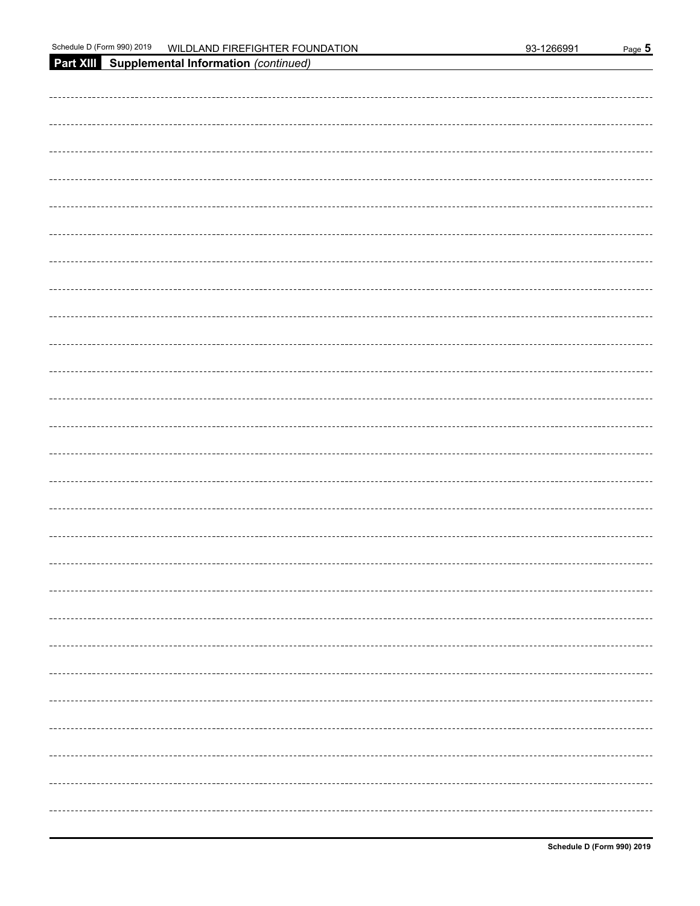| Part XIII Supplemental Information (continued) |
|------------------------------------------------|
|                                                |
|                                                |
|                                                |
|                                                |
|                                                |
|                                                |
|                                                |
|                                                |
|                                                |
|                                                |
|                                                |
|                                                |
|                                                |
|                                                |
|                                                |
|                                                |
|                                                |
|                                                |
|                                                |
|                                                |
|                                                |
|                                                |
|                                                |
|                                                |
|                                                |
|                                                |
|                                                |
|                                                |
|                                                |
|                                                |
|                                                |
|                                                |
|                                                |
|                                                |
|                                                |
|                                                |
|                                                |
|                                                |
|                                                |
|                                                |
|                                                |
|                                                |
|                                                |
|                                                |
|                                                |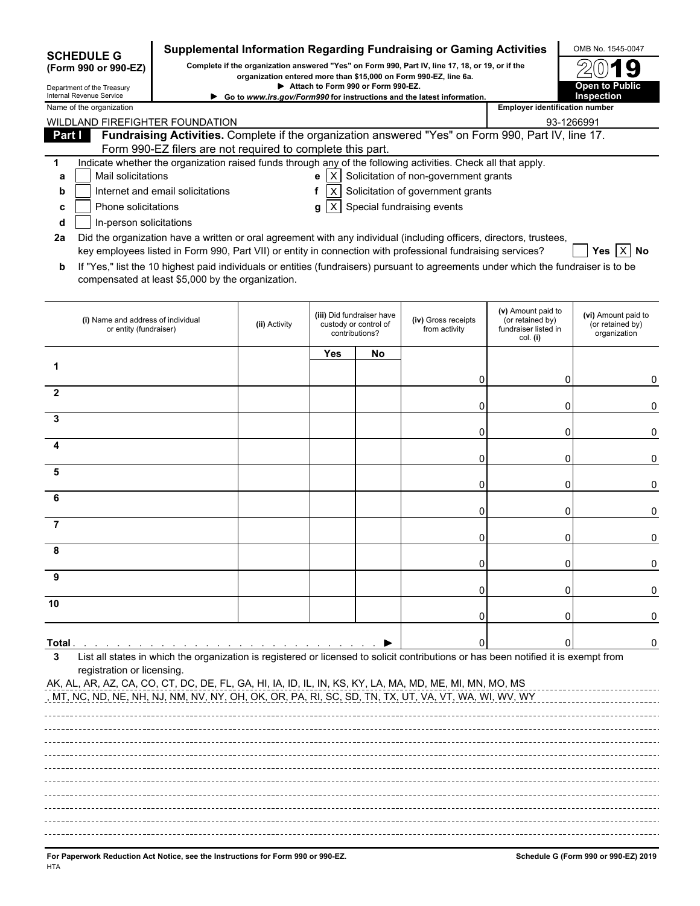| Complete if the organization answered "Yes" on Form 990, Part IV, line 17, 18, or 19, or if the<br>(Form 990 or 990-EZ)<br>organization entered more than \$15,000 on Form 990-EZ, line 6a.<br><b>Open to Public</b><br>Attach to Form 990 or Form 990-EZ.<br>Department of the Treasury<br>Internal Revenue Service<br><b>Inspection</b><br>Go to www.irs.gov/Form990 for instructions and the latest information.<br><b>Employer identification number</b><br>93-1266991<br>Fundraising Activities. Complete if the organization answered "Yes" on Form 990, Part IV, line 17.<br><b>Part I</b><br>Form 990-EZ filers are not required to complete this part.<br>Indicate whether the organization raised funds through any of the following activities. Check all that apply.<br>1<br>$\mathbf{e}$   X   Solicitation of non-government grants<br>Mail solicitations<br>a<br>$X$ Solicitation of government grants<br>Internet and email solicitations<br>f<br>b<br>$ X $ Special fundraising events<br>Phone solicitations<br>c<br>g<br>In-person solicitations<br>d<br>Did the organization have a written or oral agreement with any individual (including officers, directors, trustees,<br>2a<br>key employees listed in Form 990, Part VII) or entity in connection with professional fundraising services?<br>Yes   X   No<br>If "Yes," list the 10 highest paid individuals or entities (fundraisers) pursuant to agreements under which the fundraiser is to be<br>b<br>compensated at least \$5,000 by the organization.<br>(v) Amount paid to<br>(iii) Did fundraiser have<br>(vi) Amount paid to<br>(iv) Gross receipts<br>(i) Name and address of individual<br>(or retained by)<br>custody or control of<br>(or retained by)<br>(ii) Activity<br>from activity<br>fundraiser listed in<br>or entity (fundraiser)<br>contributions?<br>organization<br>col. (i)<br>Yes<br>No<br>1<br>0<br>ი<br>2<br>0<br>0<br>3<br>0<br>0<br>0<br>0<br>5<br>0<br>0<br>6<br>0<br>0<br>7<br>0<br>Ω<br>0<br>0<br>9<br>0<br>0<br>10<br>0<br>Total .<br>0<br>List all states in which the organization is registered or licensed to solicit contributions or has been notified it is exempt from<br>3<br>registration or licensing. | <b>SCHEDULE G</b>                                                               |  |  | Supplemental Information Regarding Fundraising or Gaming Activities | OMB No. 1545-0047                    |
|--------------------------------------------------------------------------------------------------------------------------------------------------------------------------------------------------------------------------------------------------------------------------------------------------------------------------------------------------------------------------------------------------------------------------------------------------------------------------------------------------------------------------------------------------------------------------------------------------------------------------------------------------------------------------------------------------------------------------------------------------------------------------------------------------------------------------------------------------------------------------------------------------------------------------------------------------------------------------------------------------------------------------------------------------------------------------------------------------------------------------------------------------------------------------------------------------------------------------------------------------------------------------------------------------------------------------------------------------------------------------------------------------------------------------------------------------------------------------------------------------------------------------------------------------------------------------------------------------------------------------------------------------------------------------------------------------------------------------------------------------------------------------------------------------------------------------------------------------------------------------------------------------------------------------------------------------------------------------------------------------------------------------------------------------------------------------------------------------------------------------------------------------------------------------------------------------------------------------------|---------------------------------------------------------------------------------|--|--|---------------------------------------------------------------------|--------------------------------------|
| Name of the organization<br>WILDLAND FIREFIGHTER FOUNDATION<br><u>, MT, NC, ND, NE, NH, NJ, NM, NV, NY, OH, OK, OR, PA, RI, SC, SD, TN, TX, UT, VA, VT, WA, WI, WV, WY</u>                                                                                                                                                                                                                                                                                                                                                                                                                                                                                                                                                                                                                                                                                                                                                                                                                                                                                                                                                                                                                                                                                                                                                                                                                                                                                                                                                                                                                                                                                                                                                                                                                                                                                                                                                                                                                                                                                                                                                                                                                                                     |                                                                                 |  |  |                                                                     |                                      |
|                                                                                                                                                                                                                                                                                                                                                                                                                                                                                                                                                                                                                                                                                                                                                                                                                                                                                                                                                                                                                                                                                                                                                                                                                                                                                                                                                                                                                                                                                                                                                                                                                                                                                                                                                                                                                                                                                                                                                                                                                                                                                                                                                                                                                                |                                                                                 |  |  |                                                                     |                                      |
| AK, AL, AR, AZ, CA, CO, CT, DC, DE, FL, GA, HI, IA, ID, IL, IN, KS, KY, LA, MA, MD, ME, MI, MN, MO, MS                                                                                                                                                                                                                                                                                                                                                                                                                                                                                                                                                                                                                                                                                                                                                                                                                                                                                                                                                                                                                                                                                                                                                                                                                                                                                                                                                                                                                                                                                                                                                                                                                                                                                                                                                                                                                                                                                                                                                                                                                                                                                                                         |                                                                                 |  |  |                                                                     |                                      |
|                                                                                                                                                                                                                                                                                                                                                                                                                                                                                                                                                                                                                                                                                                                                                                                                                                                                                                                                                                                                                                                                                                                                                                                                                                                                                                                                                                                                                                                                                                                                                                                                                                                                                                                                                                                                                                                                                                                                                                                                                                                                                                                                                                                                                                |                                                                                 |  |  |                                                                     |                                      |
|                                                                                                                                                                                                                                                                                                                                                                                                                                                                                                                                                                                                                                                                                                                                                                                                                                                                                                                                                                                                                                                                                                                                                                                                                                                                                                                                                                                                                                                                                                                                                                                                                                                                                                                                                                                                                                                                                                                                                                                                                                                                                                                                                                                                                                |                                                                                 |  |  |                                                                     |                                      |
|                                                                                                                                                                                                                                                                                                                                                                                                                                                                                                                                                                                                                                                                                                                                                                                                                                                                                                                                                                                                                                                                                                                                                                                                                                                                                                                                                                                                                                                                                                                                                                                                                                                                                                                                                                                                                                                                                                                                                                                                                                                                                                                                                                                                                                |                                                                                 |  |  |                                                                     |                                      |
|                                                                                                                                                                                                                                                                                                                                                                                                                                                                                                                                                                                                                                                                                                                                                                                                                                                                                                                                                                                                                                                                                                                                                                                                                                                                                                                                                                                                                                                                                                                                                                                                                                                                                                                                                                                                                                                                                                                                                                                                                                                                                                                                                                                                                                |                                                                                 |  |  |                                                                     |                                      |
|                                                                                                                                                                                                                                                                                                                                                                                                                                                                                                                                                                                                                                                                                                                                                                                                                                                                                                                                                                                                                                                                                                                                                                                                                                                                                                                                                                                                                                                                                                                                                                                                                                                                                                                                                                                                                                                                                                                                                                                                                                                                                                                                                                                                                                |                                                                                 |  |  |                                                                     |                                      |
|                                                                                                                                                                                                                                                                                                                                                                                                                                                                                                                                                                                                                                                                                                                                                                                                                                                                                                                                                                                                                                                                                                                                                                                                                                                                                                                                                                                                                                                                                                                                                                                                                                                                                                                                                                                                                                                                                                                                                                                                                                                                                                                                                                                                                                |                                                                                 |  |  |                                                                     |                                      |
|                                                                                                                                                                                                                                                                                                                                                                                                                                                                                                                                                                                                                                                                                                                                                                                                                                                                                                                                                                                                                                                                                                                                                                                                                                                                                                                                                                                                                                                                                                                                                                                                                                                                                                                                                                                                                                                                                                                                                                                                                                                                                                                                                                                                                                |                                                                                 |  |  |                                                                     |                                      |
|                                                                                                                                                                                                                                                                                                                                                                                                                                                                                                                                                                                                                                                                                                                                                                                                                                                                                                                                                                                                                                                                                                                                                                                                                                                                                                                                                                                                                                                                                                                                                                                                                                                                                                                                                                                                                                                                                                                                                                                                                                                                                                                                                                                                                                |                                                                                 |  |  |                                                                     |                                      |
|                                                                                                                                                                                                                                                                                                                                                                                                                                                                                                                                                                                                                                                                                                                                                                                                                                                                                                                                                                                                                                                                                                                                                                                                                                                                                                                                                                                                                                                                                                                                                                                                                                                                                                                                                                                                                                                                                                                                                                                                                                                                                                                                                                                                                                |                                                                                 |  |  |                                                                     |                                      |
|                                                                                                                                                                                                                                                                                                                                                                                                                                                                                                                                                                                                                                                                                                                                                                                                                                                                                                                                                                                                                                                                                                                                                                                                                                                                                                                                                                                                                                                                                                                                                                                                                                                                                                                                                                                                                                                                                                                                                                                                                                                                                                                                                                                                                                |                                                                                 |  |  |                                                                     |                                      |
|                                                                                                                                                                                                                                                                                                                                                                                                                                                                                                                                                                                                                                                                                                                                                                                                                                                                                                                                                                                                                                                                                                                                                                                                                                                                                                                                                                                                                                                                                                                                                                                                                                                                                                                                                                                                                                                                                                                                                                                                                                                                                                                                                                                                                                |                                                                                 |  |  |                                                                     |                                      |
|                                                                                                                                                                                                                                                                                                                                                                                                                                                                                                                                                                                                                                                                                                                                                                                                                                                                                                                                                                                                                                                                                                                                                                                                                                                                                                                                                                                                                                                                                                                                                                                                                                                                                                                                                                                                                                                                                                                                                                                                                                                                                                                                                                                                                                |                                                                                 |  |  |                                                                     |                                      |
|                                                                                                                                                                                                                                                                                                                                                                                                                                                                                                                                                                                                                                                                                                                                                                                                                                                                                                                                                                                                                                                                                                                                                                                                                                                                                                                                                                                                                                                                                                                                                                                                                                                                                                                                                                                                                                                                                                                                                                                                                                                                                                                                                                                                                                |                                                                                 |  |  |                                                                     | 0                                    |
|                                                                                                                                                                                                                                                                                                                                                                                                                                                                                                                                                                                                                                                                                                                                                                                                                                                                                                                                                                                                                                                                                                                                                                                                                                                                                                                                                                                                                                                                                                                                                                                                                                                                                                                                                                                                                                                                                                                                                                                                                                                                                                                                                                                                                                |                                                                                 |  |  |                                                                     | 0                                    |
|                                                                                                                                                                                                                                                                                                                                                                                                                                                                                                                                                                                                                                                                                                                                                                                                                                                                                                                                                                                                                                                                                                                                                                                                                                                                                                                                                                                                                                                                                                                                                                                                                                                                                                                                                                                                                                                                                                                                                                                                                                                                                                                                                                                                                                |                                                                                 |  |  |                                                                     | 0                                    |
|                                                                                                                                                                                                                                                                                                                                                                                                                                                                                                                                                                                                                                                                                                                                                                                                                                                                                                                                                                                                                                                                                                                                                                                                                                                                                                                                                                                                                                                                                                                                                                                                                                                                                                                                                                                                                                                                                                                                                                                                                                                                                                                                                                                                                                |                                                                                 |  |  |                                                                     |                                      |
|                                                                                                                                                                                                                                                                                                                                                                                                                                                                                                                                                                                                                                                                                                                                                                                                                                                                                                                                                                                                                                                                                                                                                                                                                                                                                                                                                                                                                                                                                                                                                                                                                                                                                                                                                                                                                                                                                                                                                                                                                                                                                                                                                                                                                                |                                                                                 |  |  |                                                                     | 0                                    |
|                                                                                                                                                                                                                                                                                                                                                                                                                                                                                                                                                                                                                                                                                                                                                                                                                                                                                                                                                                                                                                                                                                                                                                                                                                                                                                                                                                                                                                                                                                                                                                                                                                                                                                                                                                                                                                                                                                                                                                                                                                                                                                                                                                                                                                |                                                                                 |  |  |                                                                     | 0                                    |
|                                                                                                                                                                                                                                                                                                                                                                                                                                                                                                                                                                                                                                                                                                                                                                                                                                                                                                                                                                                                                                                                                                                                                                                                                                                                                                                                                                                                                                                                                                                                                                                                                                                                                                                                                                                                                                                                                                                                                                                                                                                                                                                                                                                                                                |                                                                                 |  |  |                                                                     | 0                                    |
|                                                                                                                                                                                                                                                                                                                                                                                                                                                                                                                                                                                                                                                                                                                                                                                                                                                                                                                                                                                                                                                                                                                                                                                                                                                                                                                                                                                                                                                                                                                                                                                                                                                                                                                                                                                                                                                                                                                                                                                                                                                                                                                                                                                                                                |                                                                                 |  |  |                                                                     | $^{(1)}$                             |
|                                                                                                                                                                                                                                                                                                                                                                                                                                                                                                                                                                                                                                                                                                                                                                                                                                                                                                                                                                                                                                                                                                                                                                                                                                                                                                                                                                                                                                                                                                                                                                                                                                                                                                                                                                                                                                                                                                                                                                                                                                                                                                                                                                                                                                |                                                                                 |  |  |                                                                     |                                      |
|                                                                                                                                                                                                                                                                                                                                                                                                                                                                                                                                                                                                                                                                                                                                                                                                                                                                                                                                                                                                                                                                                                                                                                                                                                                                                                                                                                                                                                                                                                                                                                                                                                                                                                                                                                                                                                                                                                                                                                                                                                                                                                                                                                                                                                |                                                                                 |  |  |                                                                     | 0                                    |
|                                                                                                                                                                                                                                                                                                                                                                                                                                                                                                                                                                                                                                                                                                                                                                                                                                                                                                                                                                                                                                                                                                                                                                                                                                                                                                                                                                                                                                                                                                                                                                                                                                                                                                                                                                                                                                                                                                                                                                                                                                                                                                                                                                                                                                |                                                                                 |  |  |                                                                     | 0                                    |
|                                                                                                                                                                                                                                                                                                                                                                                                                                                                                                                                                                                                                                                                                                                                                                                                                                                                                                                                                                                                                                                                                                                                                                                                                                                                                                                                                                                                                                                                                                                                                                                                                                                                                                                                                                                                                                                                                                                                                                                                                                                                                                                                                                                                                                |                                                                                 |  |  |                                                                     |                                      |
|                                                                                                                                                                                                                                                                                                                                                                                                                                                                                                                                                                                                                                                                                                                                                                                                                                                                                                                                                                                                                                                                                                                                                                                                                                                                                                                                                                                                                                                                                                                                                                                                                                                                                                                                                                                                                                                                                                                                                                                                                                                                                                                                                                                                                                |                                                                                 |  |  |                                                                     | 0                                    |
|                                                                                                                                                                                                                                                                                                                                                                                                                                                                                                                                                                                                                                                                                                                                                                                                                                                                                                                                                                                                                                                                                                                                                                                                                                                                                                                                                                                                                                                                                                                                                                                                                                                                                                                                                                                                                                                                                                                                                                                                                                                                                                                                                                                                                                |                                                                                 |  |  |                                                                     |                                      |
|                                                                                                                                                                                                                                                                                                                                                                                                                                                                                                                                                                                                                                                                                                                                                                                                                                                                                                                                                                                                                                                                                                                                                                                                                                                                                                                                                                                                                                                                                                                                                                                                                                                                                                                                                                                                                                                                                                                                                                                                                                                                                                                                                                                                                                |                                                                                 |  |  |                                                                     |                                      |
|                                                                                                                                                                                                                                                                                                                                                                                                                                                                                                                                                                                                                                                                                                                                                                                                                                                                                                                                                                                                                                                                                                                                                                                                                                                                                                                                                                                                                                                                                                                                                                                                                                                                                                                                                                                                                                                                                                                                                                                                                                                                                                                                                                                                                                |                                                                                 |  |  |                                                                     |                                      |
|                                                                                                                                                                                                                                                                                                                                                                                                                                                                                                                                                                                                                                                                                                                                                                                                                                                                                                                                                                                                                                                                                                                                                                                                                                                                                                                                                                                                                                                                                                                                                                                                                                                                                                                                                                                                                                                                                                                                                                                                                                                                                                                                                                                                                                |                                                                                 |  |  |                                                                     |                                      |
|                                                                                                                                                                                                                                                                                                                                                                                                                                                                                                                                                                                                                                                                                                                                                                                                                                                                                                                                                                                                                                                                                                                                                                                                                                                                                                                                                                                                                                                                                                                                                                                                                                                                                                                                                                                                                                                                                                                                                                                                                                                                                                                                                                                                                                |                                                                                 |  |  |                                                                     |                                      |
|                                                                                                                                                                                                                                                                                                                                                                                                                                                                                                                                                                                                                                                                                                                                                                                                                                                                                                                                                                                                                                                                                                                                                                                                                                                                                                                                                                                                                                                                                                                                                                                                                                                                                                                                                                                                                                                                                                                                                                                                                                                                                                                                                                                                                                |                                                                                 |  |  |                                                                     |                                      |
|                                                                                                                                                                                                                                                                                                                                                                                                                                                                                                                                                                                                                                                                                                                                                                                                                                                                                                                                                                                                                                                                                                                                                                                                                                                                                                                                                                                                                                                                                                                                                                                                                                                                                                                                                                                                                                                                                                                                                                                                                                                                                                                                                                                                                                |                                                                                 |  |  |                                                                     |                                      |
|                                                                                                                                                                                                                                                                                                                                                                                                                                                                                                                                                                                                                                                                                                                                                                                                                                                                                                                                                                                                                                                                                                                                                                                                                                                                                                                                                                                                                                                                                                                                                                                                                                                                                                                                                                                                                                                                                                                                                                                                                                                                                                                                                                                                                                |                                                                                 |  |  |                                                                     |                                      |
|                                                                                                                                                                                                                                                                                                                                                                                                                                                                                                                                                                                                                                                                                                                                                                                                                                                                                                                                                                                                                                                                                                                                                                                                                                                                                                                                                                                                                                                                                                                                                                                                                                                                                                                                                                                                                                                                                                                                                                                                                                                                                                                                                                                                                                |                                                                                 |  |  |                                                                     |                                      |
|                                                                                                                                                                                                                                                                                                                                                                                                                                                                                                                                                                                                                                                                                                                                                                                                                                                                                                                                                                                                                                                                                                                                                                                                                                                                                                                                                                                                                                                                                                                                                                                                                                                                                                                                                                                                                                                                                                                                                                                                                                                                                                                                                                                                                                | For Panerwork Reduction Act Notice, see the Instructions for Form 990 or 990-FZ |  |  |                                                                     | Schedule G (Form 990 or 990-F7) 2019 |

Paperwork Reduction Act Notice, see the Instructions for Form 990 or 990-EZ.<br>Paperwork Reduction Act Notice, see the Instructions for Form 990 or 990-EZ. HTA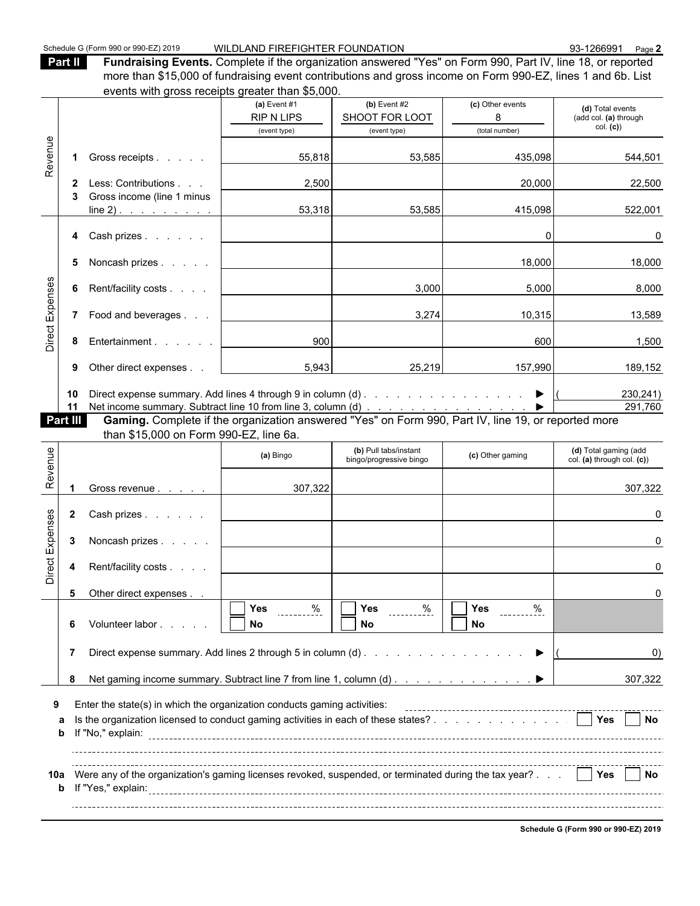**Part II Fundraising Events.** Complete if the organization answered "Yes" on Form 990, Part IV, line 18, or reported more than \$15,000 of fundraising event contributions and gross income on Form 990-EZ, lines 1 and 6b. List

|                 |              | events with gross receipts greater than \$5,000.                                                    |                   |                                                  |                       |                                                     |
|-----------------|--------------|-----------------------------------------------------------------------------------------------------|-------------------|--------------------------------------------------|-----------------------|-----------------------------------------------------|
|                 |              |                                                                                                     | (a) Event $#1$    | (b) Event $#2$                                   | (c) Other events      | (d) Total events                                    |
|                 |              |                                                                                                     | <b>RIP N LIPS</b> | SHOOT FOR LOOT                                   | 8                     | (add col. (a) through                               |
|                 |              |                                                                                                     | (event type)      | (event type)                                     | (total number)        | col. (c)                                            |
| Revenue         |              |                                                                                                     |                   |                                                  |                       |                                                     |
|                 |              | 1 Gross receipts                                                                                    | 55,818            | 53,585                                           | 435,098               | 544,501                                             |
|                 |              |                                                                                                     |                   |                                                  |                       |                                                     |
|                 | $\mathbf{2}$ | Less: Contributions                                                                                 | 2,500             |                                                  | 20,000                | 22,500                                              |
|                 | 3            | Gross income (line 1 minus                                                                          |                   |                                                  |                       |                                                     |
|                 |              | $line 2)$ .                                                                                         | 53,318            | 53,585                                           | 415,098               | 522,001                                             |
|                 |              | Cash prizes                                                                                         |                   |                                                  | $\Omega$              | 0                                                   |
|                 | 4            |                                                                                                     |                   |                                                  |                       |                                                     |
|                 | 5            | Noncash prizes                                                                                      |                   |                                                  | 18,000                | 18,000                                              |
|                 |              |                                                                                                     |                   |                                                  |                       |                                                     |
| Direct Expenses | 6            | Rent/facility costs                                                                                 |                   | 3,000                                            | 5,000                 | 8,000                                               |
|                 |              |                                                                                                     |                   |                                                  |                       |                                                     |
|                 | $7^{\circ}$  | Food and beverages                                                                                  |                   | 3,274                                            | 10,315                | 13,589                                              |
|                 |              |                                                                                                     |                   |                                                  |                       |                                                     |
|                 | 8            | Entertainment                                                                                       | 900               |                                                  | 600                   | 1,500                                               |
|                 |              |                                                                                                     |                   |                                                  |                       |                                                     |
|                 | 9            | Other direct expenses                                                                               | 5,943             | 25,219                                           | 157,990               | 189,152                                             |
|                 |              |                                                                                                     |                   |                                                  |                       |                                                     |
|                 | 10           |                                                                                                     |                   |                                                  | $\blacktriangleright$ | 230,241)                                            |
|                 | 11           |                                                                                                     |                   |                                                  |                       | 291,760                                             |
|                 | Part III     | Gaming. Complete if the organization answered "Yes" on Form 990, Part IV, line 19, or reported more |                   |                                                  |                       |                                                     |
|                 |              | than \$15,000 on Form 990-EZ, line 6a.                                                              |                   |                                                  |                       |                                                     |
| Revenue         |              |                                                                                                     | (a) Bingo         | (b) Pull tabs/instant<br>bingo/progressive bingo | (c) Other gaming      | (d) Total gaming (add<br>col. (a) through col. (c)) |
|                 |              |                                                                                                     |                   |                                                  |                       |                                                     |
|                 | -1           | Gross revenue                                                                                       | 307,322           |                                                  |                       | 307,322                                             |
|                 |              |                                                                                                     |                   |                                                  |                       |                                                     |
|                 | $\mathbf{2}$ | Cash prizes                                                                                         |                   |                                                  |                       | 0                                                   |
|                 |              |                                                                                                     |                   |                                                  |                       |                                                     |
|                 | 3            | Noncash prizes                                                                                      |                   |                                                  |                       | 0                                                   |
| Direct Expenses |              |                                                                                                     |                   |                                                  |                       |                                                     |
|                 | 4            | Rent/facility costs                                                                                 |                   |                                                  |                       | 0                                                   |
|                 |              |                                                                                                     |                   |                                                  |                       |                                                     |
|                 | 5            | Other direct expenses                                                                               |                   |                                                  |                       | 0                                                   |
|                 |              |                                                                                                     | Yes<br><u>%</u>   | Yes<br><u>%</u>                                  | Yes<br>$\frac{9}{6}$  |                                                     |
|                 | 6            | Volunteer labor                                                                                     | <b>No</b>         | <b>No</b>                                        | <b>No</b>             |                                                     |
|                 |              |                                                                                                     |                   |                                                  |                       |                                                     |
|                 | 7            | Direct expense summary. Add lines 2 through 5 in column (d)                                         |                   |                                                  | ▶                     | (0)                                                 |
|                 |              |                                                                                                     |                   |                                                  |                       |                                                     |

|   |                                                                                                                                                                                                | 307,322       |
|---|------------------------------------------------------------------------------------------------------------------------------------------------------------------------------------------------|---------------|
| 9 | Enter the state(s) in which the organization conducts gaming activities:<br>a Is the organization licensed to conduct gaming activities in each of these states?<br><b>b</b> If "No," explain: | l Yes<br>. No |
|   |                                                                                                                                                                                                |               |

| 10a | Ye.<br>No<br>. suspended.<br>s damind licenses revoked<br>. or terminated during<br>tax vear<br>⊧organization'<br>anv<br>Ιt<br>res:<br><b>EXPIGIII.</b><br>---------- |
|-----|-----------------------------------------------------------------------------------------------------------------------------------------------------------------------|
|     |                                                                                                                                                                       |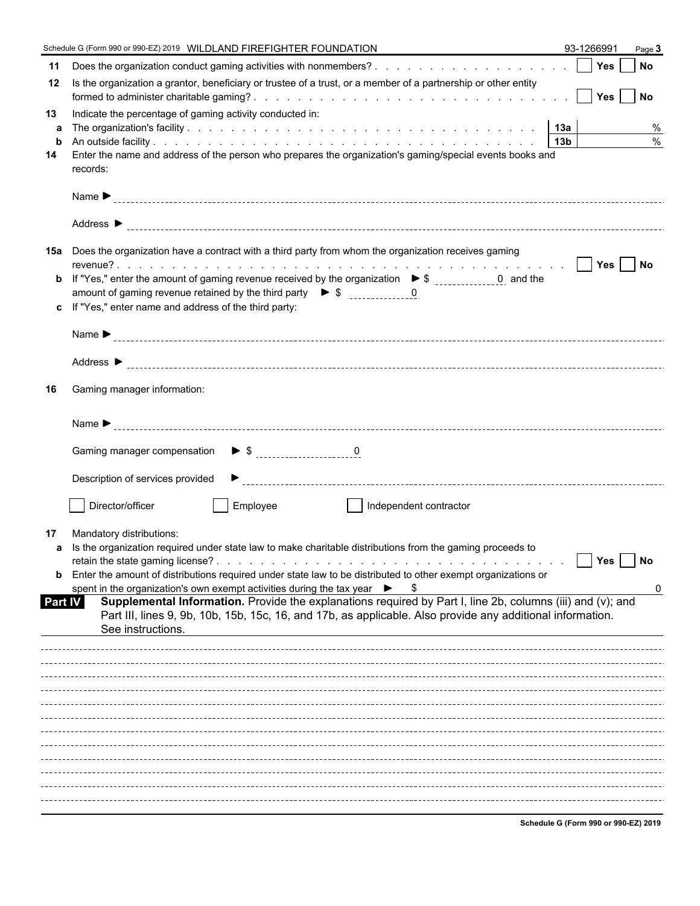|         | Schedule G (Form 990 or 990-EZ) 2019 WILDLAND FIREFIGHTER FOUNDATION                                                                                                                                                     | 93-1266991                           | Page 3        |
|---------|--------------------------------------------------------------------------------------------------------------------------------------------------------------------------------------------------------------------------|--------------------------------------|---------------|
| 11      |                                                                                                                                                                                                                          |                                      |               |
| 12      | Is the organization a grantor, beneficiary or trustee of a trust, or a member of a partnership or other entity                                                                                                           |                                      |               |
| 13<br>a | Indicate the percentage of gaming activity conducted in:                                                                                                                                                                 |                                      | %             |
| b       |                                                                                                                                                                                                                          |                                      | $\frac{0}{0}$ |
| 14      | Enter the name and address of the person who prepares the organization's gaming/special events books and<br>records:                                                                                                     |                                      |               |
|         |                                                                                                                                                                                                                          |                                      |               |
|         |                                                                                                                                                                                                                          |                                      |               |
|         | 15a Does the organization have a contract with a third party from whom the organization receives gaming                                                                                                                  |                                      |               |
| b       | If "Yes," enter the amount of gaming revenue received by the organization $\triangleright$ \$ ______________0 and the                                                                                                    |                                      |               |
|         | amount of gaming revenue retained by the third party $\triangleright$ \$ 0                                                                                                                                               |                                      |               |
| c.      | If "Yes," enter name and address of the third party:                                                                                                                                                                     |                                      |               |
|         |                                                                                                                                                                                                                          |                                      |               |
|         |                                                                                                                                                                                                                          |                                      |               |
| 16      | Gaming manager information:                                                                                                                                                                                              |                                      |               |
|         |                                                                                                                                                                                                                          |                                      |               |
|         |                                                                                                                                                                                                                          |                                      |               |
|         | Description of services provided                                                                                                                                                                                         |                                      |               |
|         | Director/officer<br>Employee<br>  Independent contractor                                                                                                                                                                 |                                      |               |
| 17      | Mandatory distributions:                                                                                                                                                                                                 |                                      |               |
|         | a Is the organization required under state law to make charitable distributions from the gaming proceeds to                                                                                                              | Yes                                  | <b>No</b>     |
| b       | Enter the amount of distributions required under state law to be distributed to other exempt organizations or                                                                                                            |                                      |               |
|         | spent in the organization's own exempt activities during the tax year $\triangleright$ \$                                                                                                                                |                                      | 0             |
| Part IV | Supplemental Information. Provide the explanations required by Part I, line 2b, columns (iii) and (v); and<br>Part III, lines 9, 9b, 10b, 15b, 15c, 16, and 17b, as applicable. Also provide any additional information. |                                      |               |
|         | See instructions.                                                                                                                                                                                                        |                                      |               |
|         |                                                                                                                                                                                                                          |                                      |               |
|         |                                                                                                                                                                                                                          |                                      |               |
|         |                                                                                                                                                                                                                          |                                      |               |
|         |                                                                                                                                                                                                                          |                                      |               |
|         |                                                                                                                                                                                                                          |                                      |               |
|         |                                                                                                                                                                                                                          |                                      |               |
|         |                                                                                                                                                                                                                          |                                      |               |
|         |                                                                                                                                                                                                                          |                                      |               |
|         |                                                                                                                                                                                                                          |                                      |               |
|         |                                                                                                                                                                                                                          | Cabadula C (Farm 000 an 000 FZ) 2046 |               |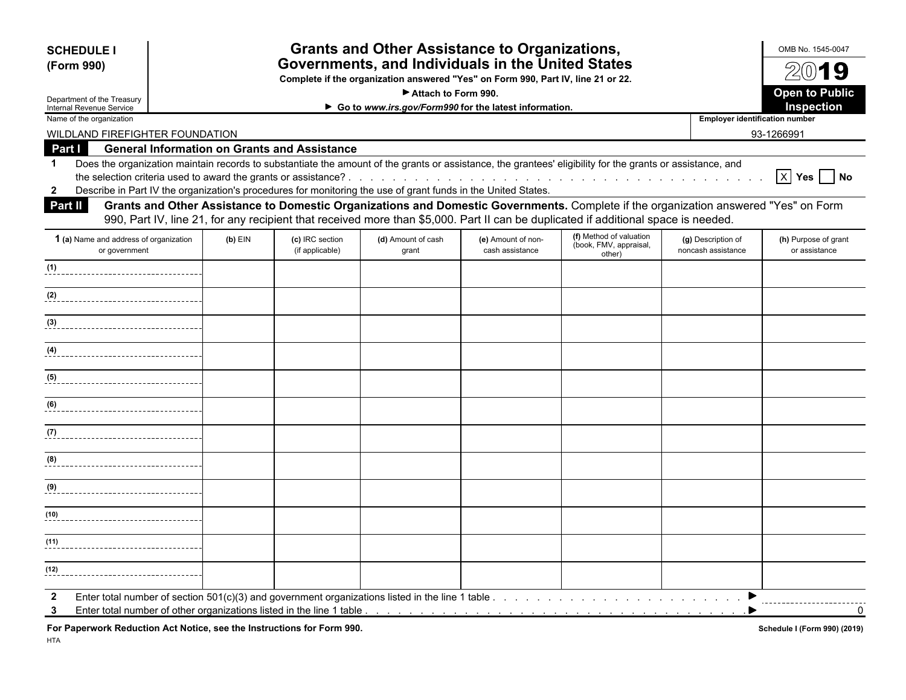| <b>SCHEDULE I</b>                                                                                                                                                                                                                                                                                          |                                                                                                                                                                                                                                                                                                                                                                          |  | <b>Grants and Other Assistance to Organizations,</b>                |  |                                                                                                                                     |                                       | OMB No. 1545-0047<br>2019                |  |  |  |  |  |  |  |  |
|------------------------------------------------------------------------------------------------------------------------------------------------------------------------------------------------------------------------------------------------------------------------------------------------------------|--------------------------------------------------------------------------------------------------------------------------------------------------------------------------------------------------------------------------------------------------------------------------------------------------------------------------------------------------------------------------|--|---------------------------------------------------------------------|--|-------------------------------------------------------------------------------------------------------------------------------------|---------------------------------------|------------------------------------------|--|--|--|--|--|--|--|--|
| (Form 990)                                                                                                                                                                                                                                                                                                 | Governments, and Individuals in the United States<br>Complete if the organization answered "Yes" on Form 990, Part IV, line 21 or 22.                                                                                                                                                                                                                                    |  |                                                                     |  |                                                                                                                                     |                                       |                                          |  |  |  |  |  |  |  |  |
|                                                                                                                                                                                                                                                                                                            |                                                                                                                                                                                                                                                                                                                                                                          |  | Attach to Form 990.                                                 |  |                                                                                                                                     |                                       | <b>Open to Public</b>                    |  |  |  |  |  |  |  |  |
| Department of the Treasury<br>Internal Revenue Service                                                                                                                                                                                                                                                     |                                                                                                                                                                                                                                                                                                                                                                          |  | Inspection<br>Go to www.irs.gov/Form990 for the latest information. |  |                                                                                                                                     |                                       |                                          |  |  |  |  |  |  |  |  |
| Name of the organization                                                                                                                                                                                                                                                                                   |                                                                                                                                                                                                                                                                                                                                                                          |  |                                                                     |  |                                                                                                                                     | <b>Employer identification number</b> |                                          |  |  |  |  |  |  |  |  |
| WILDLAND FIREFIGHTER FOUNDATION                                                                                                                                                                                                                                                                            |                                                                                                                                                                                                                                                                                                                                                                          |  |                                                                     |  |                                                                                                                                     |                                       | 93-1266991                               |  |  |  |  |  |  |  |  |
| <b>General Information on Grants and Assistance</b><br>Part I                                                                                                                                                                                                                                              |                                                                                                                                                                                                                                                                                                                                                                          |  |                                                                     |  |                                                                                                                                     |                                       |                                          |  |  |  |  |  |  |  |  |
| Does the organization maintain records to substantiate the amount of the grants or assistance, the grantees' eligibility for the grants or assistance, and<br>$\mathbf 1$<br>Describe in Part IV the organization's procedures for monitoring the use of grant funds in the United States.<br>$\mathbf{2}$ |                                                                                                                                                                                                                                                                                                                                                                          |  |                                                                     |  |                                                                                                                                     |                                       | $\boxed{X}$ Yes $\boxed{\phantom{1}}$ No |  |  |  |  |  |  |  |  |
| <b>Part II</b>                                                                                                                                                                                                                                                                                             |                                                                                                                                                                                                                                                                                                                                                                          |  |                                                                     |  | Grants and Other Assistance to Domestic Organizations and Domestic Governments. Complete if the organization answered "Yes" on Form |                                       |                                          |  |  |  |  |  |  |  |  |
| 1 (a) Name and address of organization<br>or government                                                                                                                                                                                                                                                    | 990, Part IV, line 21, for any recipient that received more than \$5,000. Part II can be duplicated if additional space is needed.<br>(f) Method of valuation<br>$(b)$ EIN<br>(c) IRC section<br>(d) Amount of cash<br>(e) Amount of non-<br>(g) Description of<br>(book, FMV, appraisal,<br>(if applicable)<br>cash assistance<br>noncash assistance<br>grant<br>other) |  |                                                                     |  |                                                                                                                                     |                                       |                                          |  |  |  |  |  |  |  |  |
| (1)<br>_________________________________                                                                                                                                                                                                                                                                   |                                                                                                                                                                                                                                                                                                                                                                          |  |                                                                     |  |                                                                                                                                     |                                       |                                          |  |  |  |  |  |  |  |  |
| (2)                                                                                                                                                                                                                                                                                                        |                                                                                                                                                                                                                                                                                                                                                                          |  |                                                                     |  |                                                                                                                                     |                                       |                                          |  |  |  |  |  |  |  |  |
| $(3)$                                                                                                                                                                                                                                                                                                      |                                                                                                                                                                                                                                                                                                                                                                          |  |                                                                     |  |                                                                                                                                     |                                       |                                          |  |  |  |  |  |  |  |  |
| (4)                                                                                                                                                                                                                                                                                                        |                                                                                                                                                                                                                                                                                                                                                                          |  |                                                                     |  |                                                                                                                                     |                                       |                                          |  |  |  |  |  |  |  |  |
| (5)<br>__________________________________                                                                                                                                                                                                                                                                  |                                                                                                                                                                                                                                                                                                                                                                          |  |                                                                     |  |                                                                                                                                     |                                       |                                          |  |  |  |  |  |  |  |  |
| (6)                                                                                                                                                                                                                                                                                                        |                                                                                                                                                                                                                                                                                                                                                                          |  |                                                                     |  |                                                                                                                                     |                                       |                                          |  |  |  |  |  |  |  |  |
| (7)                                                                                                                                                                                                                                                                                                        |                                                                                                                                                                                                                                                                                                                                                                          |  |                                                                     |  |                                                                                                                                     |                                       |                                          |  |  |  |  |  |  |  |  |
| (8)                                                                                                                                                                                                                                                                                                        |                                                                                                                                                                                                                                                                                                                                                                          |  |                                                                     |  |                                                                                                                                     |                                       |                                          |  |  |  |  |  |  |  |  |
| (9)<br>________________________________                                                                                                                                                                                                                                                                    |                                                                                                                                                                                                                                                                                                                                                                          |  |                                                                     |  |                                                                                                                                     |                                       |                                          |  |  |  |  |  |  |  |  |
| (10)<br>--------------------------------                                                                                                                                                                                                                                                                   |                                                                                                                                                                                                                                                                                                                                                                          |  |                                                                     |  |                                                                                                                                     |                                       |                                          |  |  |  |  |  |  |  |  |
| (11)                                                                                                                                                                                                                                                                                                       |                                                                                                                                                                                                                                                                                                                                                                          |  |                                                                     |  |                                                                                                                                     |                                       |                                          |  |  |  |  |  |  |  |  |
| (12)                                                                                                                                                                                                                                                                                                       |                                                                                                                                                                                                                                                                                                                                                                          |  |                                                                     |  |                                                                                                                                     |                                       |                                          |  |  |  |  |  |  |  |  |

For Paperwork Reduction Act Notice, see the Instructions for Form 990. *Schedule I (Form 990)* (2019) **Schedule I (Form 990)** (2019)

HTA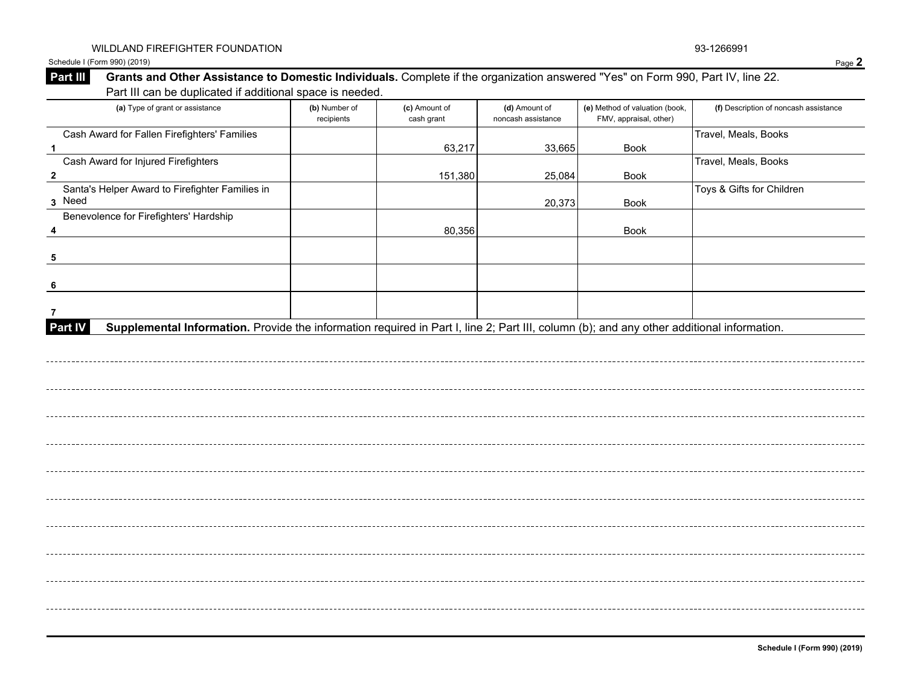Schedule I (Form 990) (2019) Page **2**

## **Part III** Grants and Other Assistance to Domestic Individuals. Complete if the organization answered "Yes" on Form 990, Part IV, line 22. Part III can be duplicated if additional space is needed.

| (a) Type of grant or assistance                                                                                                                             | (b) Number of<br>recipients | (c) Amount of<br>cash grant | (d) Amount of<br>noncash assistance | (e) Method of valuation (book,<br>FMV, appraisal, other) | (f) Description of noncash assistance |
|-------------------------------------------------------------------------------------------------------------------------------------------------------------|-----------------------------|-----------------------------|-------------------------------------|----------------------------------------------------------|---------------------------------------|
| Cash Award for Fallen Firefighters' Families<br>$\mathbf{1}$                                                                                                |                             | 63,217                      | 33,665                              | Book                                                     | Travel, Meals, Books                  |
| Cash Award for Injured Firefighters                                                                                                                         |                             |                             |                                     |                                                          | Travel, Meals, Books                  |
| $\overline{\mathbf{2}}$                                                                                                                                     |                             | 151,380                     | 25,084                              | Book                                                     |                                       |
| Santa's Helper Award to Firefighter Families in<br>3 Need                                                                                                   |                             |                             | 20,373                              | Book                                                     | Toys & Gifts for Children             |
| Benevolence for Firefighters' Hardship                                                                                                                      |                             | 80,356                      |                                     | Book                                                     |                                       |
| 5                                                                                                                                                           |                             |                             |                                     |                                                          |                                       |
| 6                                                                                                                                                           |                             |                             |                                     |                                                          |                                       |
|                                                                                                                                                             |                             |                             |                                     |                                                          |                                       |
| Supplemental Information. Provide the information required in Part I, line 2; Part III, column (b); and any other additional information.<br><b>Part IV</b> |                             |                             |                                     |                                                          |                                       |
|                                                                                                                                                             |                             |                             |                                     |                                                          |                                       |
|                                                                                                                                                             |                             |                             |                                     |                                                          |                                       |
|                                                                                                                                                             |                             |                             |                                     |                                                          |                                       |
|                                                                                                                                                             |                             |                             |                                     |                                                          |                                       |
|                                                                                                                                                             |                             |                             |                                     |                                                          |                                       |
|                                                                                                                                                             |                             |                             |                                     |                                                          |                                       |
|                                                                                                                                                             |                             |                             |                                     |                                                          |                                       |
|                                                                                                                                                             |                             |                             |                                     |                                                          |                                       |
|                                                                                                                                                             |                             |                             |                                     |                                                          |                                       |
|                                                                                                                                                             |                             |                             |                                     |                                                          |                                       |
|                                                                                                                                                             |                             |                             |                                     |                                                          |                                       |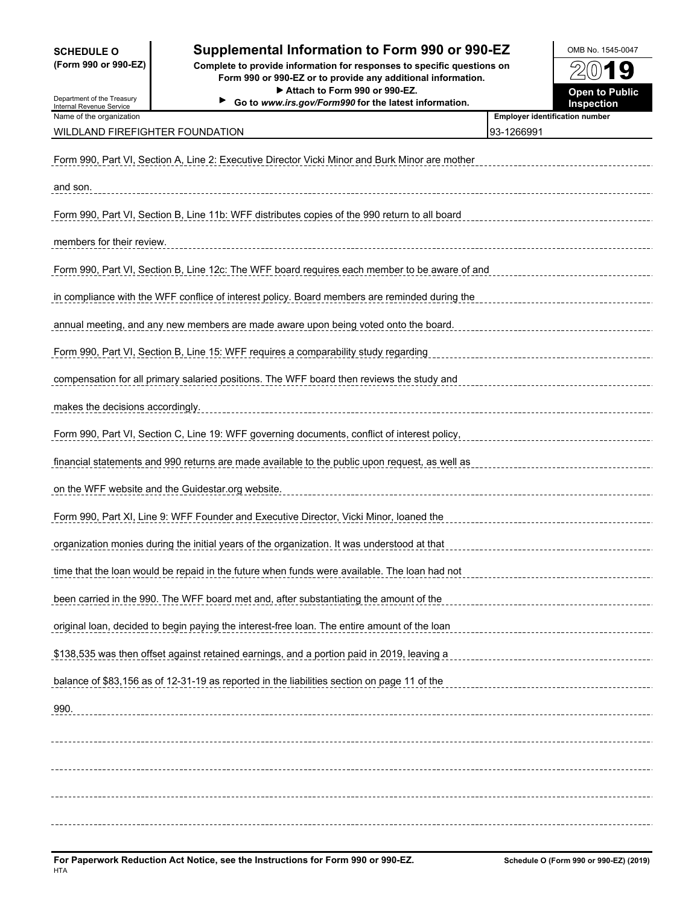## **SCHEDULE O Supplemental Information to Form 990 or 990-EZ OMB No. 1545-0047**

**(Form 990 or 990-EZ) Complete to provide information for responses to specific questions on Form 990 or 990-EZ or to provide any additional information.** ▶ Attach to Form 990 or 990-EZ. **Department of Public** Open to Public

**Go to** *www.irs.gov/Form990* **for the latest information. Inspection**



Department of the Treasury Internal Revenue Service Name of the organization<br>**Name of the organization** 

#### WILDLAND FIREFIGHTER FOUNDATION 83-1266991

| Form 990, Part VI, Section A, Line 2: Executive Director Vicki Minor and Burk Minor are mother |
|------------------------------------------------------------------------------------------------|
| and son.                                                                                       |
| Form 990, Part VI, Section B, Line 11b: WFF distributes copies of the 990 return to all board  |
| members for their review.                                                                      |
| Form 990, Part VI, Section B, Line 12c: The WFF board requires each member to be aware of and  |
| in compliance with the WFF conflice of interest policy. Board members are reminded during the  |
| annual meeting, and any new members are made aware upon being voted onto the board.            |
| Form 990, Part VI, Section B, Line 15: WFF requires a comparability study regarding            |
| compensation for all primary salaried positions. The WFF board then reviews the study and      |
| makes the decisions accordingly.                                                               |
| Form 990, Part VI, Section C, Line 19: WFF governing documents, conflict of interest policy,   |
| financial statements and 990 returns are made available to the public upon request, as well as |
| on the WFF website and the Guidestar.org website.                                              |
|                                                                                                |
| Form 990, Part XI, Line 9: WFF Founder and Executive Director, Vicki Minor, loaned the         |
| organization monies during the initial years of the organization. It was understood at that    |
| time that the loan would be repaid in the future when funds were available. The loan had not   |
| been carried in the 990. The WFF board met and, after substantiating the amount of the         |
| original loan, decided to begin paying the interest-free loan. The entire amount of the loan   |
| \$138,535 was then offset against retained earnings, and a portion paid in 2019, leaving a     |
| balance of \$83,156 as of 12-31-19 as reported in the liabilities section on page 11 of the    |
| 990.                                                                                           |
|                                                                                                |
|                                                                                                |
|                                                                                                |
|                                                                                                |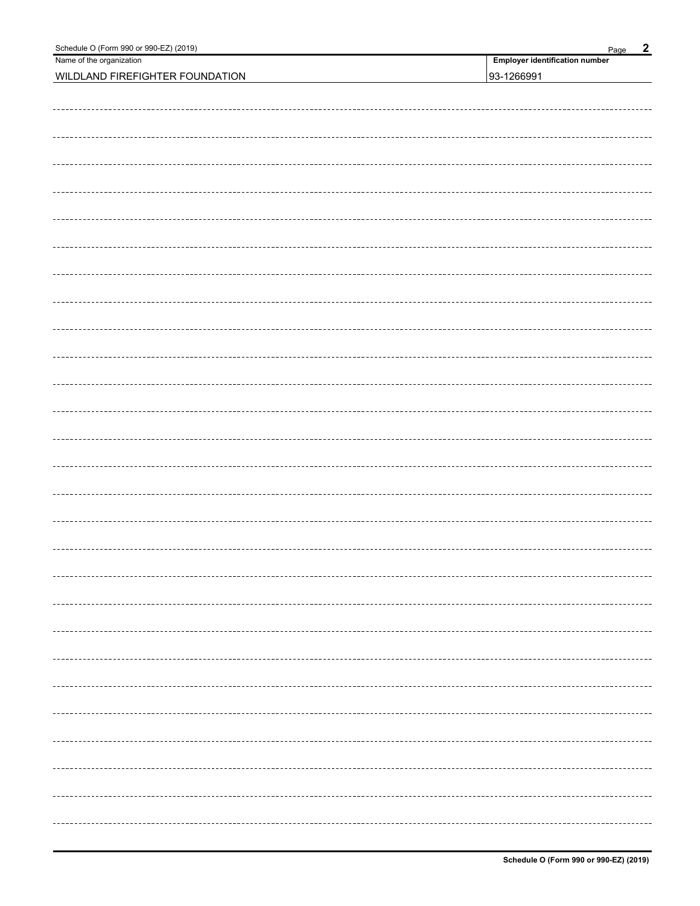| Schedule O (Form 990 or 990-EZ) (2019) | $\overline{2}$<br>Page                |
|----------------------------------------|---------------------------------------|
| Name of the organization               | <b>Employer identification number</b> |
| WILDLAND FIREFIGHTER FOUNDATION        | 93-1266991                            |
|                                        |                                       |
|                                        |                                       |
|                                        |                                       |
|                                        |                                       |
|                                        |                                       |
|                                        |                                       |
|                                        |                                       |
|                                        |                                       |
|                                        |                                       |
|                                        |                                       |
|                                        |                                       |
|                                        |                                       |
|                                        |                                       |
|                                        |                                       |
|                                        |                                       |
|                                        |                                       |
|                                        |                                       |
|                                        |                                       |
|                                        |                                       |
|                                        |                                       |
|                                        |                                       |
|                                        |                                       |
|                                        |                                       |
|                                        |                                       |
|                                        |                                       |
|                                        |                                       |
|                                        |                                       |
|                                        |                                       |
|                                        |                                       |
|                                        |                                       |
|                                        |                                       |
|                                        |                                       |
|                                        |                                       |
|                                        |                                       |
|                                        |                                       |
|                                        |                                       |
|                                        |                                       |
|                                        |                                       |
|                                        |                                       |
|                                        |                                       |
|                                        |                                       |
|                                        |                                       |
|                                        |                                       |
|                                        |                                       |
|                                        |                                       |
|                                        |                                       |
|                                        |                                       |
|                                        |                                       |
|                                        |                                       |
|                                        |                                       |
|                                        |                                       |
|                                        |                                       |
|                                        |                                       |